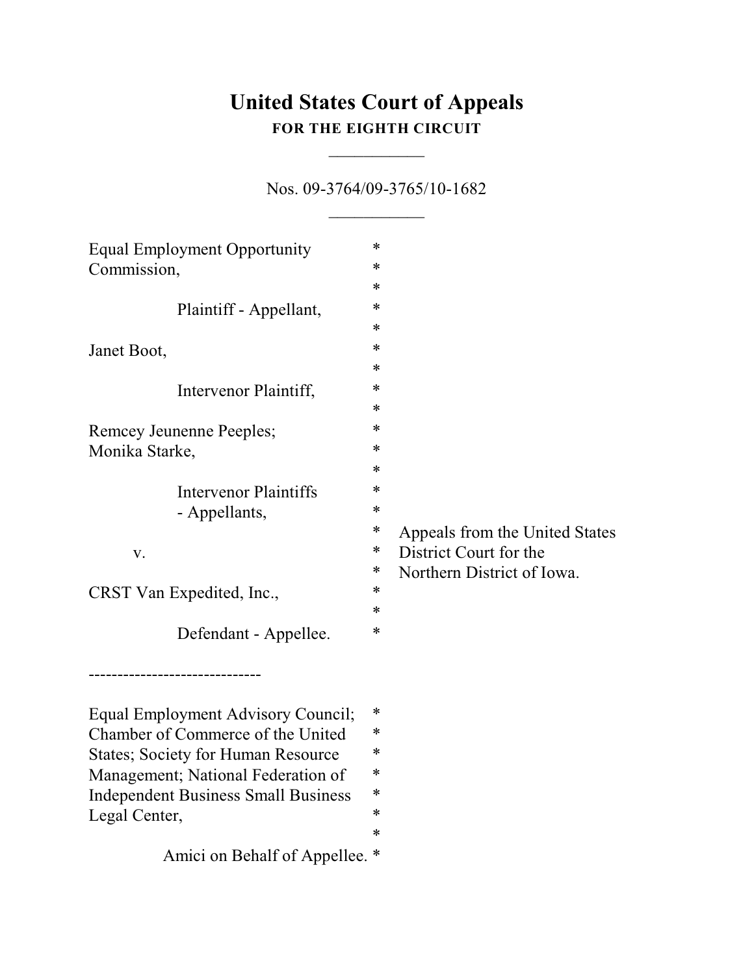# **United States Court of Appeals FOR THE EIGHTH CIRCUIT**

 $\overline{\phantom{a}}$ 

Nos. 09-3764/09-3765/10-1682  $\frac{1}{2}$ 

| Equal Employment Opportunity               | * |                                |
|--------------------------------------------|---|--------------------------------|
| Commission,                                | ∗ |                                |
|                                            | ∗ |                                |
| Plaintiff - Appellant,                     | * |                                |
|                                            | * |                                |
| Janet Boot,                                | * |                                |
|                                            | * |                                |
| Intervenor Plaintiff,                      | * |                                |
|                                            | * |                                |
| Remcey Jeunenne Peeples;                   | * |                                |
| Monika Starke,                             | * |                                |
|                                            | * |                                |
| Intervenor Plaintiffs                      | * |                                |
| - Appellants,                              | * |                                |
|                                            | * | Appeals from the United States |
| V.                                         | ∗ | District Court for the         |
|                                            | ∗ | Northern District of Iowa.     |
| CRST Van Expedited, Inc.,                  | * |                                |
|                                            | * |                                |
| Defendant - Appellee.                      | * |                                |
|                                            |   |                                |
|                                            |   |                                |
| Equal Employment Advisory Council;         | * |                                |
| Chamber of Commerce of the United          | ∗ |                                |
| <b>States</b> ; Society for Human Resource | * |                                |
| Management; National Federation of         |   |                                |
| <b>Independent Business Small Business</b> | * |                                |
| Legal Center,                              | * |                                |
|                                            | ∗ |                                |
| Amici on Behalf of Appellee. *             |   |                                |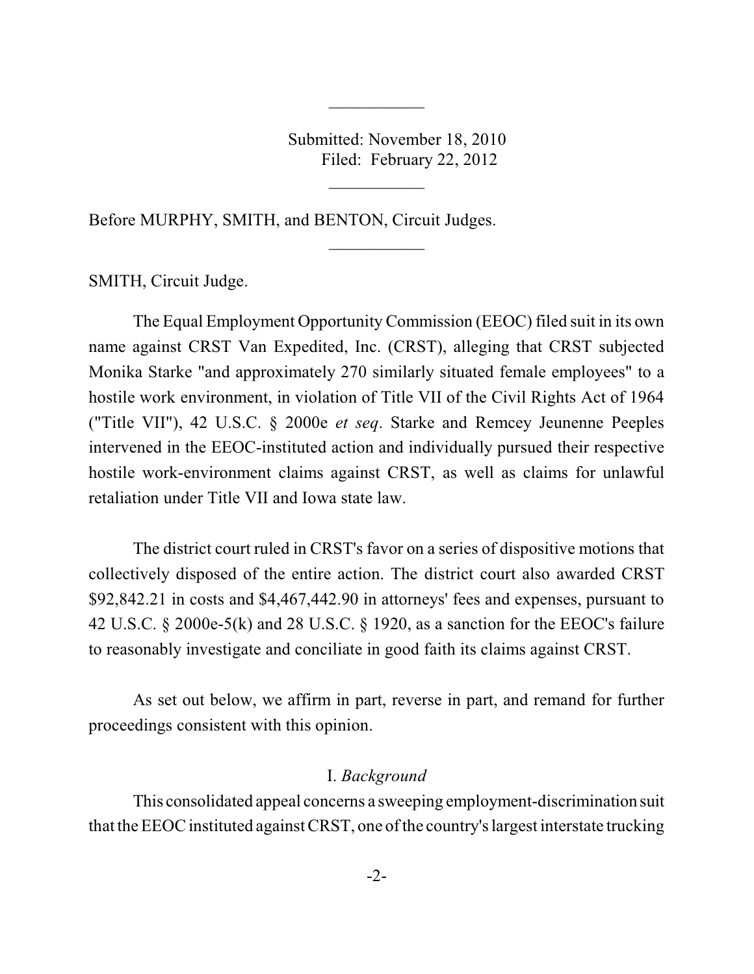Submitted: November 18, 2010 Filed: February 22, 2012

 $\frac{1}{2}$ 

 $\overline{\phantom{a}}$ 

 $\frac{1}{2}$ 

Before MURPHY, SMITH, and BENTON, Circuit Judges.

SMITH, Circuit Judge.

The Equal Employment Opportunity Commission (EEOC) filed suit in its own name against CRST Van Expedited, Inc. (CRST), alleging that CRST subjected Monika Starke "and approximately 270 similarly situated female employees" to a hostile work environment, in violation of Title VII of the Civil Rights Act of 1964 ("Title VII"), 42 U.S.C. § 2000e *et seq*. Starke and Remcey Jeunenne Peeples intervened in the EEOC-instituted action and individually pursued their respective hostile work-environment claims against CRST, as well as claims for unlawful retaliation under Title VII and Iowa state law.

The district court ruled in CRST's favor on a series of dispositive motions that collectively disposed of the entire action. The district court also awarded CRST \$92,842.21 in costs and \$4,467,442.90 in attorneys' fees and expenses, pursuant to 42 U.S.C. § 2000e-5(k) and 28 U.S.C. § 1920, as a sanction for the EEOC's failure to reasonably investigate and conciliate in good faith its claims against CRST.

As set out below, we affirm in part, reverse in part, and remand for further proceedings consistent with this opinion.

#### I. *Background*

This consolidated appeal concerns a sweeping employment-discrimination suit that the EEOC instituted against CRST, one ofthe country's largest interstate trucking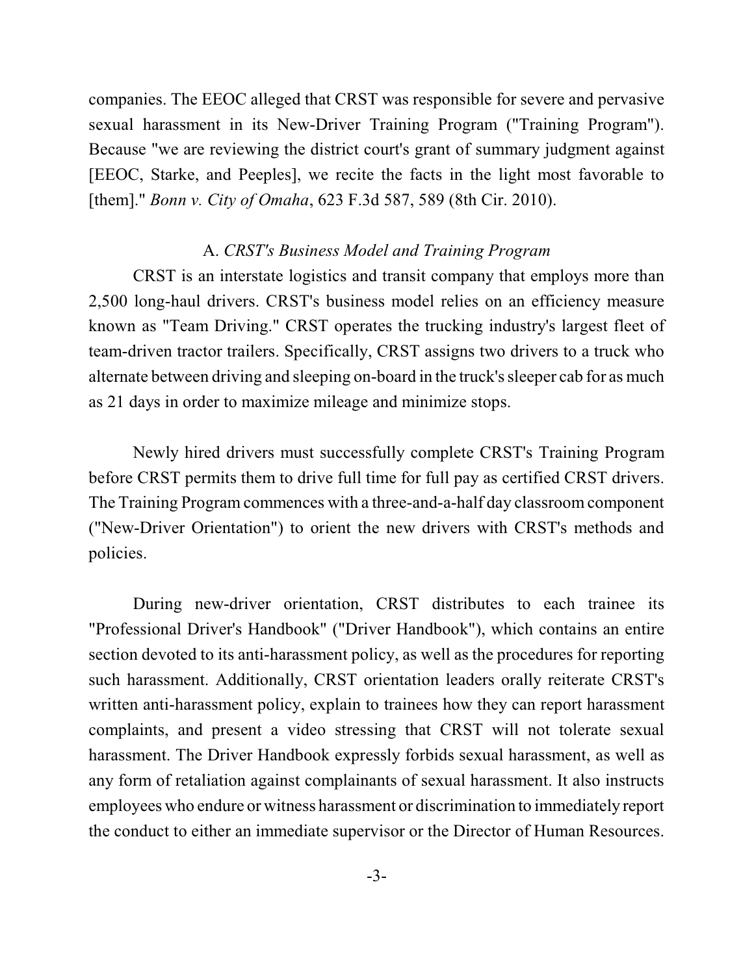companies. The EEOC alleged that CRST was responsible for severe and pervasive sexual harassment in its New-Driver Training Program ("Training Program"). Because "we are reviewing the district court's grant of summary judgment against [EEOC, Starke, and Peeples], we recite the facts in the light most favorable to [them]." *Bonn v. City of Omaha*, 623 F.3d 587, 589 (8th Cir. 2010).

### A. *CRST's Business Model and Training Program*

CRST is an interstate logistics and transit company that employs more than 2,500 long-haul drivers. CRST's business model relies on an efficiency measure known as "Team Driving." CRST operates the trucking industry's largest fleet of team-driven tractor trailers. Specifically, CRST assigns two drivers to a truck who alternate between driving and sleeping on-board in the truck's sleeper cab for as much as 21 days in order to maximize mileage and minimize stops.

Newly hired drivers must successfully complete CRST's Training Program before CRST permits them to drive full time for full pay as certified CRST drivers. The Training Program commences with a three-and-a-half day classroom component ("New-Driver Orientation") to orient the new drivers with CRST's methods and policies.

During new-driver orientation, CRST distributes to each trainee its "Professional Driver's Handbook" ("Driver Handbook"), which contains an entire section devoted to its anti-harassment policy, as well as the procedures for reporting such harassment. Additionally, CRST orientation leaders orally reiterate CRST's written anti-harassment policy, explain to trainees how they can report harassment complaints, and present a video stressing that CRST will not tolerate sexual harassment. The Driver Handbook expressly forbids sexual harassment, as well as any form of retaliation against complainants of sexual harassment. It also instructs employees who endure or witness harassment or discrimination to immediately report the conduct to either an immediate supervisor or the Director of Human Resources.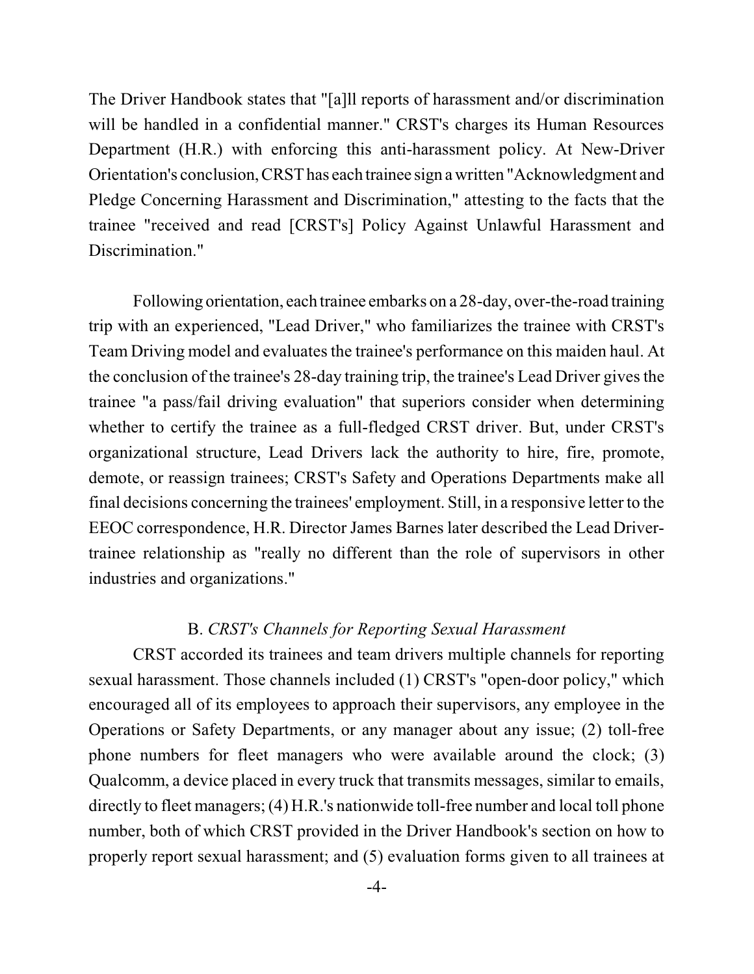The Driver Handbook states that "[a]ll reports of harassment and/or discrimination will be handled in a confidential manner." CRST's charges its Human Resources Department (H.R.) with enforcing this anti-harassment policy. At New-Driver Orientation's conclusion,CRSThas each trainee sign a written "Acknowledgment and Pledge Concerning Harassment and Discrimination," attesting to the facts that the trainee "received and read [CRST's] Policy Against Unlawful Harassment and Discrimination."

Following orientation, each trainee embarks on a 28-day, over-the-road training trip with an experienced, "Lead Driver," who familiarizes the trainee with CRST's Team Driving model and evaluates the trainee's performance on this maiden haul. At the conclusion of the trainee's 28-day training trip, the trainee's Lead Driver gives the trainee "a pass/fail driving evaluation" that superiors consider when determining whether to certify the trainee as a full-fledged CRST driver. But, under CRST's organizational structure, Lead Drivers lack the authority to hire, fire, promote, demote, or reassign trainees; CRST's Safety and Operations Departments make all final decisions concerning the trainees' employment. Still, in a responsive letter to the EEOC correspondence, H.R. Director James Barnes later described the Lead Drivertrainee relationship as "really no different than the role of supervisors in other industries and organizations."

#### B. *CRST's Channels for Reporting Sexual Harassment*

CRST accorded its trainees and team drivers multiple channels for reporting sexual harassment. Those channels included (1) CRST's "open-door policy," which encouraged all of its employees to approach their supervisors, any employee in the Operations or Safety Departments, or any manager about any issue; (2) toll-free phone numbers for fleet managers who were available around the clock; (3) Qualcomm, a device placed in every truck that transmits messages, similar to emails, directly to fleet managers; (4) H.R.'s nationwide toll-free number and local toll phone number, both of which CRST provided in the Driver Handbook's section on how to properly report sexual harassment; and (5) evaluation forms given to all trainees at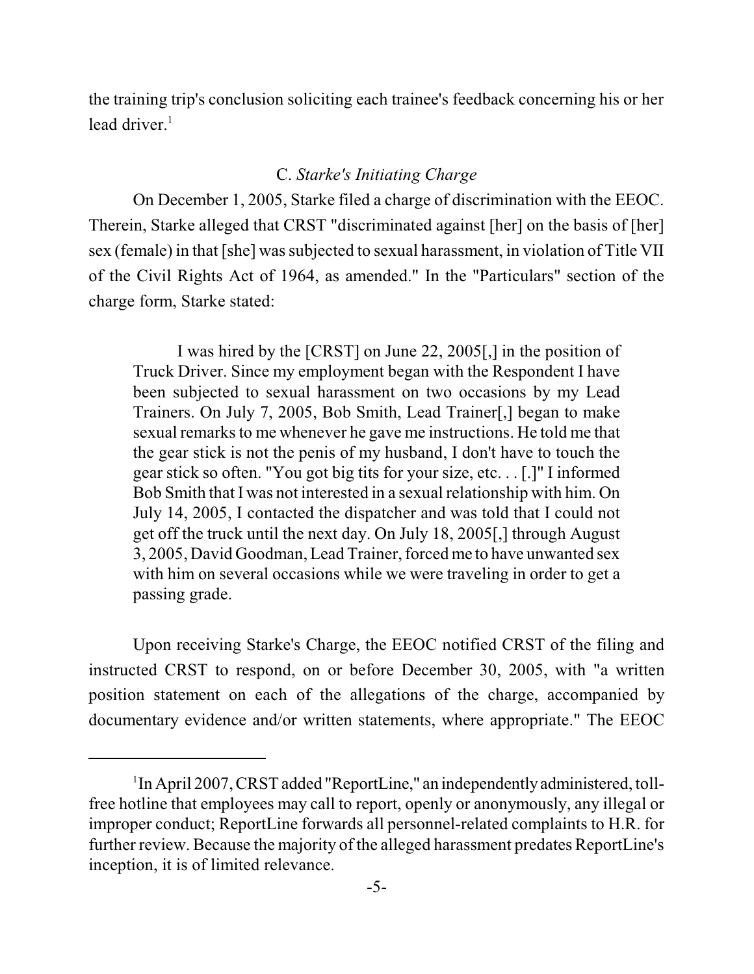the training trip's conclusion soliciting each trainee's feedback concerning his or her lead driver. $<sup>1</sup>$ </sup>

# C. *Starke's Initiating Charge*

On December 1, 2005, Starke filed a charge of discrimination with the EEOC. Therein, Starke alleged that CRST "discriminated against [her] on the basis of [her] sex (female) in that [she] was subjected to sexual harassment, in violation of Title VII of the Civil Rights Act of 1964, as amended." In the "Particulars" section of the charge form, Starke stated:

I was hired by the [CRST] on June 22, 2005[,] in the position of Truck Driver. Since my employment began with the Respondent I have been subjected to sexual harassment on two occasions by my Lead Trainers. On July 7, 2005, Bob Smith, Lead Trainer[,] began to make sexual remarks to me whenever he gave me instructions. He told me that the gear stick is not the penis of my husband, I don't have to touch the gear stick so often. "You got big tits for your size, etc. . . [.]" I informed Bob Smith that I was not interested in a sexual relationship with him. On July 14, 2005, I contacted the dispatcher and was told that I could not get off the truck until the next day. On July 18, 2005[,] through August 3, 2005, David Goodman, Lead Trainer, forcedme to have unwanted sex with him on several occasions while we were traveling in order to get a passing grade.

Upon receiving Starke's Charge, the EEOC notified CRST of the filing and instructed CRST to respond, on or before December 30, 2005, with "a written position statement on each of the allegations of the charge, accompanied by documentary evidence and/or written statements, where appropriate." The EEOC

<sup>&</sup>lt;sup>1</sup>In April 2007, CRST added "ReportLine," an independently administered, tollfree hotline that employees may call to report, openly or anonymously, any illegal or improper conduct; ReportLine forwards all personnel-related complaints to H.R. for further review. Because the majority of the alleged harassment predates ReportLine's inception, it is of limited relevance.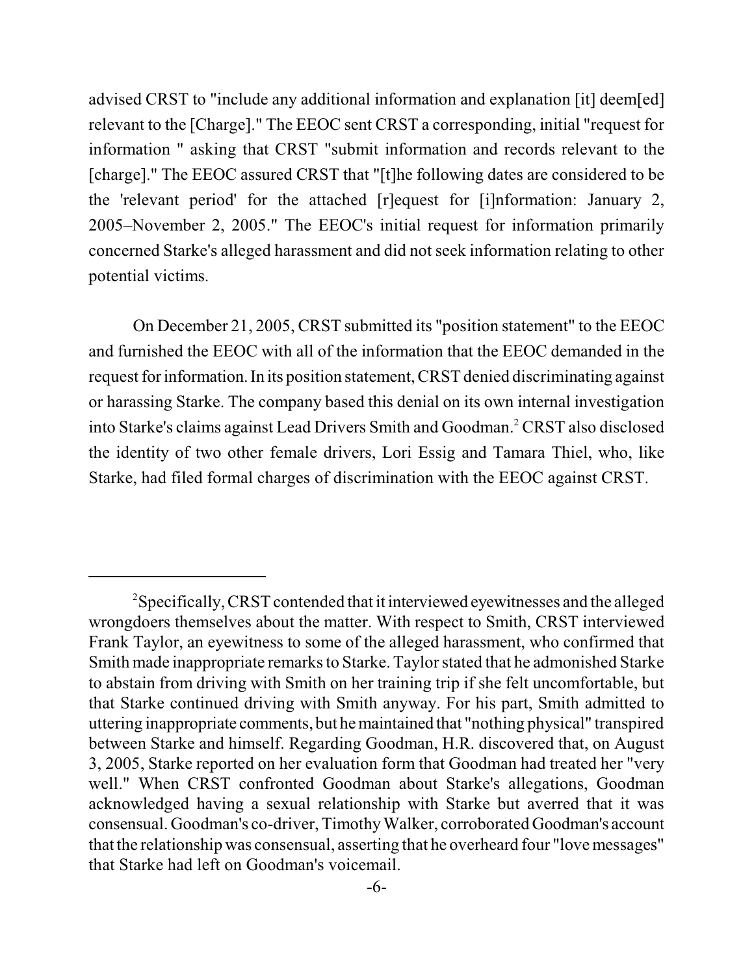advised CRST to "include any additional information and explanation [it] deem[ed] relevant to the [Charge]." The EEOC sent CRST a corresponding, initial "request for information " asking that CRST "submit information and records relevant to the [charge]." The EEOC assured CRST that "[t]he following dates are considered to be the 'relevant period' for the attached [r]equest for [i]nformation: January 2, 2005–November 2, 2005." The EEOC's initial request for information primarily concerned Starke's alleged harassment and did not seek information relating to other potential victims.

On December 21, 2005, CRST submitted its "position statement" to the EEOC and furnished the EEOC with all of the information that the EEOC demanded in the request for information. In its position statement, CRST denied discriminating against or harassing Starke. The company based this denial on its own internal investigation into Starke's claims against Lead Drivers Smith and Goodman.<sup>2</sup> CRST also disclosed the identity of two other female drivers, Lori Essig and Tamara Thiel, who, like Starke, had filed formal charges of discrimination with the EEOC against CRST.

<sup>&</sup>lt;sup>2</sup>Specifically, CRST contended that it interviewed eyewitnesses and the alleged wrongdoers themselves about the matter. With respect to Smith, CRST interviewed Frank Taylor, an eyewitness to some of the alleged harassment, who confirmed that Smith made inappropriate remarks to Starke. Taylor stated that he admonished Starke to abstain from driving with Smith on her training trip if she felt uncomfortable, but that Starke continued driving with Smith anyway. For his part, Smith admitted to uttering inappropriate comments, but hemaintained that "nothing physical" transpired between Starke and himself. Regarding Goodman, H.R. discovered that, on August 3, 2005, Starke reported on her evaluation form that Goodman had treated her "very well." When CRST confronted Goodman about Starke's allegations, Goodman acknowledged having a sexual relationship with Starke but averred that it was consensual. Goodman's co-driver, Timothy Walker, corroborated Goodman's account that the relationship was consensual, asserting that he overheard four "love messages" that Starke had left on Goodman's voicemail.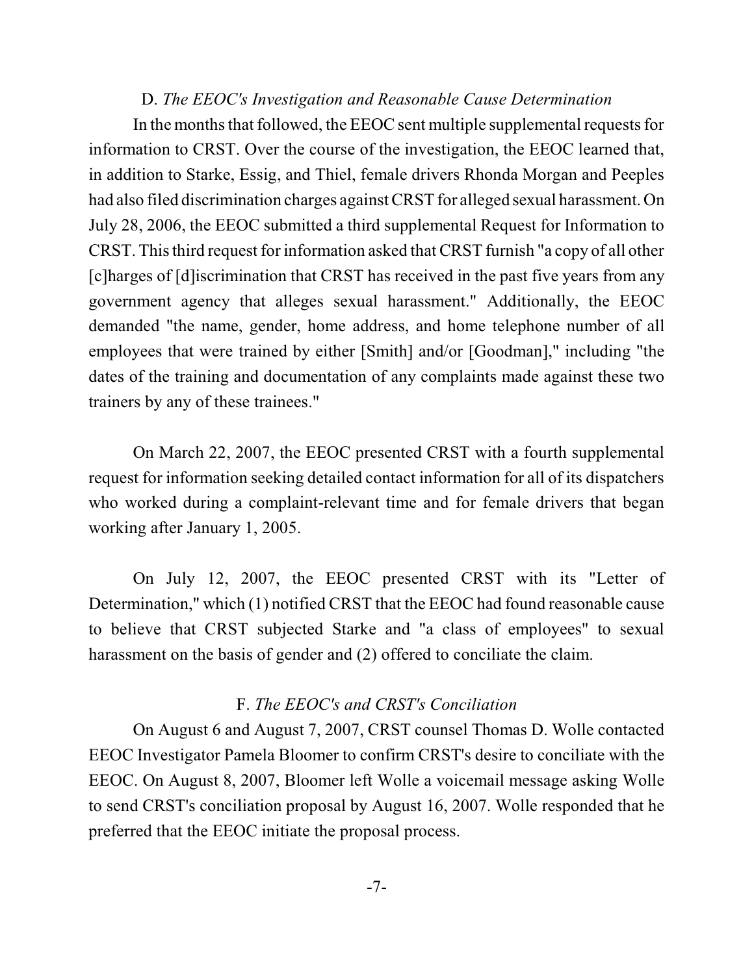#### D. *The EEOC's Investigation and Reasonable Cause Determination*

In the months that followed, the EEOC sent multiple supplemental requests for information to CRST. Over the course of the investigation, the EEOC learned that, in addition to Starke, Essig, and Thiel, female drivers Rhonda Morgan and Peeples had also filed discrimination charges against CRST for alleged sexual harassment. On July 28, 2006, the EEOC submitted a third supplemental Request for Information to CRST. This third request for information asked that CRST furnish "a copy of all other [c]harges of [d]iscrimination that CRST has received in the past five years from any government agency that alleges sexual harassment." Additionally, the EEOC demanded "the name, gender, home address, and home telephone number of all employees that were trained by either [Smith] and/or [Goodman]," including "the dates of the training and documentation of any complaints made against these two trainers by any of these trainees."

On March 22, 2007, the EEOC presented CRST with a fourth supplemental request for information seeking detailed contact information for all of its dispatchers who worked during a complaint-relevant time and for female drivers that began working after January 1, 2005.

On July 12, 2007, the EEOC presented CRST with its "Letter of Determination," which (1) notified CRST that the EEOC had found reasonable cause to believe that CRST subjected Starke and "a class of employees" to sexual harassment on the basis of gender and (2) offered to conciliate the claim.

#### F. *The EEOC's and CRST's Conciliation*

On August 6 and August 7, 2007, CRST counsel Thomas D. Wolle contacted EEOC Investigator Pamela Bloomer to confirm CRST's desire to conciliate with the EEOC. On August 8, 2007, Bloomer left Wolle a voicemail message asking Wolle to send CRST's conciliation proposal by August 16, 2007. Wolle responded that he preferred that the EEOC initiate the proposal process.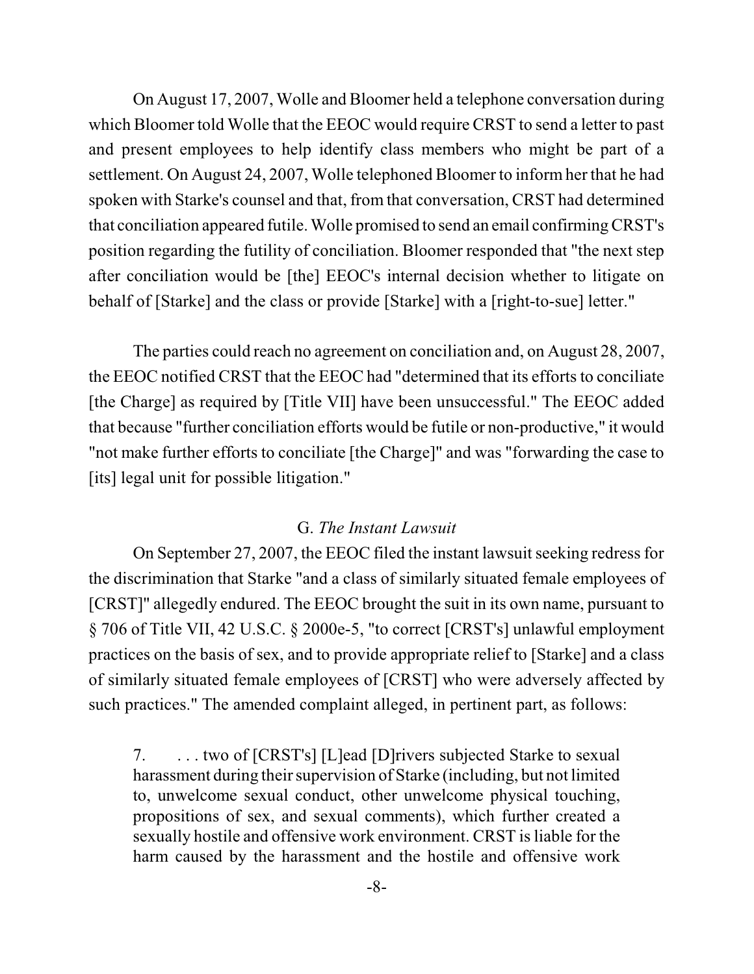On August 17, 2007, Wolle and Bloomer held a telephone conversation during which Bloomer told Wolle that the EEOC would require CRST to send a letter to past and present employees to help identify class members who might be part of a settlement. On August 24, 2007, Wolle telephoned Bloomer to inform her that he had spoken with Starke's counsel and that, from that conversation, CRST had determined that conciliation appeared futile. Wolle promised to send an email confirmingCRST's position regarding the futility of conciliation. Bloomer responded that "the next step after conciliation would be [the] EEOC's internal decision whether to litigate on behalf of [Starke] and the class or provide [Starke] with a [right-to-sue] letter."

The parties could reach no agreement on conciliation and, on August 28, 2007, the EEOC notified CRST that the EEOC had "determined that its efforts to conciliate [the Charge] as required by [Title VII] have been unsuccessful." The EEOC added that because "further conciliation efforts would be futile or non-productive," it would "not make further efforts to conciliate [the Charge]" and was "forwarding the case to [its] legal unit for possible litigation."

### G. *The Instant Lawsuit*

On September 27, 2007, the EEOC filed the instant lawsuit seeking redress for the discrimination that Starke "and a class of similarly situated female employees of [CRST]" allegedly endured. The EEOC brought the suit in its own name, pursuant to § 706 of Title VII, 42 U.S.C. § 2000e-5, "to correct [CRST's] unlawful employment practices on the basis of sex, and to provide appropriate relief to [Starke] and a class of similarly situated female employees of [CRST] who were adversely affected by such practices." The amended complaint alleged, in pertinent part, as follows:

7. . . . two of [CRST's] [L]ead [D]rivers subjected Starke to sexual harassment during their supervision of Starke (including, but not limited to, unwelcome sexual conduct, other unwelcome physical touching, propositions of sex, and sexual comments), which further created a sexually hostile and offensive work environment. CRST is liable for the harm caused by the harassment and the hostile and offensive work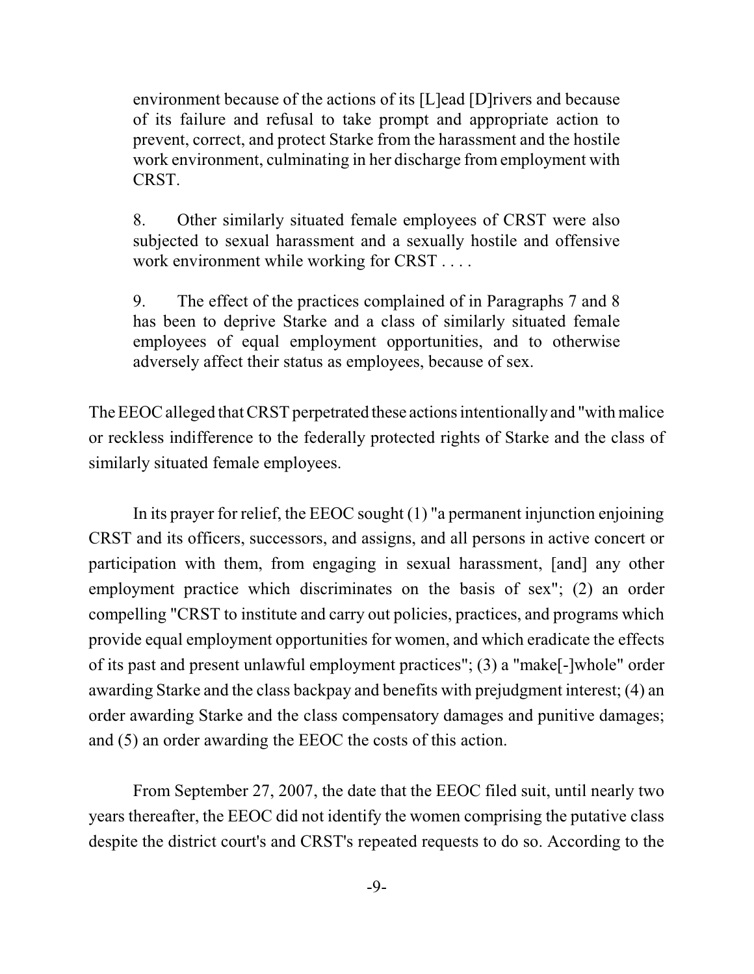environment because of the actions of its [L]ead [D]rivers and because of its failure and refusal to take prompt and appropriate action to prevent, correct, and protect Starke from the harassment and the hostile work environment, culminating in her discharge from employment with CRST.

8. Other similarly situated female employees of CRST were also subjected to sexual harassment and a sexually hostile and offensive work environment while working for CRST . . . .

9. The effect of the practices complained of in Paragraphs 7 and 8 has been to deprive Starke and a class of similarly situated female employees of equal employment opportunities, and to otherwise adversely affect their status as employees, because of sex.

The EEOC alleged that CRST perpetrated these actions intentionally and "with malice" or reckless indifference to the federally protected rights of Starke and the class of similarly situated female employees.

In its prayer for relief, the EEOC sought (1) "a permanent injunction enjoining CRST and its officers, successors, and assigns, and all persons in active concert or participation with them, from engaging in sexual harassment, [and] any other employment practice which discriminates on the basis of sex"; (2) an order compelling "CRST to institute and carry out policies, practices, and programs which provide equal employment opportunities for women, and which eradicate the effects of its past and present unlawful employment practices"; (3) a "make[-]whole" order awarding Starke and the class backpay and benefits with prejudgment interest; (4) an order awarding Starke and the class compensatory damages and punitive damages; and (5) an order awarding the EEOC the costs of this action.

From September 27, 2007, the date that the EEOC filed suit, until nearly two years thereafter, the EEOC did not identify the women comprising the putative class despite the district court's and CRST's repeated requests to do so. According to the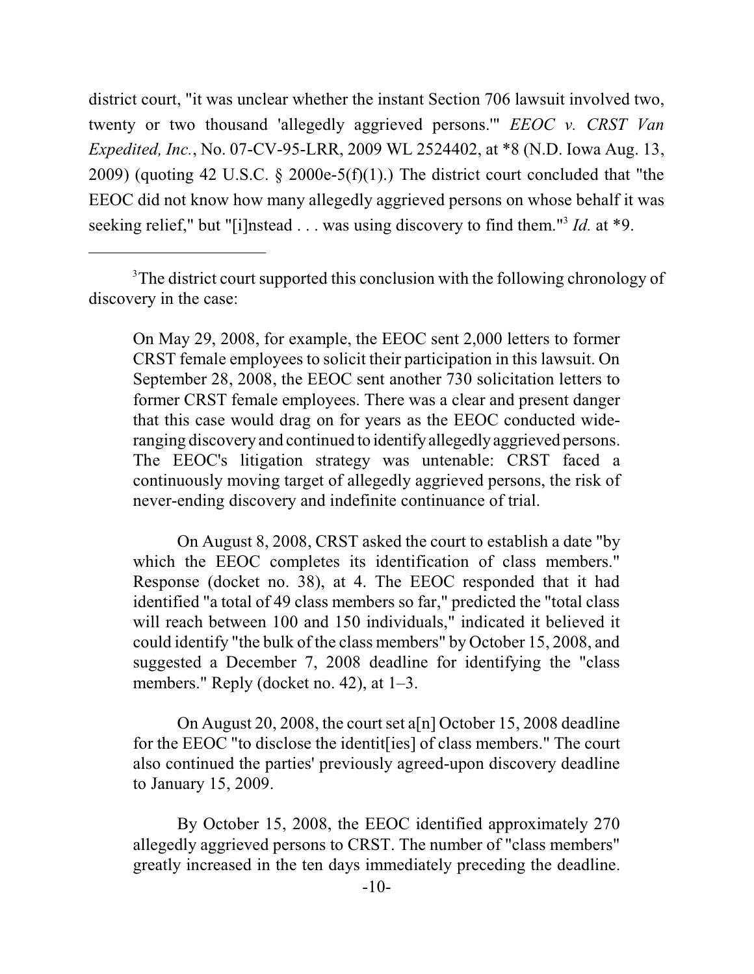district court, "it was unclear whether the instant Section 706 lawsuit involved two, twenty or two thousand 'allegedly aggrieved persons.'" *EEOC v. CRST Van Expedited, Inc.*, No. 07-CV-95-LRR, 2009 WL 2524402, at \*8 (N.D. Iowa Aug. 13, 2009) (quoting 42 U.S.C.  $\S$  2000e-5(f)(1).) The district court concluded that "the EEOC did not know how many allegedly aggrieved persons on whose behalf it was seeking relief," but "[i]nstead  $\ldots$  was using discovery to find them."<sup>3</sup> *Id.* at \*9.

On May 29, 2008, for example, the EEOC sent 2,000 letters to former CRST female employees to solicit their participation in this lawsuit. On September 28, 2008, the EEOC sent another 730 solicitation letters to former CRST female employees. There was a clear and present danger that this case would drag on for years as the EEOC conducted wideranging discovery and continued to identifyallegedlyaggrieved persons. The EEOC's litigation strategy was untenable: CRST faced a continuously moving target of allegedly aggrieved persons, the risk of never-ending discovery and indefinite continuance of trial.

On August 8, 2008, CRST asked the court to establish a date "by which the EEOC completes its identification of class members." Response (docket no. 38), at 4. The EEOC responded that it had identified "a total of 49 class members so far," predicted the "total class will reach between 100 and 150 individuals," indicated it believed it could identify "the bulk of the class members" by October 15, 2008, and suggested a December 7, 2008 deadline for identifying the "class members." Reply (docket no. 42), at 1–3.

On August 20, 2008, the court set a[n] October 15, 2008 deadline for the EEOC "to disclose the identit[ies] of class members." The court also continued the parties' previously agreed-upon discovery deadline to January 15, 2009.

By October 15, 2008, the EEOC identified approximately 270 allegedly aggrieved persons to CRST. The number of "class members" greatly increased in the ten days immediately preceding the deadline.

<sup>&</sup>lt;sup>3</sup>The district court supported this conclusion with the following chronology of discovery in the case: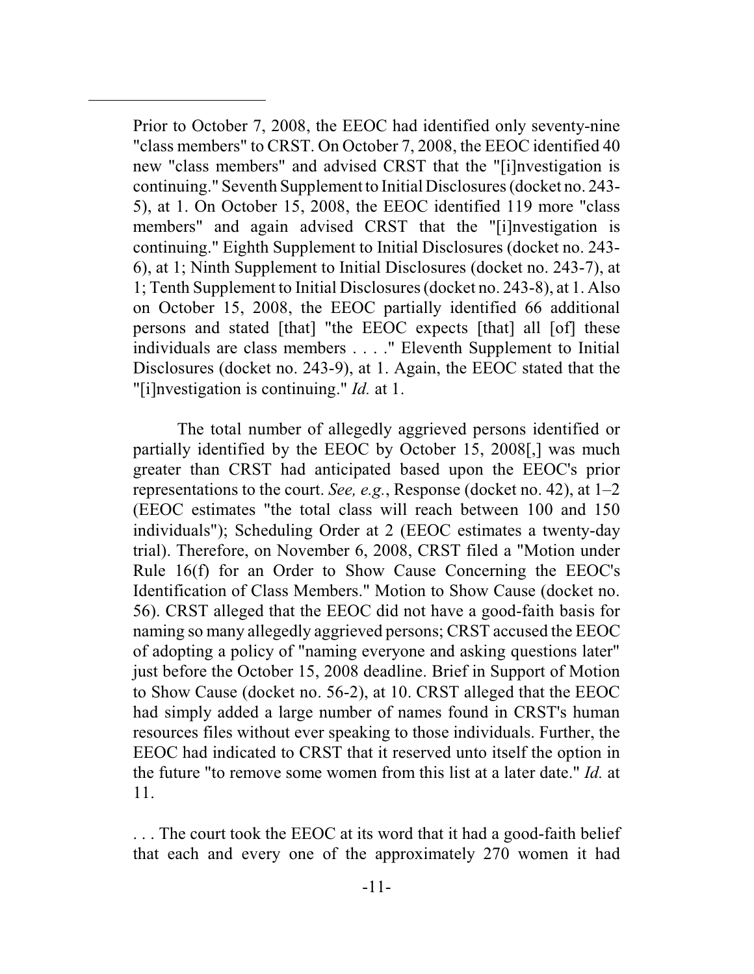Prior to October 7, 2008, the EEOC had identified only seventy-nine "class members" to CRST. On October 7, 2008, the EEOC identified 40 new "class members" and advised CRST that the "[i]nvestigation is continuing." Seventh Supplement to Initial Disclosures(docket no. 243- 5), at 1. On October 15, 2008, the EEOC identified 119 more "class members" and again advised CRST that the "[i]nvestigation is continuing." Eighth Supplement to Initial Disclosures (docket no. 243- 6), at 1; Ninth Supplement to Initial Disclosures (docket no. 243-7), at 1; Tenth Supplement to Initial Disclosures(docket no. 243-8), at 1. Also on October 15, 2008, the EEOC partially identified 66 additional persons and stated [that] "the EEOC expects [that] all [of] these individuals are class members . . . ." Eleventh Supplement to Initial Disclosures (docket no. 243-9), at 1. Again, the EEOC stated that the "[i]nvestigation is continuing." *Id.* at 1.

The total number of allegedly aggrieved persons identified or partially identified by the EEOC by October 15, 2008[,] was much greater than CRST had anticipated based upon the EEOC's prior representations to the court. *See, e.g.*, Response (docket no. 42), at 1–2 (EEOC estimates "the total class will reach between 100 and 150 individuals"); Scheduling Order at 2 (EEOC estimates a twenty-day trial). Therefore, on November 6, 2008, CRST filed a "Motion under Rule 16(f) for an Order to Show Cause Concerning the EEOC's Identification of Class Members." Motion to Show Cause (docket no. 56). CRST alleged that the EEOC did not have a good-faith basis for naming so many allegedly aggrieved persons; CRST accused the EEOC of adopting a policy of "naming everyone and asking questions later" just before the October 15, 2008 deadline. Brief in Support of Motion to Show Cause (docket no. 56-2), at 10. CRST alleged that the EEOC had simply added a large number of names found in CRST's human resources files without ever speaking to those individuals. Further, the EEOC had indicated to CRST that it reserved unto itself the option in the future "to remove some women from this list at a later date." *Id.* at 11.

. . . The court took the EEOC at its word that it had a good-faith belief that each and every one of the approximately 270 women it had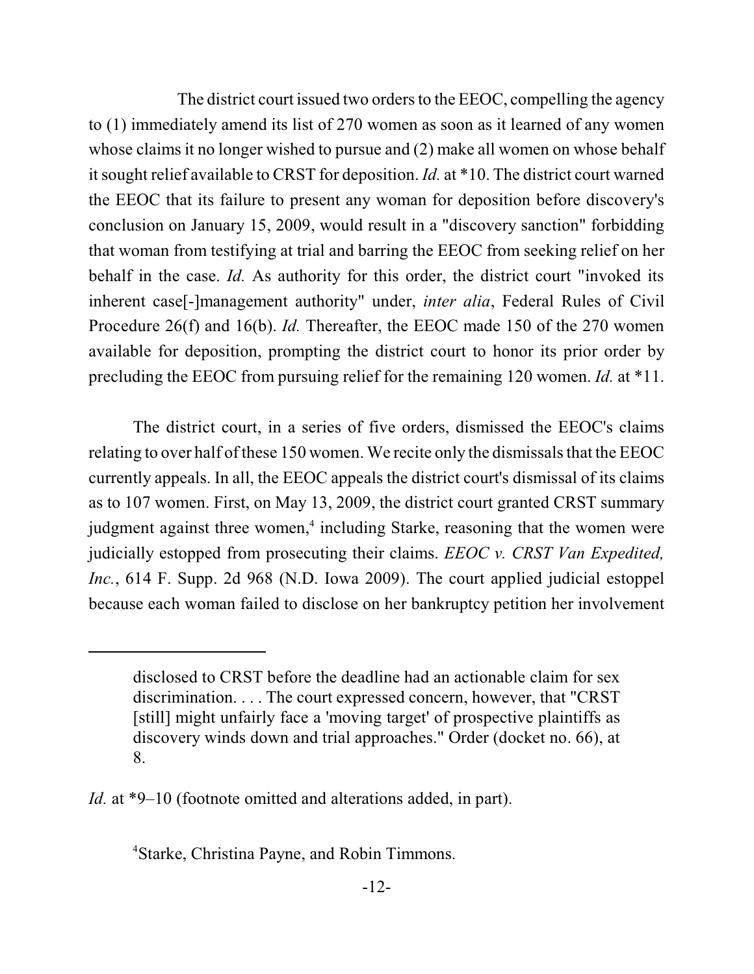The district court issued two orders to the EEOC, compelling the agency to (1) immediately amend its list of 270 women as soon as it learned of any women whose claims it no longer wished to pursue and (2) make all women on whose behalf it sought relief available to CRST for deposition. *Id.* at \*10. The district court warned the EEOC that its failure to present any woman for deposition before discovery's conclusion on January 15, 2009, would result in a "discovery sanction" forbidding that woman from testifying at trial and barring the EEOC from seeking relief on her behalf in the case. *Id.* As authority for this order, the district court "invoked its inherent case[-]management authority" under, *inter alia*, Federal Rules of Civil Procedure 26(f) and 16(b). *Id.* Thereafter, the EEOC made 150 of the 270 women available for deposition, prompting the district court to honor its prior order by precluding the EEOC from pursuing relief for the remaining 120 women. *Id.* at \*11.

The district court, in a series of five orders, dismissed the EEOC's claims relating to over half of these 150 women. We recite only the dismissals that the EEOC currently appeals. In all, the EEOC appeals the district court's dismissal of its claims as to 107 women. First, on May 13, 2009, the district court granted CRST summary judgment against three women,<sup>4</sup> including Starke, reasoning that the women were judicially estopped from prosecuting their claims. *EEOC v. CRST Van Expedited, Inc.*, 614 F. Supp. 2d 968 (N.D. Iowa 2009). The court applied judicial estoppel because each woman failed to disclose on her bankruptcy petition her involvement

Starke, Christina Payne, and Robin Timmons. <sup>4</sup>

disclosed to CRST before the deadline had an actionable claim for sex discrimination. . . . The court expressed concern, however, that "CRST [still] might unfairly face a 'moving target' of prospective plaintiffs as discovery winds down and trial approaches." Order (docket no. 66), at 8.

*Id.* at \*9–10 (footnote omitted and alterations added, in part).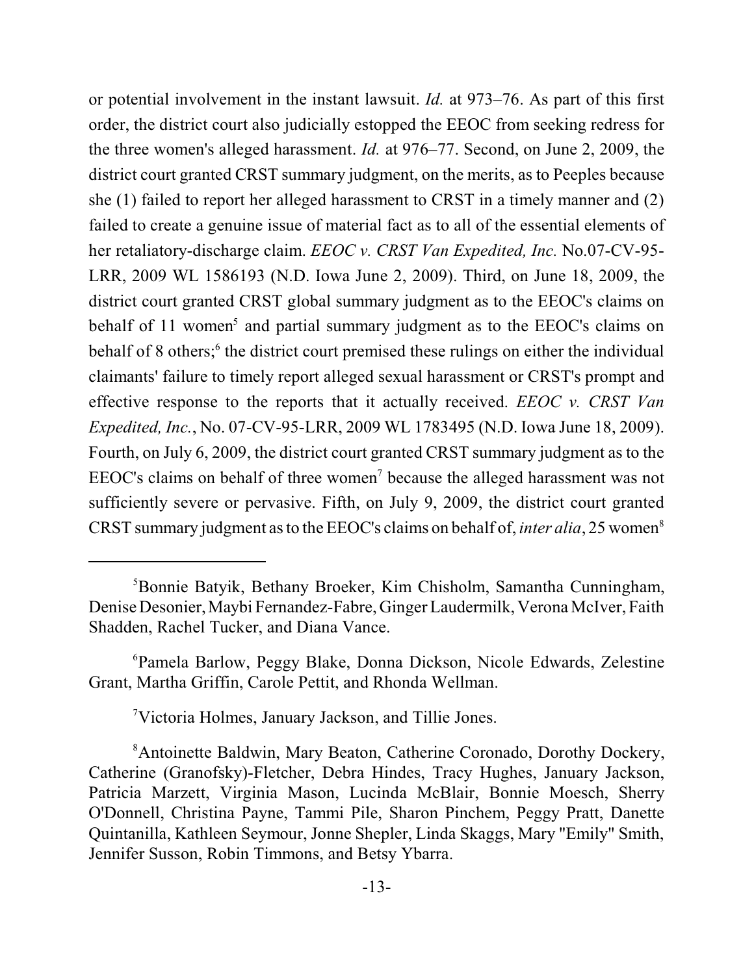or potential involvement in the instant lawsuit. *Id.* at 973–76. As part of this first order, the district court also judicially estopped the EEOC from seeking redress for the three women's alleged harassment. *Id.* at 976–77. Second, on June 2, 2009, the district court granted CRST summary judgment, on the merits, as to Peeples because she (1) failed to report her alleged harassment to CRST in a timely manner and (2) failed to create a genuine issue of material fact as to all of the essential elements of her retaliatory-discharge claim. *EEOC v. CRST Van Expedited, Inc.* No.07-CV-95- LRR, 2009 WL 1586193 (N.D. Iowa June 2, 2009). Third, on June 18, 2009, the district court granted CRST global summary judgment as to the EEOC's claims on behalf of 11 women<sup>5</sup> and partial summary judgment as to the EEOC's claims on behalf of 8 others;<sup>6</sup> the district court premised these rulings on either the individual claimants' failure to timely report alleged sexual harassment or CRST's prompt and effective response to the reports that it actually received. *EEOC v. CRST Van Expedited, Inc.*, No. 07-CV-95-LRR, 2009 WL 1783495 (N.D. Iowa June 18, 2009). Fourth, on July 6, 2009, the district court granted CRST summary judgment as to the EEOC's claims on behalf of three women<sup>7</sup> because the alleged harassment was not sufficiently severe or pervasive. Fifth, on July 9, 2009, the district court granted CRST summary judgment as to the EEOC's claims on behalf of, *inter alia*, 25 women<sup>8</sup>

Victoria Holmes, January Jackson, and Tillie Jones. <sup>7</sup>

<sup>&</sup>lt;sup>5</sup>Bonnie Batyik, Bethany Broeker, Kim Chisholm, Samantha Cunningham, Denise Desonier, Maybi Fernandez-Fabre, Ginger Laudermilk, Verona McIver, Faith Shadden, Rachel Tucker, and Diana Vance.

<sup>&</sup>lt;sup>6</sup>Pamela Barlow, Peggy Blake, Donna Dickson, Nicole Edwards, Zelestine Grant, Martha Griffin, Carole Pettit, and Rhonda Wellman.

<sup>&</sup>lt;sup>8</sup> Antoinette Baldwin, Mary Beaton, Catherine Coronado, Dorothy Dockery, Catherine (Granofsky)-Fletcher, Debra Hindes, Tracy Hughes, January Jackson, Patricia Marzett, Virginia Mason, Lucinda McBlair, Bonnie Moesch, Sherry O'Donnell, Christina Payne, Tammi Pile, Sharon Pinchem, Peggy Pratt, Danette Quintanilla, Kathleen Seymour, Jonne Shepler, Linda Skaggs, Mary "Emily" Smith, Jennifer Susson, Robin Timmons, and Betsy Ybarra.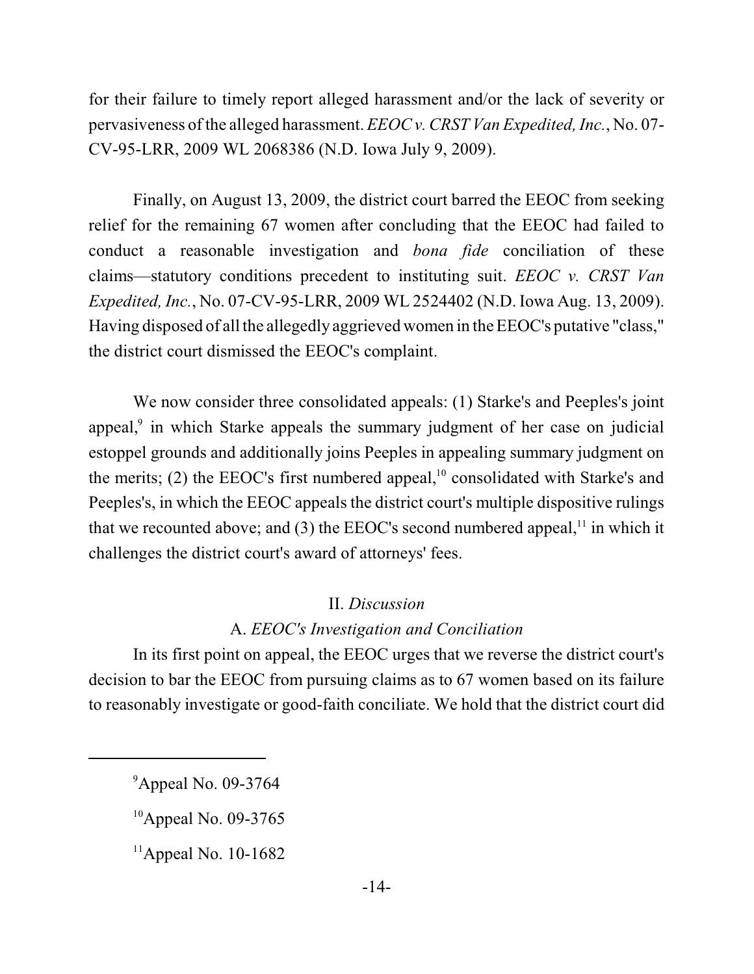for their failure to timely report alleged harassment and/or the lack of severity or pervasiveness of the alleged harassment. *EEOC v. CRST Van Expedited, Inc.*, No. 07- CV-95-LRR, 2009 WL 2068386 (N.D. Iowa July 9, 2009).

Finally, on August 13, 2009, the district court barred the EEOC from seeking relief for the remaining 67 women after concluding that the EEOC had failed to conduct a reasonable investigation and *bona fide* conciliation of these claims—statutory conditions precedent to instituting suit. *EEOC v. CRST Van Expedited, Inc.*, No. 07-CV-95-LRR, 2009 WL 2524402 (N.D. Iowa Aug. 13, 2009). Having disposed of all the allegedly aggrieved women in the EEOC's putative "class," the district court dismissed the EEOC's complaint.

We now consider three consolidated appeals: (1) Starke's and Peeples's joint appeal,<sup>9</sup> in which Starke appeals the summary judgment of her case on judicial estoppel grounds and additionally joins Peeples in appealing summary judgment on the merits; (2) the EEOC's first numbered appeal, $^{10}$  consolidated with Starke's and Peeples's, in which the EEOC appeals the district court's multiple dispositive rulings that we recounted above; and  $(3)$  the EEOC's second numbered appeal,<sup> $11$ </sup> in which it challenges the district court's award of attorneys' fees.

#### II. *Discussion*

### A. *EEOC's Investigation and Conciliation*

In its first point on appeal, the EEOC urges that we reverse the district court's decision to bar the EEOC from pursuing claims as to 67 women based on its failure to reasonably investigate or good-faith conciliate. We hold that the district court did

 $^9$ Appeal No. 09-3764

 $10$ Appeal No. 09-3765

 $11$ Appeal No. 10-1682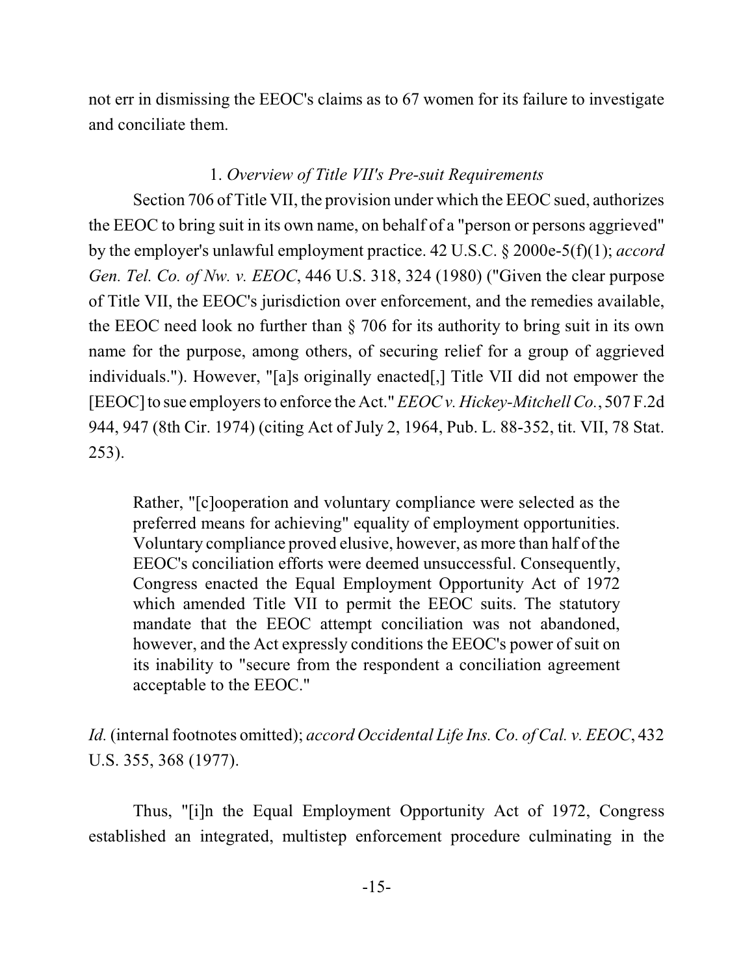not err in dismissing the EEOC's claims as to 67 women for its failure to investigate and conciliate them.

# 1. *Overview of Title VII's Pre-suit Requirements*

Section 706 of Title VII, the provision under which the EEOC sued, authorizes the EEOC to bring suit in its own name, on behalf of a "person or persons aggrieved" by the employer's unlawful employment practice. 42 U.S.C. § 2000e-5(f)(1); *accord Gen. Tel. Co. of Nw. v. EEOC*, 446 U.S. 318, 324 (1980) ("Given the clear purpose of Title VII, the EEOC's jurisdiction over enforcement, and the remedies available, the EEOC need look no further than § 706 for its authority to bring suit in its own name for the purpose, among others, of securing relief for a group of aggrieved individuals."). However, "[a]s originally enacted[,] Title VII did not empower the [EEOC] to sue employers to enforce the Act." *EEOC v. Hickey-MitchellCo.*, 507 F.2d 944, 947 (8th Cir. 1974) (citing Act of July 2, 1964, Pub. L. 88-352, tit. VII, 78 Stat. 253).

Rather, "[c]ooperation and voluntary compliance were selected as the preferred means for achieving" equality of employment opportunities. Voluntary compliance proved elusive, however, as more than half of the EEOC's conciliation efforts were deemed unsuccessful. Consequently, Congress enacted the Equal Employment Opportunity Act of 1972 which amended Title VII to permit the EEOC suits. The statutory mandate that the EEOC attempt conciliation was not abandoned, however, and the Act expressly conditions the EEOC's power of suit on its inability to "secure from the respondent a conciliation agreement acceptable to the EEOC."

*Id.* (internal footnotes omitted); *accord Occidental Life Ins. Co. of Cal. v. EEOC*, 432 U.S. 355, 368 (1977).

Thus, "[i]n the Equal Employment Opportunity Act of 1972, Congress established an integrated, multistep enforcement procedure culminating in the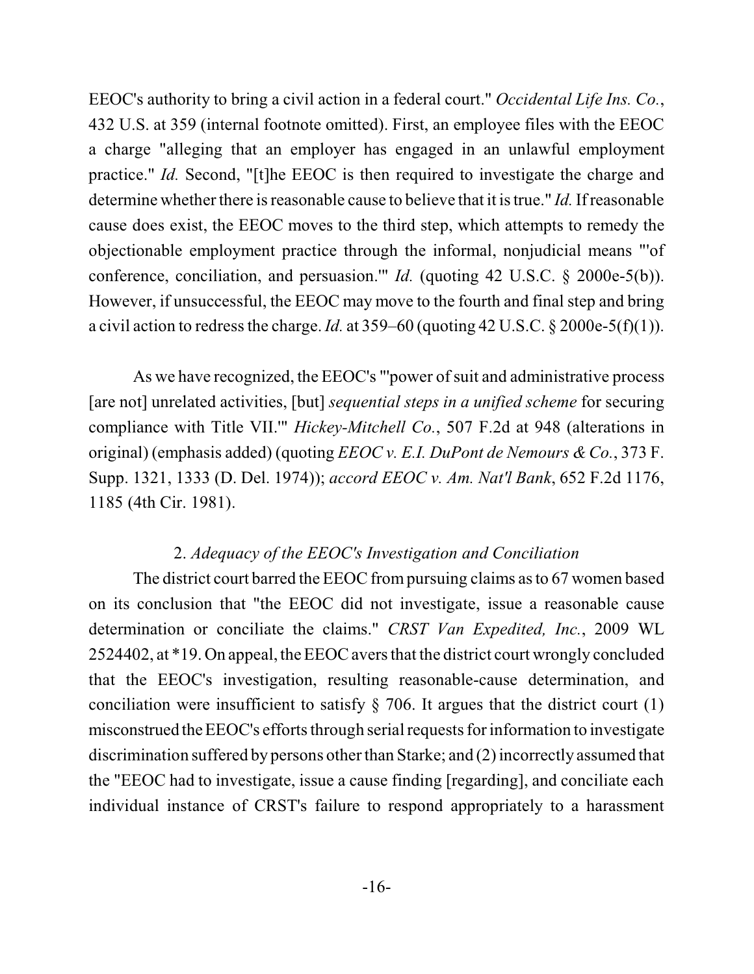EEOC's authority to bring a civil action in a federal court." *Occidental Life Ins. Co.*, 432 U.S. at 359 (internal footnote omitted). First, an employee files with the EEOC a charge "alleging that an employer has engaged in an unlawful employment practice." *Id.* Second, "[t]he EEOC is then required to investigate the charge and determine whether there is reasonable cause to believe that it is true." *Id.* If reasonable cause does exist, the EEOC moves to the third step, which attempts to remedy the objectionable employment practice through the informal, nonjudicial means "'of conference, conciliation, and persuasion.'" *Id.* (quoting 42 U.S.C. § 2000e-5(b)). However, if unsuccessful, the EEOC may move to the fourth and final step and bring a civil action to redress the charge. *Id.* at 359–60 (quoting 42 U.S.C. § 2000e-5(f)(1)).

As we have recognized, the EEOC's "'power of suit and administrative process [are not] unrelated activities, [but] *sequential steps in a unified scheme* for securing compliance with Title VII.'" *Hickey-Mitchell Co.*, 507 F.2d at 948 (alterations in original) (emphasis added) (quoting *EEOC v. E.I. DuPont de Nemours & Co.*, 373 F. Supp. 1321, 1333 (D. Del. 1974)); *accord EEOC v. Am. Nat'l Bank*, 652 F.2d 1176, 1185 (4th Cir. 1981).

# 2. *Adequacy of the EEOC's Investigation and Conciliation*

The district court barred the EEOC frompursuing claims asto 67 women based on its conclusion that "the EEOC did not investigate, issue a reasonable cause determination or conciliate the claims." *CRST Van Expedited, Inc.*, 2009 WL 2524402, at \*19. On appeal, the EEOC aversthat the district court wrongly concluded that the EEOC's investigation, resulting reasonable-cause determination, and conciliation were insufficient to satisfy  $\S$  706. It argues that the district court (1) misconstrued the EEOC's efforts through serial requests for information to investigate discrimination suffered by persons other than Starke; and (2) incorrectly assumed that the "EEOC had to investigate, issue a cause finding [regarding], and conciliate each individual instance of CRST's failure to respond appropriately to a harassment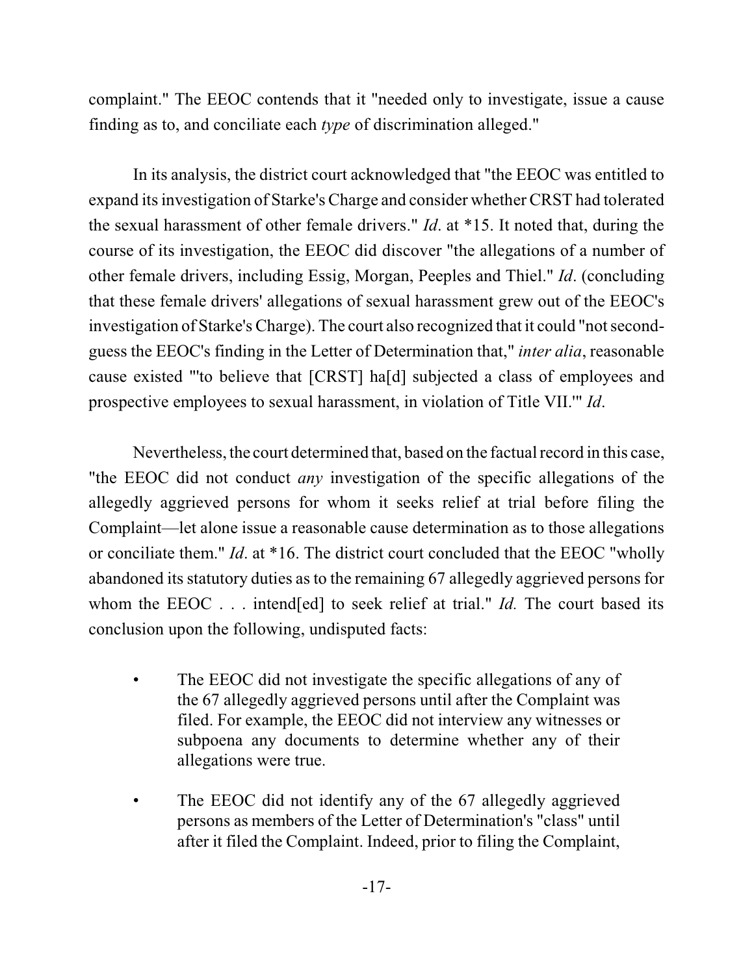complaint." The EEOC contends that it "needed only to investigate, issue a cause finding as to, and conciliate each *type* of discrimination alleged."

In its analysis, the district court acknowledged that "the EEOC was entitled to expand its investigation of Starke's Charge and consider whether CRST had tolerated the sexual harassment of other female drivers." *Id*. at \*15. It noted that, during the course of its investigation, the EEOC did discover "the allegations of a number of other female drivers, including Essig, Morgan, Peeples and Thiel." *Id*. (concluding that these female drivers' allegations of sexual harassment grew out of the EEOC's investigation of Starke's Charge). The court also recognized that it could "not secondguess the EEOC's finding in the Letter of Determination that," *inter alia*, reasonable cause existed "'to believe that [CRST] ha[d] subjected a class of employees and prospective employees to sexual harassment, in violation of Title VII.'" *Id*.

Nevertheless, the court determined that, based on the factual record in this case, "the EEOC did not conduct *any* investigation of the specific allegations of the allegedly aggrieved persons for whom it seeks relief at trial before filing the Complaint—let alone issue a reasonable cause determination as to those allegations or conciliate them." *Id*. at \*16. The district court concluded that the EEOC "wholly abandoned its statutory duties as to the remaining 67 allegedly aggrieved persons for whom the EEOC . . . intend[ed] to seek relief at trial." *Id.* The court based its conclusion upon the following, undisputed facts:

- The EEOC did not investigate the specific allegations of any of the 67 allegedly aggrieved persons until after the Complaint was filed. For example, the EEOC did not interview any witnesses or subpoena any documents to determine whether any of their allegations were true.
- The EEOC did not identify any of the 67 allegedly aggrieved persons as members of the Letter of Determination's "class" until after it filed the Complaint. Indeed, prior to filing the Complaint,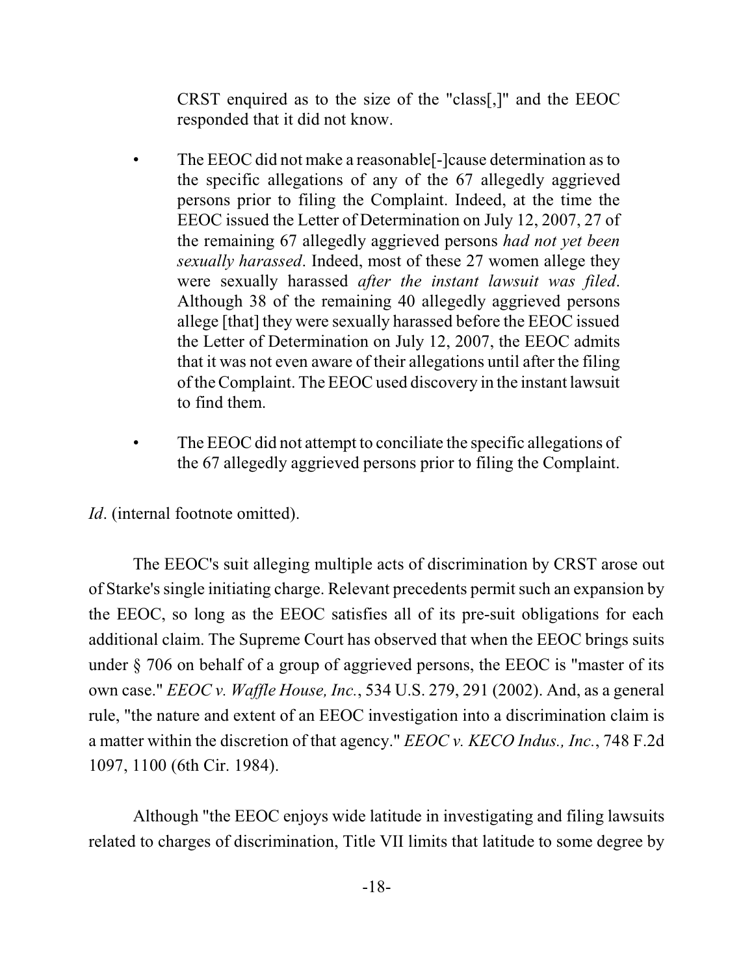CRST enquired as to the size of the "class[,]" and the EEOC responded that it did not know.

- The EEOC did not make a reasonable<sup>[</sup>-]cause determination as to the specific allegations of any of the 67 allegedly aggrieved persons prior to filing the Complaint. Indeed, at the time the EEOC issued the Letter of Determination on July 12, 2007, 27 of the remaining 67 allegedly aggrieved persons *had not yet been sexually harassed*. Indeed, most of these 27 women allege they were sexually harassed *after the instant lawsuit was filed*. Although 38 of the remaining 40 allegedly aggrieved persons allege [that] they were sexually harassed before the EEOC issued the Letter of Determination on July 12, 2007, the EEOC admits that it was not even aware of their allegations until after the filing ofthe Complaint. The EEOC used discovery in the instant lawsuit to find them.
- The EEOC did not attempt to conciliate the specific allegations of the 67 allegedly aggrieved persons prior to filing the Complaint.

*Id.* (internal footnote omitted).

The EEOC's suit alleging multiple acts of discrimination by CRST arose out of Starke'ssingle initiating charge. Relevant precedents permit such an expansion by the EEOC, so long as the EEOC satisfies all of its pre-suit obligations for each additional claim. The Supreme Court has observed that when the EEOC brings suits under § 706 on behalf of a group of aggrieved persons, the EEOC is "master of its own case." *EEOC v. Waffle House, Inc.*, 534 U.S. 279, 291 (2002). And, as a general rule, "the nature and extent of an EEOC investigation into a discrimination claim is a matter within the discretion of that agency." *EEOC v. KECO Indus., Inc.*, 748 F.2d 1097, 1100 (6th Cir. 1984).

Although "the EEOC enjoys wide latitude in investigating and filing lawsuits related to charges of discrimination, Title VII limits that latitude to some degree by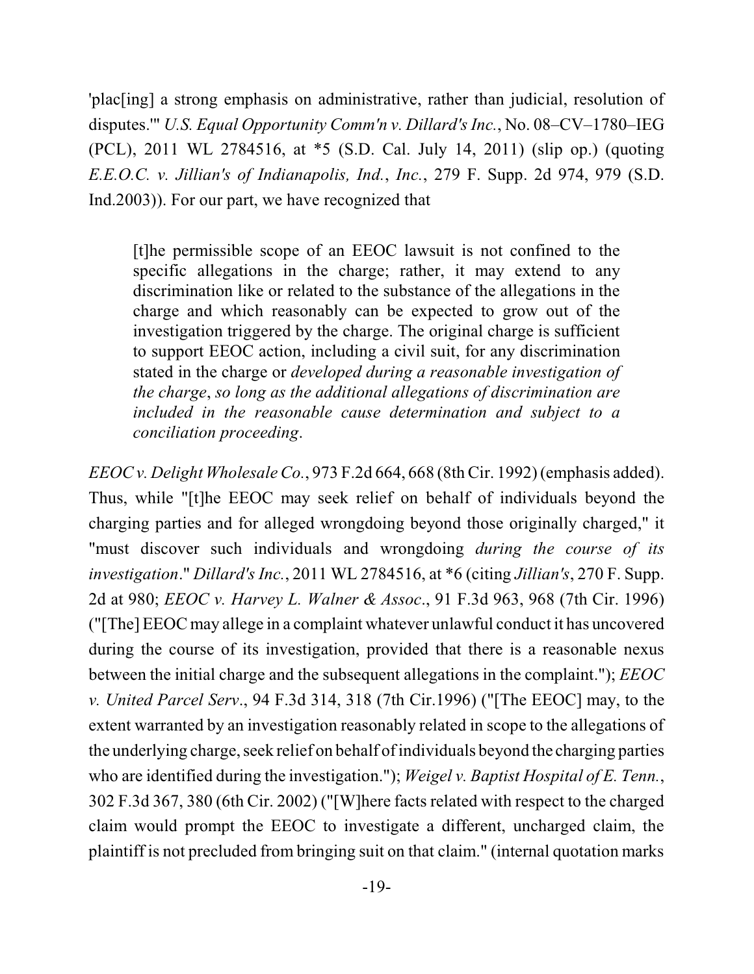'plac[ing] a strong emphasis on administrative, rather than judicial, resolution of disputes.'" *U.S. Equal Opportunity Comm'n v. Dillard's Inc.*, No. 08–CV–1780–IEG (PCL), 2011 WL 2784516, at \*5 (S.D. Cal. July 14, 2011) (slip op.) (quoting *E.E.O.C. v. Jillian's of Indianapolis, Ind.*, *Inc.*, 279 F. Supp. 2d 974, 979 (S.D. Ind.2003)). For our part, we have recognized that

[t]he permissible scope of an EEOC lawsuit is not confined to the specific allegations in the charge; rather, it may extend to any discrimination like or related to the substance of the allegations in the charge and which reasonably can be expected to grow out of the investigation triggered by the charge. The original charge is sufficient to support EEOC action, including a civil suit, for any discrimination stated in the charge or *developed during a reasonable investigation of the charge*, *so long as the additional allegations of discrimination are included in the reasonable cause determination and subject to a conciliation proceeding*.

*EEOC v. Delight WholesaleCo.*, 973 F.2d 664, 668 (8thCir. 1992) (emphasis added). Thus, while "[t]he EEOC may seek relief on behalf of individuals beyond the charging parties and for alleged wrongdoing beyond those originally charged," it "must discover such individuals and wrongdoing *during the course of its investigation*." *Dillard's Inc.*, 2011 WL 2784516, at \*6 (citing *Jillian's*, 270 F. Supp. 2d at 980; *EEOC v. Harvey L. Walner & Assoc*., 91 F.3d 963, 968 (7th Cir. 1996) ("[The] EEOC may allege in a complaint whatever unlawful conduct it has uncovered during the course of its investigation, provided that there is a reasonable nexus between the initial charge and the subsequent allegations in the complaint."); *EEOC v. United Parcel Serv*., 94 F.3d 314, 318 (7th Cir.1996) ("[The EEOC] may, to the extent warranted by an investigation reasonably related in scope to the allegations of the underlying charge, seek relief on behalf ofindividuals beyond the charging parties who are identified during the investigation."); *Weigel v. Baptist Hospital of E. Tenn.*, 302 F.3d 367, 380 (6th Cir. 2002) ("[W]here facts related with respect to the charged claim would prompt the EEOC to investigate a different, uncharged claim, the plaintiff is not precluded from bringing suit on that claim." (internal quotation marks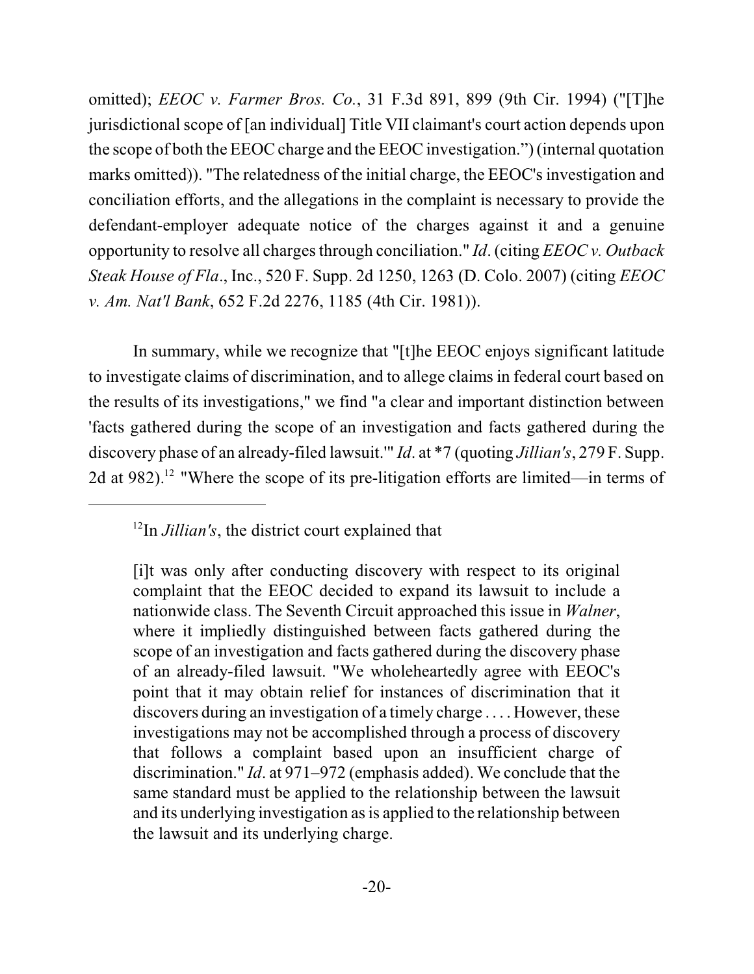omitted); *EEOC v. Farmer Bros. Co.*, 31 F.3d 891, 899 (9th Cir. 1994) ("[T]he jurisdictional scope of [an individual] Title VII claimant's court action depends upon the scope of both the EEOC charge and the EEOC investigation.") (internal quotation marks omitted)). "The relatedness of the initial charge, the EEOC's investigation and conciliation efforts, and the allegations in the complaint is necessary to provide the defendant-employer adequate notice of the charges against it and a genuine opportunity to resolve all charges through conciliation." *Id.* (citing *EEOC v. Outback Steak House of Fla*., Inc., 520 F. Supp. 2d 1250, 1263 (D. Colo. 2007) (citing *EEOC v. Am. Nat'l Bank*, 652 F.2d 2276, 1185 (4th Cir. 1981)).

In summary, while we recognize that "[t]he EEOC enjoys significant latitude to investigate claims of discrimination, and to allege claims in federal court based on the results of its investigations," we find "a clear and important distinction between 'facts gathered during the scope of an investigation and facts gathered during the discovery phase of an already-filed lawsuit.'" *Id*. at \*7 (quoting *Jillian's*, 279 F. Supp. 2d at 982).<sup>12</sup> "Where the scope of its pre-litigation efforts are limited—in terms of

 $12$ In *Jillian's*, the district court explained that

<sup>[</sup>i]t was only after conducting discovery with respect to its original complaint that the EEOC decided to expand its lawsuit to include a nationwide class. The Seventh Circuit approached this issue in *Walner*, where it impliedly distinguished between facts gathered during the scope of an investigation and facts gathered during the discovery phase of an already-filed lawsuit. "We wholeheartedly agree with EEOC's point that it may obtain relief for instances of discrimination that it discovers during an investigation of a timely charge . . . . However, these investigations may not be accomplished through a process of discovery that follows a complaint based upon an insufficient charge of discrimination." *Id*. at 971–972 (emphasis added). We conclude that the same standard must be applied to the relationship between the lawsuit and its underlying investigation as is applied to the relationship between the lawsuit and its underlying charge.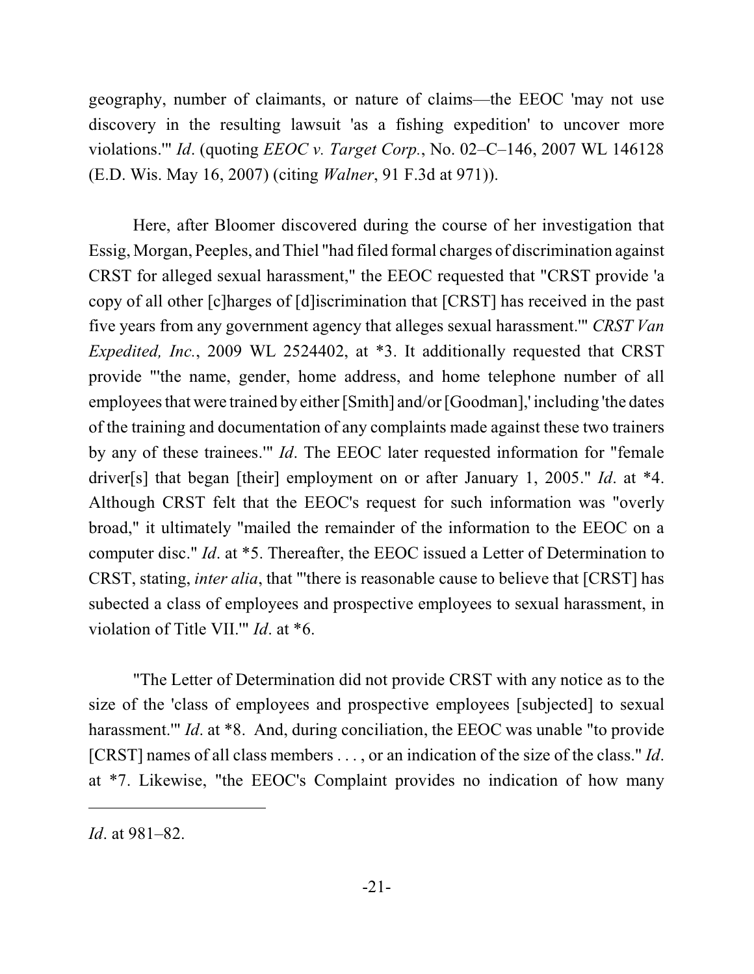geography, number of claimants, or nature of claims—the EEOC 'may not use discovery in the resulting lawsuit 'as a fishing expedition' to uncover more violations.'" *Id*. (quoting *EEOC v. Target Corp.*, No. 02–C–146, 2007 WL 146128 (E.D. Wis. May 16, 2007) (citing *Walner*, 91 F.3d at 971)).

Here, after Bloomer discovered during the course of her investigation that Essig, Morgan, Peeples, and Thiel "had filed formal charges of discrimination against CRST for alleged sexual harassment," the EEOC requested that "CRST provide 'a copy of all other [c]harges of [d]iscrimination that [CRST] has received in the past five years from any government agency that alleges sexual harassment.'" *CRST Van Expedited, Inc.*, 2009 WL 2524402, at \*3. It additionally requested that CRST provide "'the name, gender, home address, and home telephone number of all employees that were trained by either [Smith] and/or [Goodman],' including 'the dates of the training and documentation of any complaints made against these two trainers by any of these trainees.'" *Id*. The EEOC later requested information for "female driver[s] that began [their] employment on or after January 1, 2005." *Id*. at \*4. Although CRST felt that the EEOC's request for such information was "overly broad," it ultimately "mailed the remainder of the information to the EEOC on a computer disc." *Id*. at \*5. Thereafter, the EEOC issued a Letter of Determination to CRST, stating, *inter alia*, that "'there is reasonable cause to believe that [CRST] has subected a class of employees and prospective employees to sexual harassment, in violation of Title VII.'" *Id*. at \*6.

"The Letter of Determination did not provide CRST with any notice as to the size of the 'class of employees and prospective employees [subjected] to sexual harassment." *Id.* at \*8. And, during conciliation, the EEOC was unable "to provide" [CRST] names of all class members . . . , or an indication of the size of the class." *Id*. at \*7. Likewise, "the EEOC's Complaint provides no indication of how many

*Id*. at 981–82.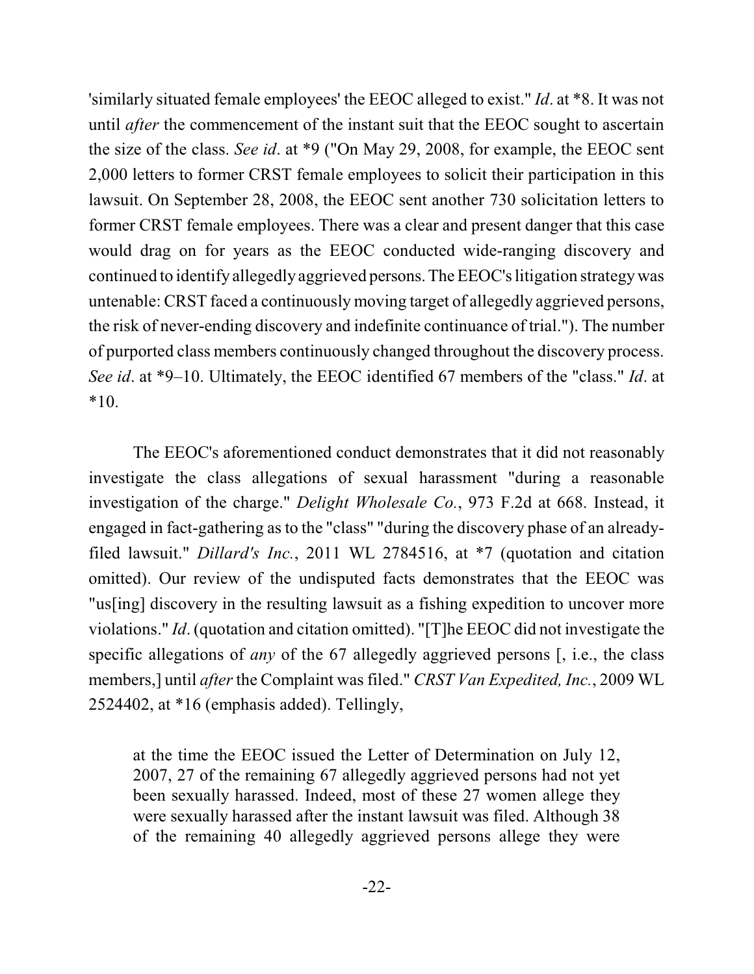'similarly situated female employees' the EEOC alleged to exist." *Id*. at \*8. It was not until *after* the commencement of the instant suit that the EEOC sought to ascertain the size of the class. *See id*. at \*9 ("On May 29, 2008, for example, the EEOC sent 2,000 letters to former CRST female employees to solicit their participation in this lawsuit. On September 28, 2008, the EEOC sent another 730 solicitation letters to former CRST female employees. There was a clear and present danger that this case would drag on for years as the EEOC conducted wide-ranging discovery and continued to identify allegedly aggrieved persons.TheEEOC's litigation strategywas untenable: CRST faced a continuously moving target of allegedly aggrieved persons, the risk of never-ending discovery and indefinite continuance of trial."). The number of purported class members continuously changed throughout the discovery process. *See id*. at \*9–10. Ultimately, the EEOC identified 67 members of the "class." *Id*. at  $*10.$ 

The EEOC's aforementioned conduct demonstrates that it did not reasonably investigate the class allegations of sexual harassment "during a reasonable investigation of the charge." *Delight Wholesale Co.*, 973 F.2d at 668. Instead, it engaged in fact-gathering as to the "class" "during the discovery phase of an alreadyfiled lawsuit." *Dillard's Inc.*, 2011 WL 2784516, at \*7 (quotation and citation omitted). Our review of the undisputed facts demonstrates that the EEOC was "us[ing] discovery in the resulting lawsuit as a fishing expedition to uncover more violations." *Id*. (quotation and citation omitted). "[T]he EEOC did not investigate the specific allegations of *any* of the 67 allegedly aggrieved persons [, i.e., the class members,] until *after* the Complaint was filed." *CRST Van Expedited, Inc.*, 2009 WL 2524402, at \*16 (emphasis added). Tellingly,

at the time the EEOC issued the Letter of Determination on July 12, 2007, 27 of the remaining 67 allegedly aggrieved persons had not yet been sexually harassed. Indeed, most of these 27 women allege they were sexually harassed after the instant lawsuit was filed. Although 38 of the remaining 40 allegedly aggrieved persons allege they were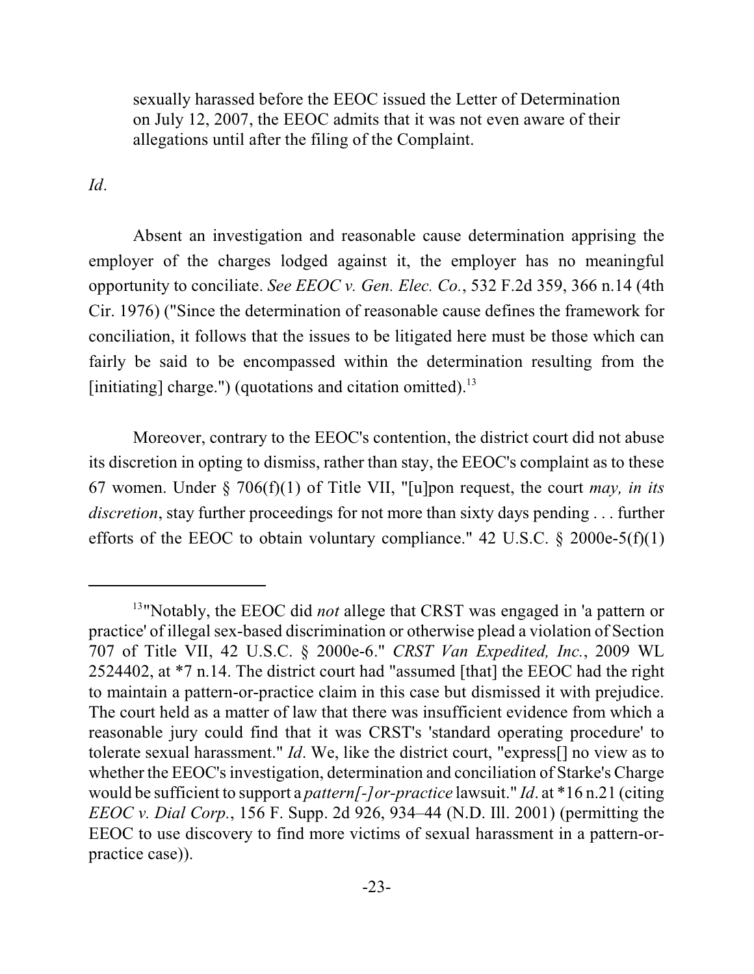sexually harassed before the EEOC issued the Letter of Determination on July 12, 2007, the EEOC admits that it was not even aware of their allegations until after the filing of the Complaint.

*Id*.

Absent an investigation and reasonable cause determination apprising the employer of the charges lodged against it, the employer has no meaningful opportunity to conciliate. *See EEOC v. Gen. Elec. Co.*, 532 F.2d 359, 366 n.14 (4th Cir. 1976) ("Since the determination of reasonable cause defines the framework for conciliation, it follows that the issues to be litigated here must be those which can fairly be said to be encompassed within the determination resulting from the [initiating] charge.") (quotations and citation omitted).<sup>13</sup>

Moreover, contrary to the EEOC's contention, the district court did not abuse its discretion in opting to dismiss, rather than stay, the EEOC's complaint as to these 67 women. Under § 706(f)(1) of Title VII, "[u]pon request, the court *may, in its discretion*, stay further proceedings for not more than sixty days pending . . . further efforts of the EEOC to obtain voluntary compliance." 42 U.S.C.  $\S$  2000e-5(f)(1)

<sup>&</sup>lt;sup>13</sup>"Notably, the EEOC did *not* allege that CRST was engaged in 'a pattern or practice' of illegal sex-based discrimination or otherwise plead a violation of Section 707 of Title VII, 42 U.S.C. § 2000e-6." *CRST Van Expedited, Inc.*, 2009 WL 2524402, at \*7 n.14. The district court had "assumed [that] the EEOC had the right to maintain a pattern-or-practice claim in this case but dismissed it with prejudice. The court held as a matter of law that there was insufficient evidence from which a reasonable jury could find that it was CRST's 'standard operating procedure' to tolerate sexual harassment." *Id*. We, like the district court, "express[] no view as to whether the EEOC's investigation, determination and conciliation of Starke's Charge would be sufficient to support a *pattern[-]or-practice* lawsuit." *Id*. at \*16 n.21 (citing *EEOC v. Dial Corp.*, 156 F. Supp. 2d 926, 934–44 (N.D. Ill. 2001) (permitting the EEOC to use discovery to find more victims of sexual harassment in a pattern-orpractice case)).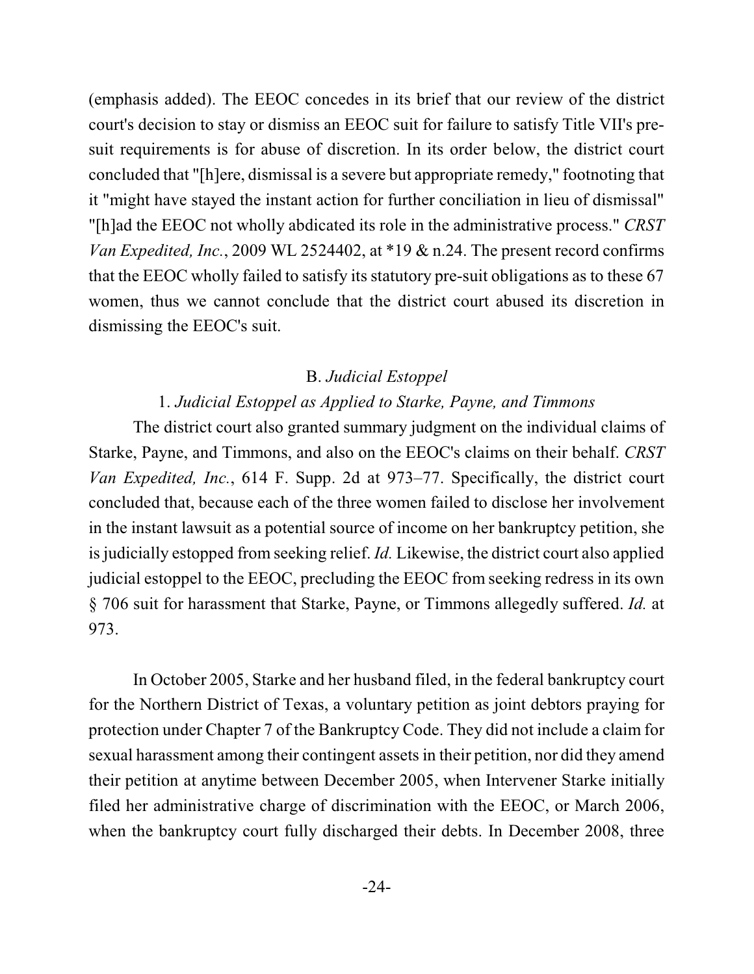(emphasis added). The EEOC concedes in its brief that our review of the district court's decision to stay or dismiss an EEOC suit for failure to satisfy Title VII's presuit requirements is for abuse of discretion. In its order below, the district court concluded that "[h]ere, dismissal is a severe but appropriate remedy," footnoting that it "might have stayed the instant action for further conciliation in lieu of dismissal" "[h]ad the EEOC not wholly abdicated its role in the administrative process." *CRST Van Expedited, Inc.*, 2009 WL 2524402, at \*19 & n.24. The present record confirms that the EEOC wholly failed to satisfy its statutory pre-suit obligations as to these 67 women, thus we cannot conclude that the district court abused its discretion in dismissing the EEOC's suit.

#### B. *Judicial Estoppel*

# 1. *Judicial Estoppel as Applied to Starke, Payne, and Timmons*

The district court also granted summary judgment on the individual claims of Starke, Payne, and Timmons, and also on the EEOC's claims on their behalf. *CRST Van Expedited, Inc.*, 614 F. Supp. 2d at 973–77. Specifically, the district court concluded that, because each of the three women failed to disclose her involvement in the instant lawsuit as a potential source of income on her bankruptcy petition, she is judicially estopped from seeking relief. *Id.* Likewise, the district court also applied judicial estoppel to the EEOC, precluding the EEOC from seeking redress in its own § 706 suit for harassment that Starke, Payne, or Timmons allegedly suffered. *Id.* at 973.

In October 2005, Starke and her husband filed, in the federal bankruptcy court for the Northern District of Texas, a voluntary petition as joint debtors praying for protection under Chapter 7 of the Bankruptcy Code. They did not include a claim for sexual harassment among their contingent assets in their petition, nor did they amend their petition at anytime between December 2005, when Intervener Starke initially filed her administrative charge of discrimination with the EEOC, or March 2006, when the bankruptcy court fully discharged their debts. In December 2008, three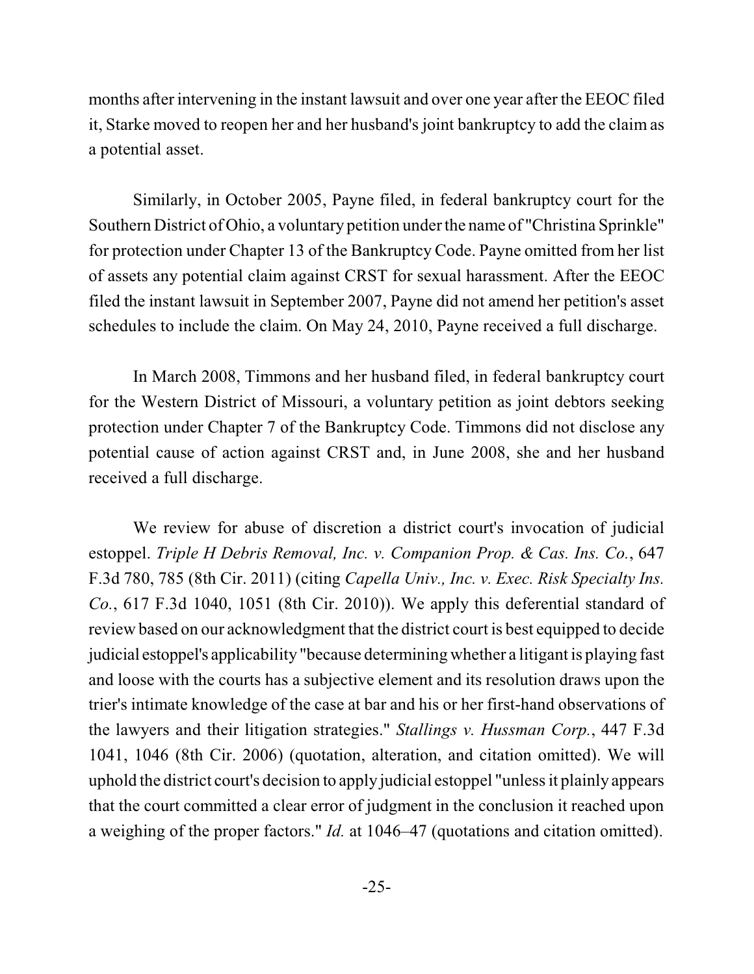months after intervening in the instant lawsuit and over one year after the EEOC filed it, Starke moved to reopen her and her husband's joint bankruptcy to add the claim as a potential asset.

Similarly, in October 2005, Payne filed, in federal bankruptcy court for the Southern District of Ohio, a voluntary petition under the name of "Christina Sprinkle" for protection under Chapter 13 of the Bankruptcy Code. Payne omitted from her list of assets any potential claim against CRST for sexual harassment. After the EEOC filed the instant lawsuit in September 2007, Payne did not amend her petition's asset schedules to include the claim. On May 24, 2010, Payne received a full discharge.

In March 2008, Timmons and her husband filed, in federal bankruptcy court for the Western District of Missouri, a voluntary petition as joint debtors seeking protection under Chapter 7 of the Bankruptcy Code. Timmons did not disclose any potential cause of action against CRST and, in June 2008, she and her husband received a full discharge.

We review for abuse of discretion a district court's invocation of judicial estoppel. *Triple H Debris Removal, Inc. v. Companion Prop. & Cas. Ins. Co.*, 647 F.3d 780, 785 (8th Cir. 2011) (citing *Capella Univ., Inc. v. Exec. Risk Specialty Ins. Co.*, 617 F.3d 1040, 1051 (8th Cir. 2010)). We apply this deferential standard of review based on our acknowledgment that the district court is best equipped to decide judicial estoppel's applicability "because determining whether a litigant is playing fast and loose with the courts has a subjective element and its resolution draws upon the trier's intimate knowledge of the case at bar and his or her first-hand observations of the lawyers and their litigation strategies." *Stallings v. Hussman Corp.*, 447 F.3d 1041, 1046 (8th Cir. 2006) (quotation, alteration, and citation omitted). We will uphold the district court's decision to apply judicial estoppel "unless it plainly appears that the court committed a clear error of judgment in the conclusion it reached upon a weighing of the proper factors." *Id.* at 1046–47 (quotations and citation omitted).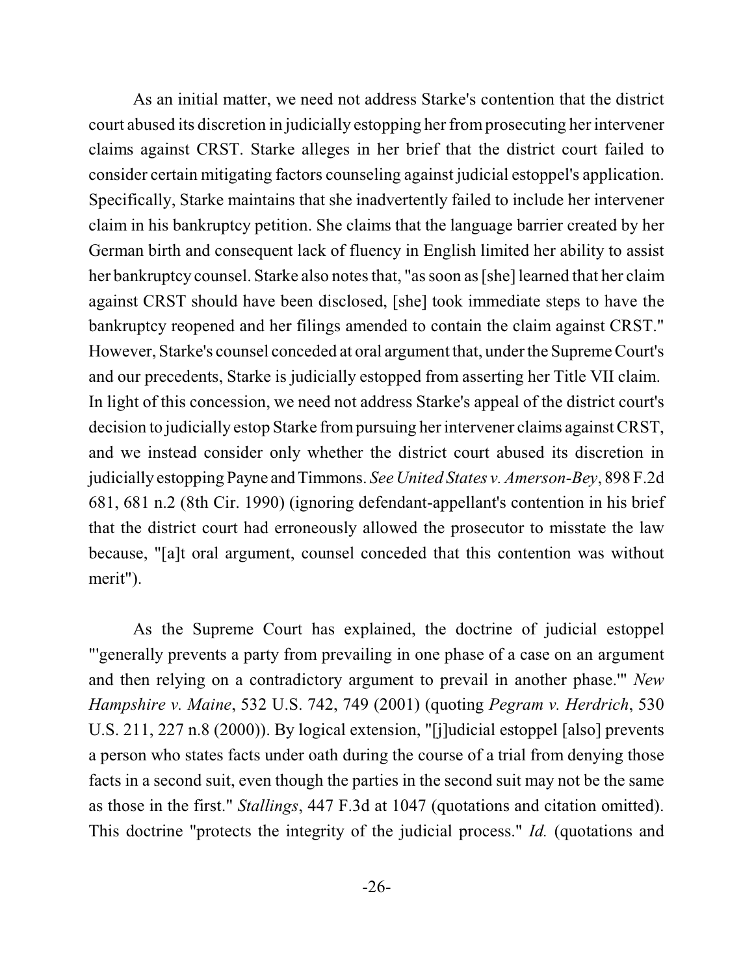As an initial matter, we need not address Starke's contention that the district court abused its discretion in judicially estopping her fromprosecuting her intervener claims against CRST. Starke alleges in her brief that the district court failed to consider certain mitigating factors counseling against judicial estoppel's application. Specifically, Starke maintains that she inadvertently failed to include her intervener claim in his bankruptcy petition. She claims that the language barrier created by her German birth and consequent lack of fluency in English limited her ability to assist her bankruptcy counsel. Starke also notes that, "as soon as [she] learned that her claim against CRST should have been disclosed, [she] took immediate steps to have the bankruptcy reopened and her filings amended to contain the claim against CRST." However, Starke's counsel conceded at oral argument that, under the Supreme Court's and our precedents, Starke is judicially estopped from asserting her Title VII claim. In light of this concession, we need not address Starke's appeal of the district court's decision to judicially estop Starke frompursuing her intervener claims against CRST, and we instead consider only whether the district court abused its discretion in judicially estopping Payne and Timmons. *See United States v. Amerson-Bey*, 898 F.2d 681, 681 n.2 (8th Cir. 1990) (ignoring defendant-appellant's contention in his brief that the district court had erroneously allowed the prosecutor to misstate the law because, "[a]t oral argument, counsel conceded that this contention was without merit").

As the Supreme Court has explained, the doctrine of judicial estoppel "'generally prevents a party from prevailing in one phase of a case on an argument and then relying on a contradictory argument to prevail in another phase.'" *New Hampshire v. Maine*, 532 U.S. 742, 749 (2001) (quoting *Pegram v. Herdrich*, 530 U.S. 211, 227 n.8 (2000)). By logical extension, "[j]udicial estoppel [also] prevents a person who states facts under oath during the course of a trial from denying those facts in a second suit, even though the parties in the second suit may not be the same as those in the first." *Stallings*, 447 F.3d at 1047 (quotations and citation omitted). This doctrine "protects the integrity of the judicial process." *Id.* (quotations and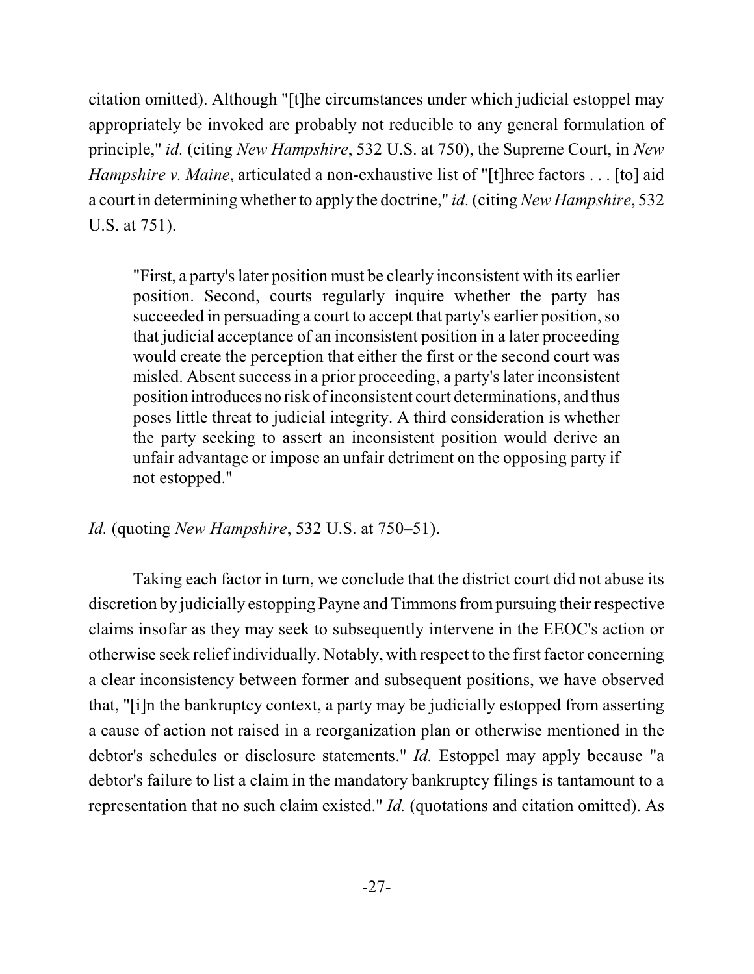citation omitted). Although "[t]he circumstances under which judicial estoppel may appropriately be invoked are probably not reducible to any general formulation of principle," *id.* (citing *New Hampshire*, 532 U.S. at 750), the Supreme Court, in *New Hampshire v. Maine*, articulated a non-exhaustive list of "[t]hree factors . . . [to] aid a court in determining whether to apply the doctrine," *id.*(citing *New Hampshire*, 532 U.S. at 751).

"First, a party's later position must be clearly inconsistent with its earlier position. Second, courts regularly inquire whether the party has succeeded in persuading a court to accept that party's earlier position, so that judicial acceptance of an inconsistent position in a later proceeding would create the perception that either the first or the second court was misled. Absent success in a prior proceeding, a party's later inconsistent position introduces no risk ofinconsistent court determinations, and thus poses little threat to judicial integrity. A third consideration is whether the party seeking to assert an inconsistent position would derive an unfair advantage or impose an unfair detriment on the opposing party if not estopped."

*Id.* (quoting *New Hampshire*, 532 U.S. at 750–51).

Taking each factor in turn, we conclude that the district court did not abuse its discretion by judicially estopping Payne and Timmons frompursuing their respective claims insofar as they may seek to subsequently intervene in the EEOC's action or otherwise seek relief individually. Notably, with respect to the first factor concerning a clear inconsistency between former and subsequent positions, we have observed that, "[i]n the bankruptcy context, a party may be judicially estopped from asserting a cause of action not raised in a reorganization plan or otherwise mentioned in the debtor's schedules or disclosure statements." *Id.* Estoppel may apply because "a debtor's failure to list a claim in the mandatory bankruptcy filings is tantamount to a representation that no such claim existed." *Id.* (quotations and citation omitted). As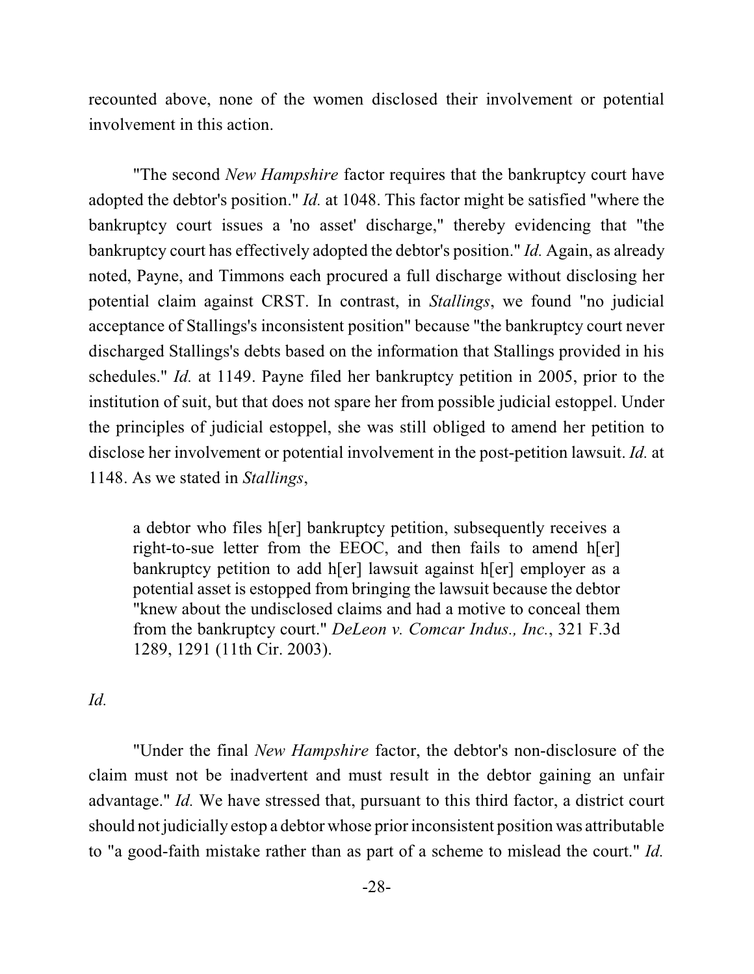recounted above, none of the women disclosed their involvement or potential involvement in this action.

"The second *New Hampshire* factor requires that the bankruptcy court have adopted the debtor's position." *Id.* at 1048. This factor might be satisfied "where the bankruptcy court issues a 'no asset' discharge," thereby evidencing that "the bankruptcy court has effectively adopted the debtor's position." *Id.* Again, as already noted, Payne, and Timmons each procured a full discharge without disclosing her potential claim against CRST. In contrast, in *Stallings*, we found "no judicial acceptance of Stallings's inconsistent position" because "the bankruptcy court never discharged Stallings's debts based on the information that Stallings provided in his schedules." *Id.* at 1149. Payne filed her bankruptcy petition in 2005, prior to the institution of suit, but that does not spare her from possible judicial estoppel. Under the principles of judicial estoppel, she was still obliged to amend her petition to disclose her involvement or potential involvement in the post-petition lawsuit. *Id.* at 1148. As we stated in *Stallings*,

a debtor who files h[er] bankruptcy petition, subsequently receives a right-to-sue letter from the EEOC, and then fails to amend h[er] bankruptcy petition to add h[er] lawsuit against h[er] employer as a potential asset is estopped from bringing the lawsuit because the debtor "knew about the undisclosed claims and had a motive to conceal them from the bankruptcy court." *DeLeon v. Comcar Indus., Inc.*, 321 F.3d 1289, 1291 (11th Cir. 2003).

### *Id.*

"Under the final *New Hampshire* factor, the debtor's non-disclosure of the claim must not be inadvertent and must result in the debtor gaining an unfair advantage." *Id.* We have stressed that, pursuant to this third factor, a district court should not judicially estop a debtor whose prior inconsistent position was attributable to "a good-faith mistake rather than as part of a scheme to mislead the court." *Id.*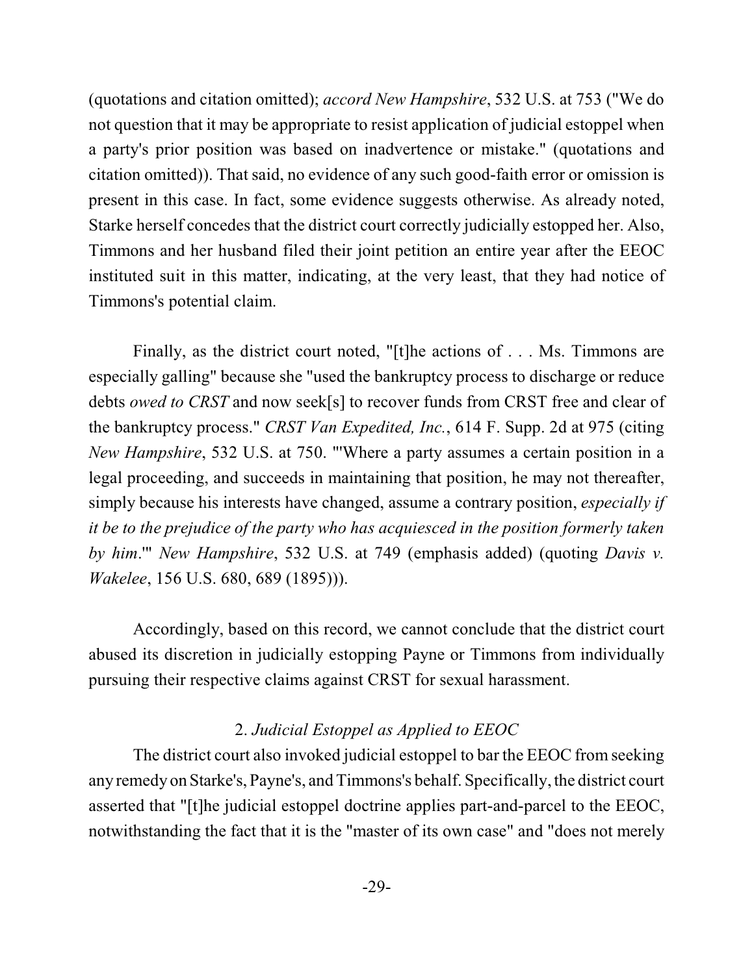(quotations and citation omitted); *accord New Hampshire*, 532 U.S. at 753 ("We do not question that it may be appropriate to resist application of judicial estoppel when a party's prior position was based on inadvertence or mistake." (quotations and citation omitted)). That said, no evidence of any such good-faith error or omission is present in this case. In fact, some evidence suggests otherwise. As already noted, Starke herself concedes that the district court correctly judicially estopped her. Also, Timmons and her husband filed their joint petition an entire year after the EEOC instituted suit in this matter, indicating, at the very least, that they had notice of Timmons's potential claim.

Finally, as the district court noted, "[t]he actions of . . . Ms. Timmons are especially galling" because she "used the bankruptcy process to discharge or reduce debts *owed to CRST* and now seek[s] to recover funds from CRST free and clear of the bankruptcy process." *CRST Van Expedited, Inc.*, 614 F. Supp. 2d at 975 (citing *New Hampshire*, 532 U.S. at 750. "'Where a party assumes a certain position in a legal proceeding, and succeeds in maintaining that position, he may not thereafter, simply because his interests have changed, assume a contrary position, *especially if it be to the prejudice of the party who has acquiesced in the position formerly taken by him*.'" *New Hampshire*, 532 U.S. at 749 (emphasis added) (quoting *Davis v. Wakelee*, 156 U.S. 680, 689 (1895))).

Accordingly, based on this record, we cannot conclude that the district court abused its discretion in judicially estopping Payne or Timmons from individually pursuing their respective claims against CRST for sexual harassment.

# 2. *Judicial Estoppel as Applied to EEOC*

The district court also invoked judicial estoppel to bar the EEOC from seeking any remedy on Starke's, Payne's, and Timmons's behalf. Specifically, the district court asserted that "[t]he judicial estoppel doctrine applies part-and-parcel to the EEOC, notwithstanding the fact that it is the "master of its own case" and "does not merely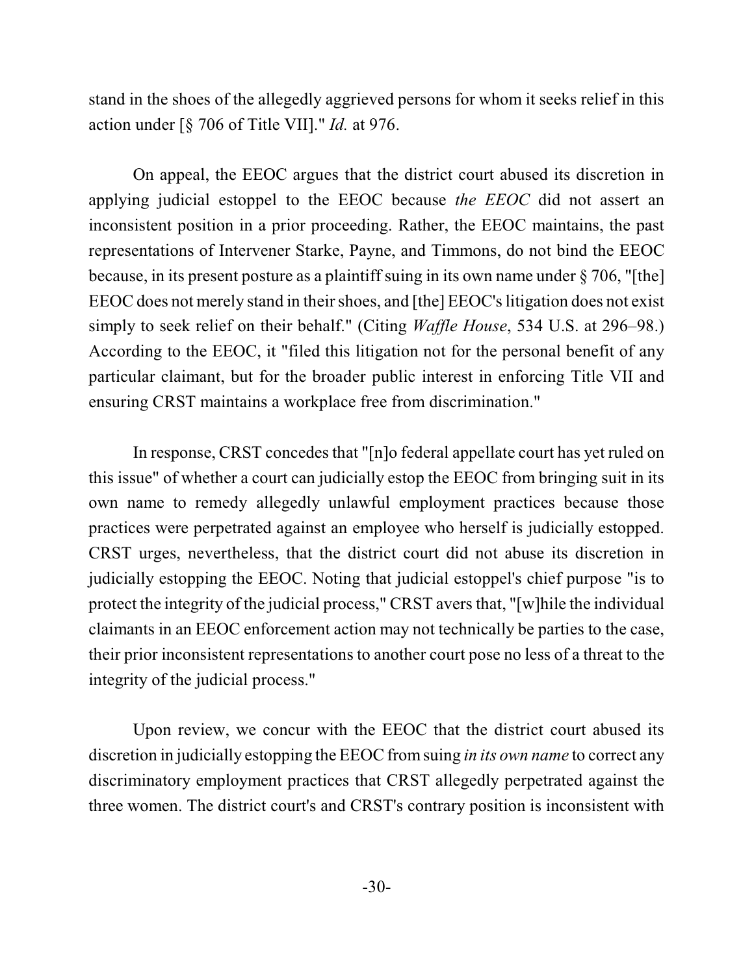stand in the shoes of the allegedly aggrieved persons for whom it seeks relief in this action under [§ 706 of Title VII]." *Id.* at 976.

On appeal, the EEOC argues that the district court abused its discretion in applying judicial estoppel to the EEOC because *the EEOC* did not assert an inconsistent position in a prior proceeding. Rather, the EEOC maintains, the past representations of Intervener Starke, Payne, and Timmons, do not bind the EEOC because, in its present posture as a plaintiff suing in its own name under § 706, "[the] EEOC does not merely stand in their shoes, and [the] EEOC's litigation does not exist simply to seek relief on their behalf." (Citing *Waffle House*, 534 U.S. at 296–98.) According to the EEOC, it "filed this litigation not for the personal benefit of any particular claimant, but for the broader public interest in enforcing Title VII and ensuring CRST maintains a workplace free from discrimination."

In response, CRST concedes that "[n]o federal appellate court has yet ruled on this issue" of whether a court can judicially estop the EEOC from bringing suit in its own name to remedy allegedly unlawful employment practices because those practices were perpetrated against an employee who herself is judicially estopped. CRST urges, nevertheless, that the district court did not abuse its discretion in judicially estopping the EEOC. Noting that judicial estoppel's chief purpose "is to protect the integrity of the judicial process," CRST avers that, "[w] hile the individual claimants in an EEOC enforcement action may not technically be parties to the case, their prior inconsistent representations to another court pose no less of a threat to the integrity of the judicial process."

Upon review, we concur with the EEOC that the district court abused its discretion in judicially estopping the EEOC fromsuing *in its own name* to correct any discriminatory employment practices that CRST allegedly perpetrated against the three women. The district court's and CRST's contrary position is inconsistent with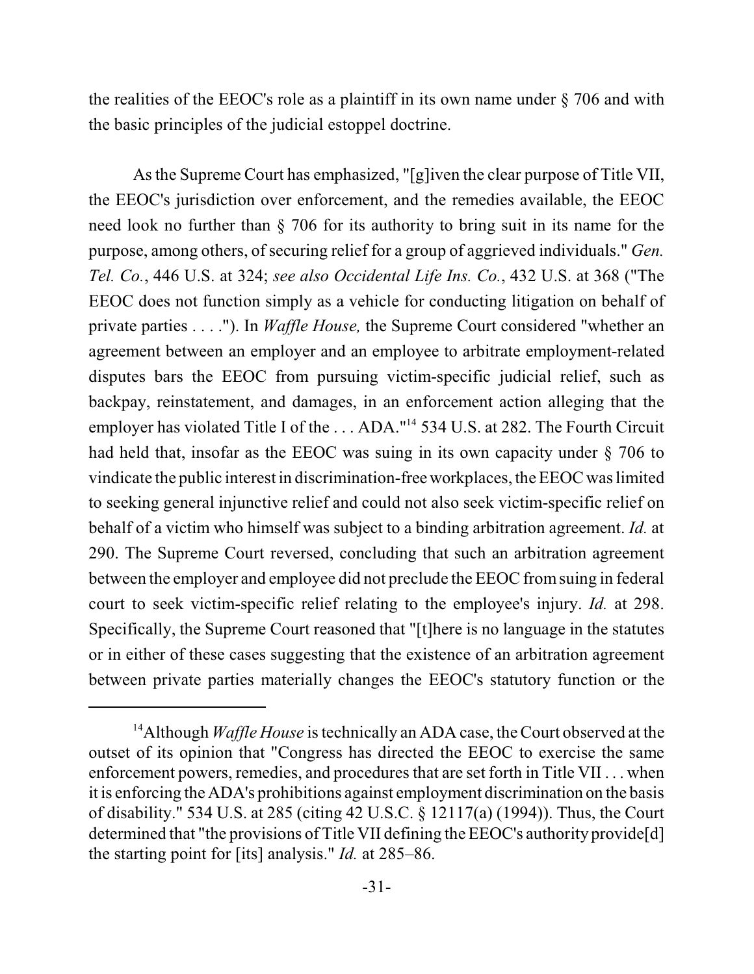the realities of the EEOC's role as a plaintiff in its own name under § 706 and with the basic principles of the judicial estoppel doctrine.

As the Supreme Court has emphasized, "[g]iven the clear purpose of Title VII, the EEOC's jurisdiction over enforcement, and the remedies available, the EEOC need look no further than § 706 for its authority to bring suit in its name for the purpose, among others, of securing relief for a group of aggrieved individuals." *Gen. Tel. Co.*, 446 U.S. at 324; *see also Occidental Life Ins. Co.*, 432 U.S. at 368 ("The EEOC does not function simply as a vehicle for conducting litigation on behalf of private parties . . . ."). In *Waffle House,* the Supreme Court considered "whether an agreement between an employer and an employee to arbitrate employment-related disputes bars the EEOC from pursuing victim-specific judicial relief, such as backpay, reinstatement, and damages, in an enforcement action alleging that the employer has violated Title I of the  $\dots$  ADA."<sup>14</sup> 534 U.S. at 282. The Fourth Circuit had held that, insofar as the EEOC was suing in its own capacity under § 706 to vindicate the public interest in discrimination-free workplaces, the EEOC waslimited to seeking general injunctive relief and could not also seek victim-specific relief on behalf of a victim who himself was subject to a binding arbitration agreement. *Id.* at 290. The Supreme Court reversed, concluding that such an arbitration agreement between the employer and employee did not preclude the EEOC fromsuing in federal court to seek victim-specific relief relating to the employee's injury. *Id.* at 298. Specifically, the Supreme Court reasoned that "[t]here is no language in the statutes or in either of these cases suggesting that the existence of an arbitration agreement between private parties materially changes the EEOC's statutory function or the

<sup>&</sup>lt;sup>14</sup> Although *Waffle House* is technically an ADA case, the Court observed at the outset of its opinion that "Congress has directed the EEOC to exercise the same enforcement powers, remedies, and procedures that are set forth in Title VII . . . when it is enforcing the ADA's prohibitions against employment discrimination on the basis of disability." 534 U.S. at 285 (citing 42 U.S.C. § 12117(a) (1994)). Thus, the Court determined that "the provisions of Title VII defining the EEOC's authority provide[d] the starting point for [its] analysis." *Id.* at 285–86.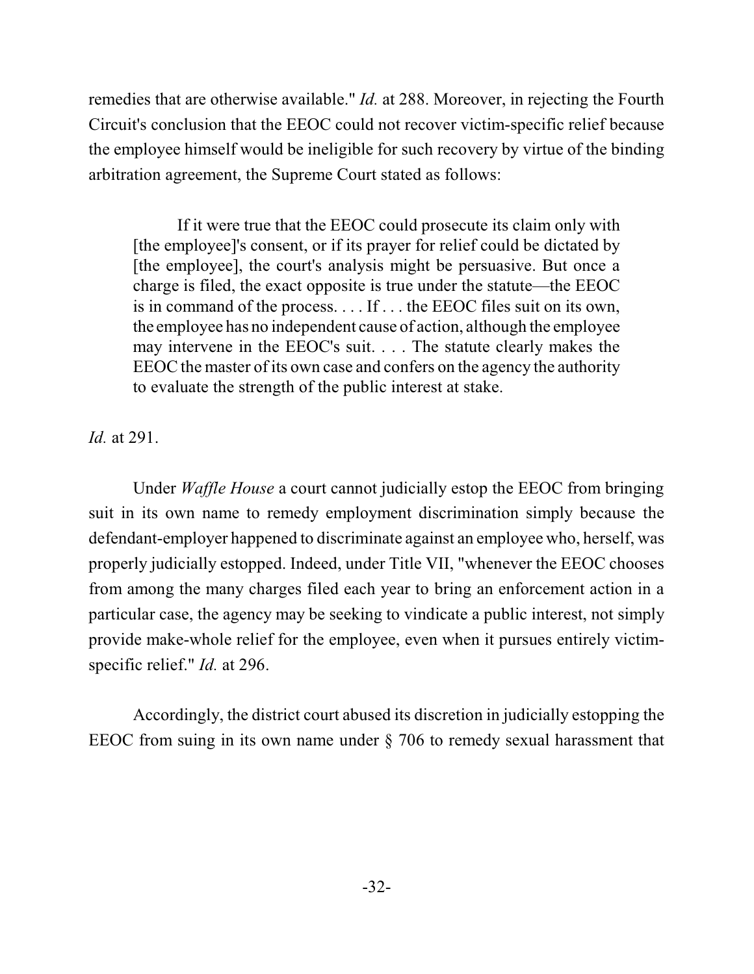remedies that are otherwise available." *Id.* at 288. Moreover, in rejecting the Fourth Circuit's conclusion that the EEOC could not recover victim-specific relief because the employee himself would be ineligible for such recovery by virtue of the binding arbitration agreement, the Supreme Court stated as follows:

If it were true that the EEOC could prosecute its claim only with [the employee]'s consent, or if its prayer for relief could be dictated by [the employee], the court's analysis might be persuasive. But once a charge is filed, the exact opposite is true under the statute—the EEOC is in command of the process. . . . If . . . the EEOC files suit on its own, the employee has no independent cause of action, although the employee may intervene in the EEOC's suit. . . . The statute clearly makes the EEOC the master of its own case and confers on the agency the authority to evaluate the strength of the public interest at stake.

*Id.* at 291.

Under *Waffle House* a court cannot judicially estop the EEOC from bringing suit in its own name to remedy employment discrimination simply because the defendant-employer happened to discriminate against an employee who, herself, was properly judicially estopped. Indeed, under Title VII, "whenever the EEOC chooses from among the many charges filed each year to bring an enforcement action in a particular case, the agency may be seeking to vindicate a public interest, not simply provide make-whole relief for the employee, even when it pursues entirely victimspecific relief." *Id.* at 296.

Accordingly, the district court abused its discretion in judicially estopping the EEOC from suing in its own name under § 706 to remedy sexual harassment that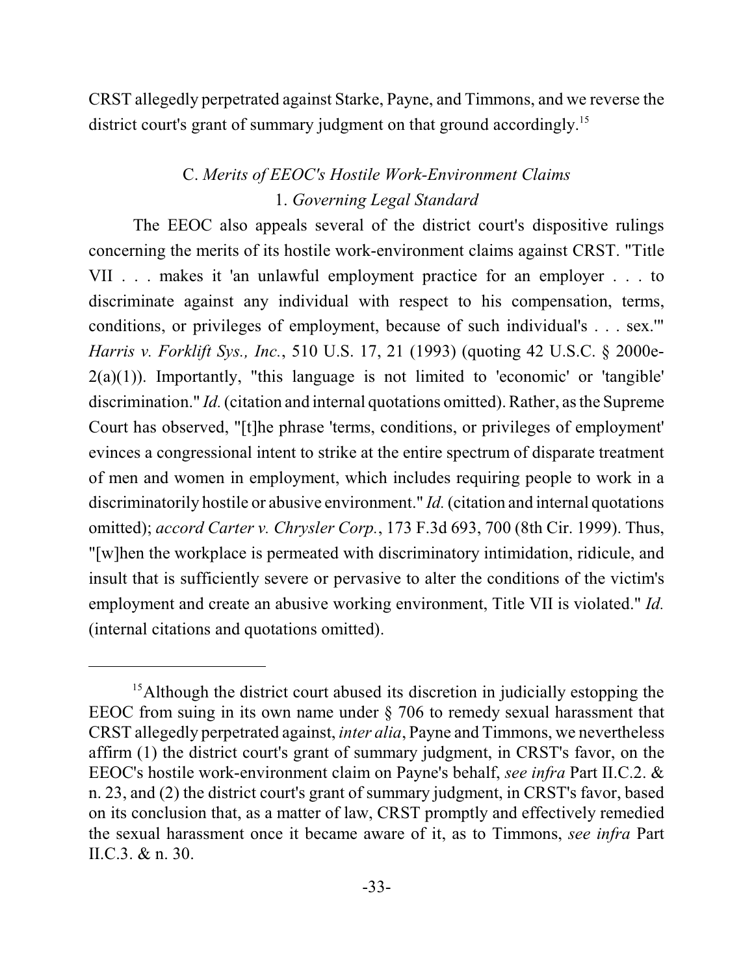CRST allegedly perpetrated against Starke, Payne, and Timmons, and we reverse the district court's grant of summary judgment on that ground accordingly.<sup>15</sup>

# C. *Merits of EEOC's Hostile Work-Environment Claims* 1. *Governing Legal Standard*

The EEOC also appeals several of the district court's dispositive rulings concerning the merits of its hostile work-environment claims against CRST. "Title VII . . . makes it 'an unlawful employment practice for an employer . . . to discriminate against any individual with respect to his compensation, terms, conditions, or privileges of employment, because of such individual's . . . sex.'" *Harris v. Forklift Sys., Inc.*, 510 U.S. 17, 21 (1993) (quoting 42 U.S.C. § 2000e- $2(a)(1)$ ). Importantly, "this language is not limited to 'economic' or 'tangible' discrimination." *Id.* (citation and internal quotations omitted). Rather, as the Supreme Court has observed, "[t]he phrase 'terms, conditions, or privileges of employment' evinces a congressional intent to strike at the entire spectrum of disparate treatment of men and women in employment, which includes requiring people to work in a discriminatorily hostile or abusive environment." *Id.* (citation and internal quotations omitted); *accord Carter v. Chrysler Corp.*, 173 F.3d 693, 700 (8th Cir. 1999). Thus, "[w]hen the workplace is permeated with discriminatory intimidation, ridicule, and insult that is sufficiently severe or pervasive to alter the conditions of the victim's employment and create an abusive working environment, Title VII is violated." *Id.* (internal citations and quotations omitted).

<sup>&</sup>lt;sup>15</sup> Although the district court abused its discretion in judicially estopping the EEOC from suing in its own name under § 706 to remedy sexual harassment that CRST allegedly perpetrated against, *inter alia*, Payne and Timmons, we nevertheless affirm (1) the district court's grant of summary judgment, in CRST's favor, on the EEOC's hostile work-environment claim on Payne's behalf, *see infra* Part II.C.2. & n. 23, and (2) the district court's grant of summary judgment, in CRST's favor, based on its conclusion that, as a matter of law, CRST promptly and effectively remedied the sexual harassment once it became aware of it, as to Timmons, *see infra* Part II.C.3. & n. 30.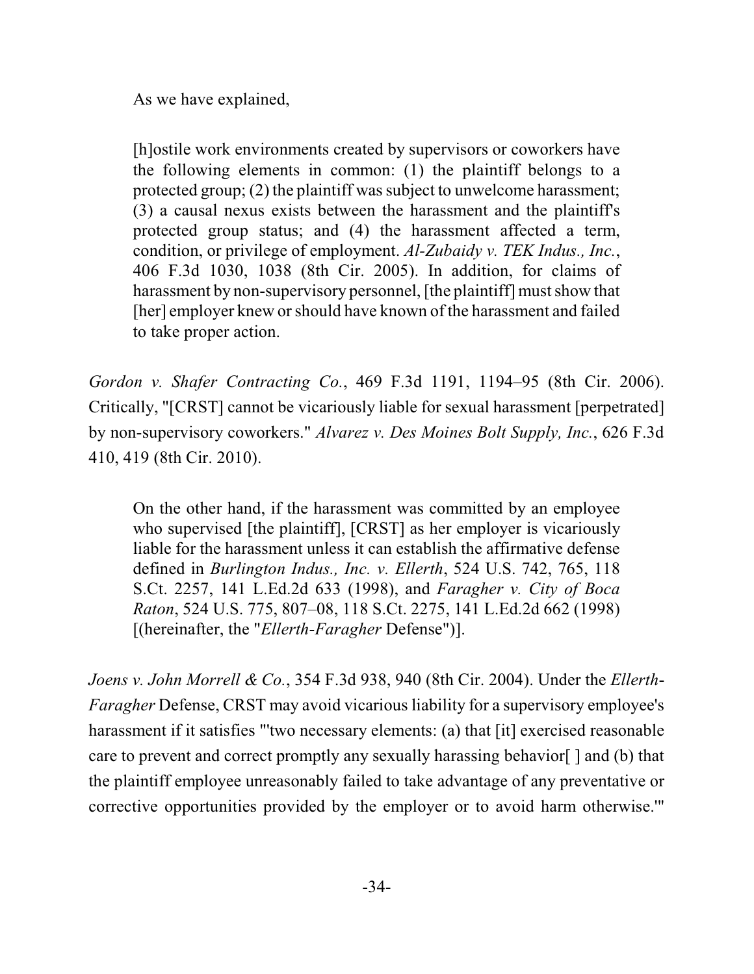As we have explained,

[h]ostile work environments created by supervisors or coworkers have the following elements in common: (1) the plaintiff belongs to a protected group;  $(2)$  the plaintiff was subject to unwelcome harassment; (3) a causal nexus exists between the harassment and the plaintiff's protected group status; and (4) the harassment affected a term, condition, or privilege of employment. *Al-Zubaidy v. TEK Indus., Inc.*, 406 F.3d 1030, 1038 (8th Cir. 2005). In addition, for claims of harassment by non-supervisory personnel, [the plaintiff] must show that [her] employer knew orshould have known of the harassment and failed to take proper action.

*Gordon v. Shafer Contracting Co.*, 469 F.3d 1191, 1194–95 (8th Cir. 2006). Critically, "[CRST] cannot be vicariously liable for sexual harassment [perpetrated] by non-supervisory coworkers." *Alvarez v. Des Moines Bolt Supply, Inc.*, 626 F.3d 410, 419 (8th Cir. 2010).

On the other hand, if the harassment was committed by an employee who supervised [the plaintiff], [CRST] as her employer is vicariously liable for the harassment unless it can establish the affirmative defense defined in *Burlington Indus., Inc. v. Ellerth*, 524 U.S. 742, 765, 118 S.Ct. 2257, 141 L.Ed.2d 633 (1998), and *Faragher v. City of Boca Raton*, 524 U.S. 775, 807–08, 118 S.Ct. 2275, 141 L.Ed.2d 662 (1998) [(hereinafter, the "*Ellerth*-*Faragher* Defense")].

*Joens v. John Morrell & Co.*, 354 F.3d 938, 940 (8th Cir. 2004). Under the *Ellerth*-*Faragher* Defense, CRST may avoid vicarious liability for a supervisory employee's harassment if it satisfies "'two necessary elements: (a) that [it] exercised reasonable care to prevent and correct promptly any sexually harassing behavior[ ] and (b) that the plaintiff employee unreasonably failed to take advantage of any preventative or corrective opportunities provided by the employer or to avoid harm otherwise.'"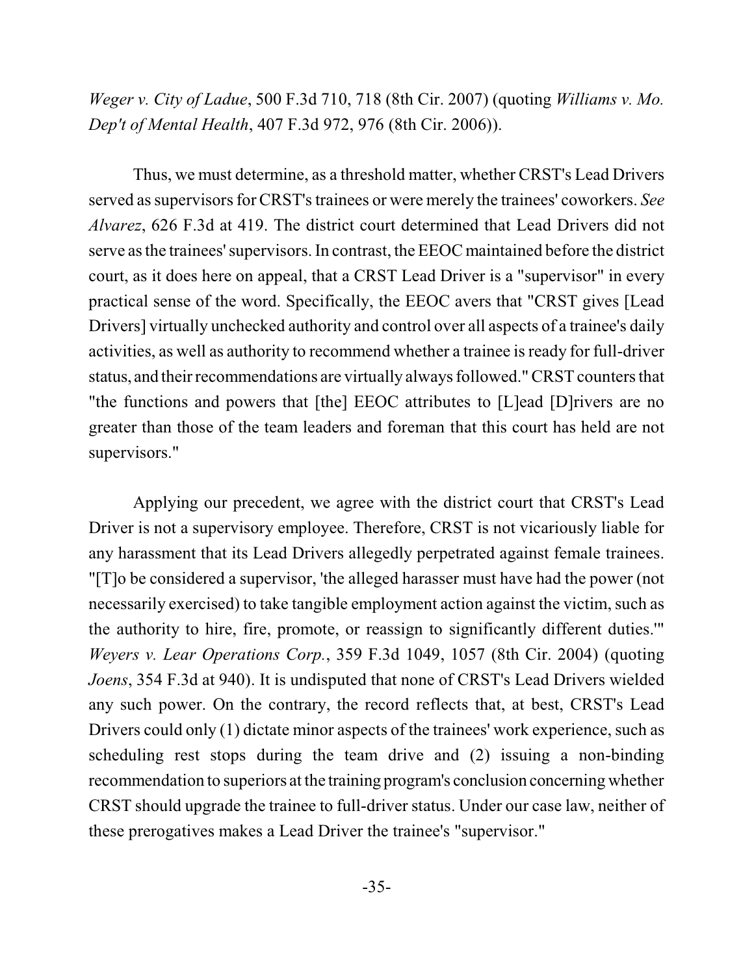*Weger v. City of Ladue*, 500 F.3d 710, 718 (8th Cir. 2007) (quoting *Williams v. Mo. Dep't of Mental Health*, 407 F.3d 972, 976 (8th Cir. 2006)).

Thus, we must determine, as a threshold matter, whether CRST's Lead Drivers served as supervisors for CRST's trainees or were merely the trainees' coworkers. See *Alvarez*, 626 F.3d at 419. The district court determined that Lead Drivers did not serve asthe trainees' supervisors. In contrast, the EEOC maintained before the district court, as it does here on appeal, that a CRST Lead Driver is a "supervisor" in every practical sense of the word. Specifically, the EEOC avers that "CRST gives [Lead Drivers] virtually unchecked authority and control over all aspects of a trainee's daily activities, as well as authority to recommend whether a trainee is ready for full-driver status, and their recommendations are virtually always followed."CRST countersthat "the functions and powers that [the] EEOC attributes to [L]ead [D]rivers are no greater than those of the team leaders and foreman that this court has held are not supervisors."

Applying our precedent, we agree with the district court that CRST's Lead Driver is not a supervisory employee. Therefore, CRST is not vicariously liable for any harassment that its Lead Drivers allegedly perpetrated against female trainees. "[T]o be considered a supervisor, 'the alleged harasser must have had the power (not necessarily exercised) to take tangible employment action against the victim, such as the authority to hire, fire, promote, or reassign to significantly different duties.'" *Weyers v. Lear Operations Corp.*, 359 F.3d 1049, 1057 (8th Cir. 2004) (quoting *Joens*, 354 F.3d at 940). It is undisputed that none of CRST's Lead Drivers wielded any such power. On the contrary, the record reflects that, at best, CRST's Lead Drivers could only (1) dictate minor aspects of the trainees' work experience, such as scheduling rest stops during the team drive and (2) issuing a non-binding recommendation to superiors at the training program's conclusion concerning whether CRST should upgrade the trainee to full-driver status. Under our case law, neither of these prerogatives makes a Lead Driver the trainee's "supervisor."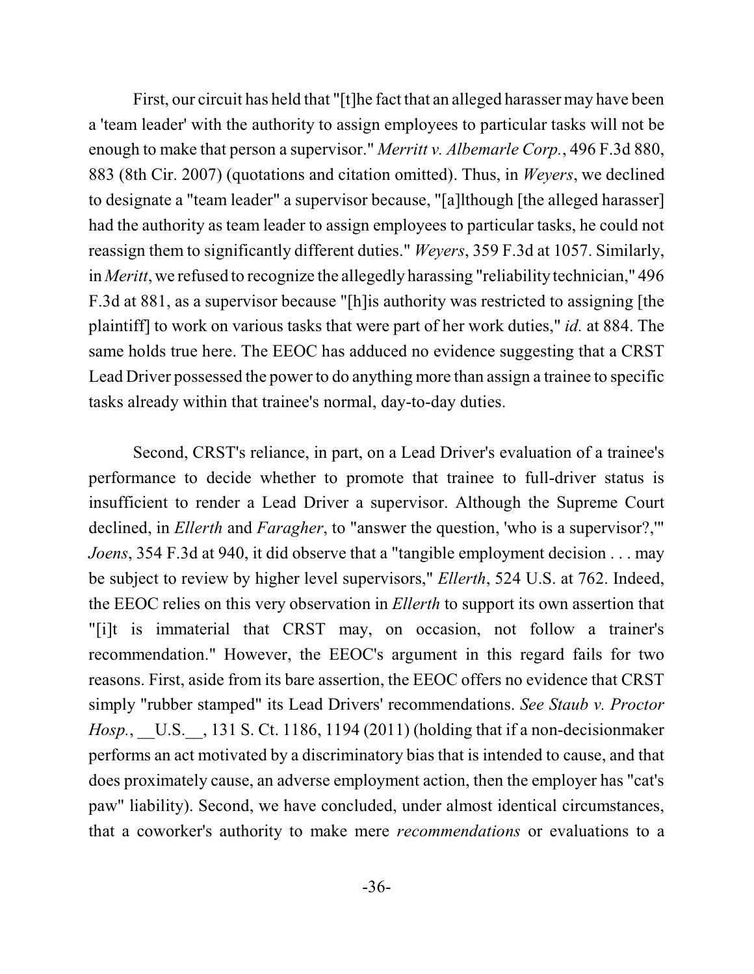First, our circuit has held that "[t]he fact that an alleged harasser may have been a 'team leader' with the authority to assign employees to particular tasks will not be enough to make that person a supervisor." *Merritt v. Albemarle Corp.*, 496 F.3d 880, 883 (8th Cir. 2007) (quotations and citation omitted). Thus, in *Weyers*, we declined to designate a "team leader" a supervisor because, "[a]lthough [the alleged harasser] had the authority as team leader to assign employees to particular tasks, he could not reassign them to significantly different duties." *Weyers*, 359 F.3d at 1057. Similarly, in *Meritt*, we refused to recognize the allegedly harassing "reliability technician," 496 F.3d at 881, as a supervisor because "[h]is authority was restricted to assigning [the plaintiff] to work on various tasks that were part of her work duties," *id.* at 884. The same holds true here. The EEOC has adduced no evidence suggesting that a CRST Lead Driver possessed the power to do anything more than assign a trainee to specific tasks already within that trainee's normal, day-to-day duties.

Second, CRST's reliance, in part, on a Lead Driver's evaluation of a trainee's performance to decide whether to promote that trainee to full-driver status is insufficient to render a Lead Driver a supervisor. Although the Supreme Court declined, in *Ellerth* and *Faragher*, to "answer the question, 'who is a supervisor?,'" *Joens*, 354 F.3d at 940, it did observe that a "tangible employment decision . . . may be subject to review by higher level supervisors," *Ellerth*, 524 U.S. at 762. Indeed, the EEOC relies on this very observation in *Ellerth* to support its own assertion that "[i]t is immaterial that CRST may, on occasion, not follow a trainer's recommendation." However, the EEOC's argument in this regard fails for two reasons. First, aside from its bare assertion, the EEOC offers no evidence that CRST simply "rubber stamped" its Lead Drivers' recommendations. *See Staub v. Proctor Hosp.*, U.S., 131 S. Ct. 1186, 1194 (2011) (holding that if a non-decisionmaker performs an act motivated by a discriminatory bias that is intended to cause, and that does proximately cause, an adverse employment action, then the employer has "cat's paw" liability). Second, we have concluded, under almost identical circumstances, that a coworker's authority to make mere *recommendations* or evaluations to a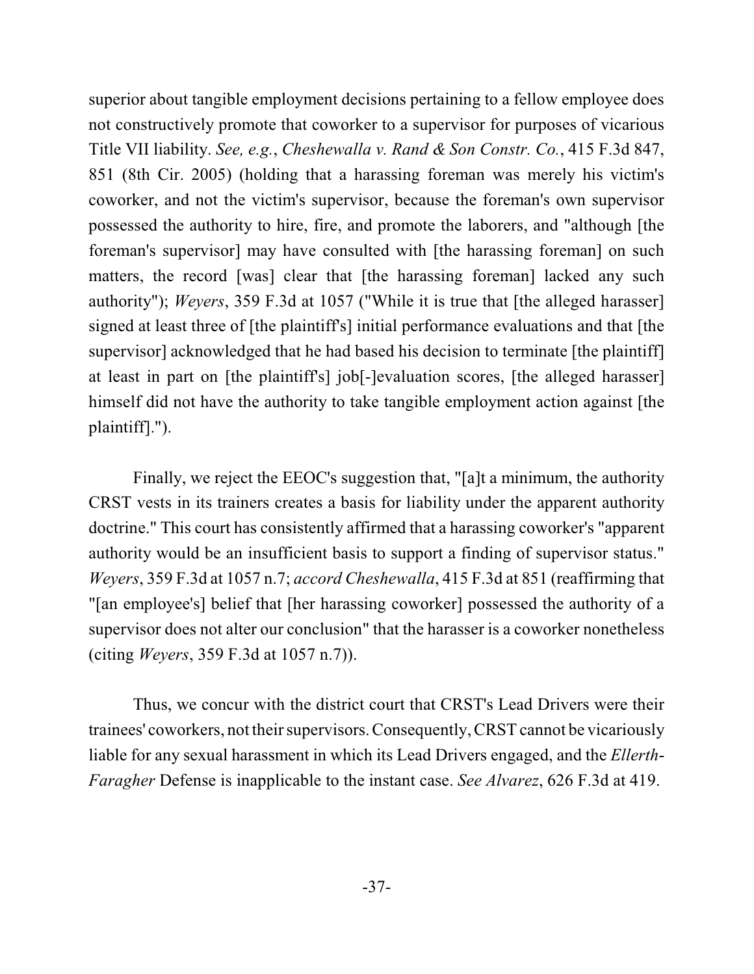superior about tangible employment decisions pertaining to a fellow employee does not constructively promote that coworker to a supervisor for purposes of vicarious Title VII liability. *See, e.g.*, *Cheshewalla v. Rand & Son Constr. Co.*, 415 F.3d 847, 851 (8th Cir. 2005) (holding that a harassing foreman was merely his victim's coworker, and not the victim's supervisor, because the foreman's own supervisor possessed the authority to hire, fire, and promote the laborers, and "although [the foreman's supervisor] may have consulted with [the harassing foreman] on such matters, the record [was] clear that [the harassing foreman] lacked any such authority"); *Weyers*, 359 F.3d at 1057 ("While it is true that [the alleged harasser] signed at least three of [the plaintiff's] initial performance evaluations and that [the supervisor] acknowledged that he had based his decision to terminate [the plaintiff] at least in part on [the plaintiff's] job[-]evaluation scores, [the alleged harasser] himself did not have the authority to take tangible employment action against [the plaintiff].").

Finally, we reject the EEOC's suggestion that, "[a]t a minimum, the authority CRST vests in its trainers creates a basis for liability under the apparent authority doctrine." This court has consistently affirmed that a harassing coworker's "apparent authority would be an insufficient basis to support a finding of supervisor status." *Weyers*, 359 F.3d at 1057 n.7; *accord Cheshewalla*, 415 F.3d at 851 (reaffirming that "[an employee's] belief that [her harassing coworker] possessed the authority of a supervisor does not alter our conclusion" that the harasser is a coworker nonetheless (citing *Weyers*, 359 F.3d at 1057 n.7)).

Thus, we concur with the district court that CRST's Lead Drivers were their trainees' coworkers, not their supervisors.Consequently, CRST cannot be vicariously liable for any sexual harassment in which its Lead Drivers engaged, and the *Ellerth*-*Faragher* Defense is inapplicable to the instant case. *See Alvarez*, 626 F.3d at 419.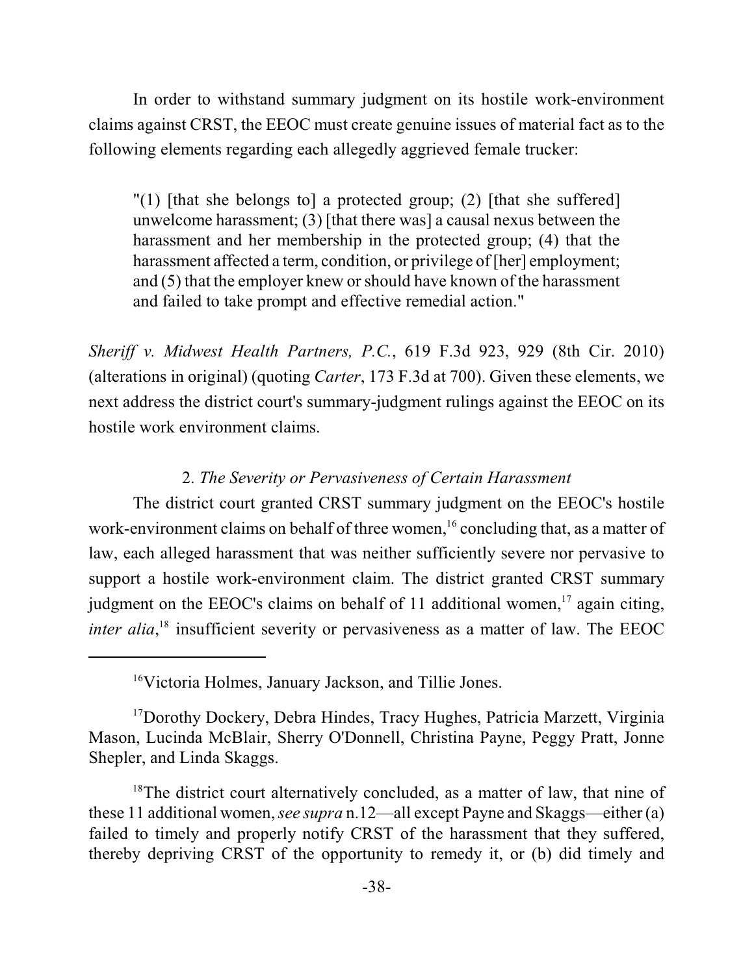In order to withstand summary judgment on its hostile work-environment claims against CRST, the EEOC must create genuine issues of material fact as to the following elements regarding each allegedly aggrieved female trucker:

"(1) [that she belongs to] a protected group; (2) [that she suffered] unwelcome harassment; (3) [that there was] a causal nexus between the harassment and her membership in the protected group; (4) that the harassment affected a term, condition, or privilege of [her] employment; and (5) that the employer knew orshould have known of the harassment and failed to take prompt and effective remedial action."

*Sheriff v. Midwest Health Partners, P.C.*, 619 F.3d 923, 929 (8th Cir. 2010) (alterations in original) (quoting *Carter*, 173 F.3d at 700). Given these elements, we next address the district court's summary-judgment rulings against the EEOC on its hostile work environment claims.

### 2. *The Severity or Pervasiveness of Certain Harassment*

The district court granted CRST summary judgment on the EEOC's hostile work-environment claims on behalf of three women,  $\frac{1}{6}$  concluding that, as a matter of law, each alleged harassment that was neither sufficiently severe nor pervasive to support a hostile work-environment claim. The district granted CRST summary judgment on the EEOC's claims on behalf of 11 additional women, $17$  again citing, *inter alia*,<sup> $18$ </sup> insufficient severity or pervasiveness as a matter of law. The EEOC

<sup>16</sup>Victoria Holmes, January Jackson, and Tillie Jones.

<sup>17</sup> Dorothy Dockery, Debra Hindes, Tracy Hughes, Patricia Marzett, Virginia Mason, Lucinda McBlair, Sherry O'Donnell, Christina Payne, Peggy Pratt, Jonne Shepler, and Linda Skaggs.

<sup>18</sup>The district court alternatively concluded, as a matter of law, that nine of these 11 additional women, *see supra* n.12—all except Payne and Skaggs—either (a) failed to timely and properly notify CRST of the harassment that they suffered, thereby depriving CRST of the opportunity to remedy it, or (b) did timely and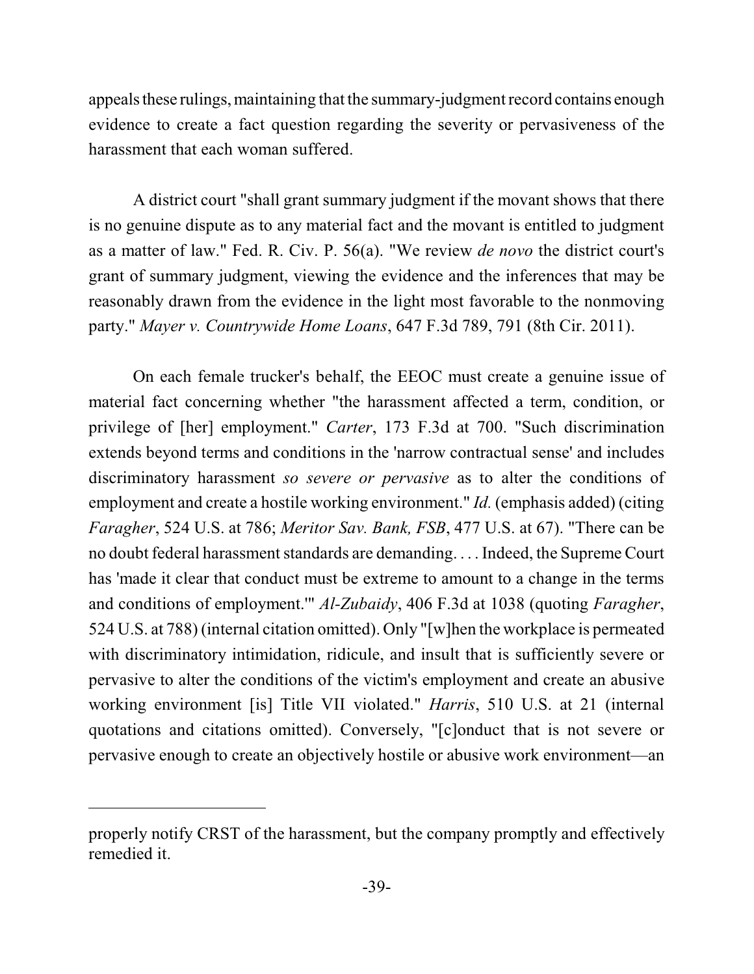appeals these rulings, maintaining that the summary-judgment record contains enough evidence to create a fact question regarding the severity or pervasiveness of the harassment that each woman suffered.

A district court "shall grant summary judgment if the movant shows that there is no genuine dispute as to any material fact and the movant is entitled to judgment as a matter of law." Fed. R. Civ. P. 56(a). "We review *de novo* the district court's grant of summary judgment, viewing the evidence and the inferences that may be reasonably drawn from the evidence in the light most favorable to the nonmoving party." *Mayer v. Countrywide Home Loans*, 647 F.3d 789, 791 (8th Cir. 2011).

On each female trucker's behalf, the EEOC must create a genuine issue of material fact concerning whether "the harassment affected a term, condition, or privilege of [her] employment." *Carter*, 173 F.3d at 700. "Such discrimination extends beyond terms and conditions in the 'narrow contractual sense' and includes discriminatory harassment *so severe or pervasive* as to alter the conditions of employment and create a hostile working environment." *Id.* (emphasis added) (citing *Faragher*, 524 U.S. at 786; *Meritor Sav. Bank, FSB*, 477 U.S. at 67). "There can be no doubt federal harassment standards are demanding. . . . Indeed, the Supreme Court has 'made it clear that conduct must be extreme to amount to a change in the terms and conditions of employment.'" *Al-Zubaidy*, 406 F.3d at 1038 (quoting *Faragher*, 524 U.S. at 788) (internal citation omitted). Only "[w]hen the workplace is permeated with discriminatory intimidation, ridicule, and insult that is sufficiently severe or pervasive to alter the conditions of the victim's employment and create an abusive working environment [is] Title VII violated." *Harris*, 510 U.S. at 21 (internal quotations and citations omitted). Conversely, "[c]onduct that is not severe or pervasive enough to create an objectively hostile or abusive work environment—an

properly notify CRST of the harassment, but the company promptly and effectively remedied it.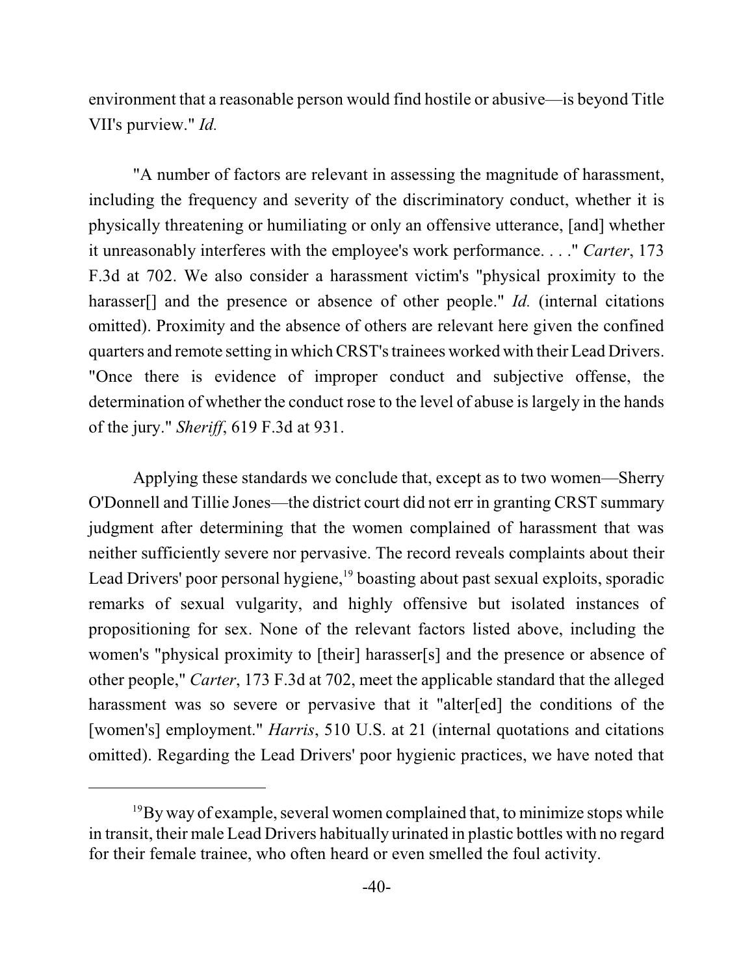environment that a reasonable person would find hostile or abusive—is beyond Title VII's purview." *Id.*

"A number of factors are relevant in assessing the magnitude of harassment, including the frequency and severity of the discriminatory conduct, whether it is physically threatening or humiliating or only an offensive utterance, [and] whether it unreasonably interferes with the employee's work performance. . . ." *Carter*, 173 F.3d at 702. We also consider a harassment victim's "physical proximity to the harasser<sup>[]</sup> and the presence or absence of other people." *Id.* (internal citations omitted). Proximity and the absence of others are relevant here given the confined quarters and remote setting in whichCRST'strainees worked with their Lead Drivers. "Once there is evidence of improper conduct and subjective offense, the determination of whether the conduct rose to the level of abuse is largely in the hands of the jury." *Sheriff*, 619 F.3d at 931.

Applying these standards we conclude that, except as to two women—Sherry O'Donnell and Tillie Jones—the district court did not err in granting CRST summary judgment after determining that the women complained of harassment that was neither sufficiently severe nor pervasive. The record reveals complaints about their Lead Drivers' poor personal hygiene,  $\frac{19}{9}$  boasting about past sexual exploits, sporadic remarks of sexual vulgarity, and highly offensive but isolated instances of propositioning for sex. None of the relevant factors listed above, including the women's "physical proximity to [their] harasser[s] and the presence or absence of other people," *Carter*, 173 F.3d at 702, meet the applicable standard that the alleged harassment was so severe or pervasive that it "alter[ed] the conditions of the [women's] employment." *Harris*, 510 U.S. at 21 (internal quotations and citations omitted). Regarding the Lead Drivers' poor hygienic practices, we have noted that

 $^{19}$ By way of example, several women complained that, to minimize stops while in transit, their male Lead Drivers habitually urinated in plastic bottles with no regard for their female trainee, who often heard or even smelled the foul activity.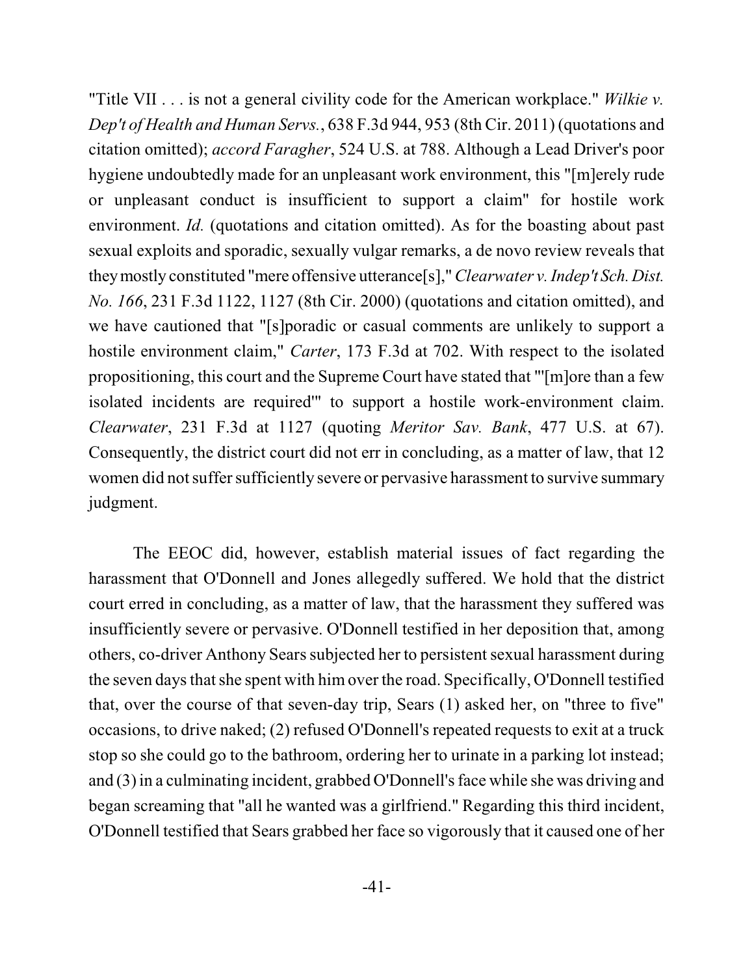"Title VII . . . is not a general civility code for the American workplace." *Wilkie v. Dep't of Health and Human Servs.*, 638 F.3d 944, 953 (8th Cir. 2011) (quotations and citation omitted); *accord Faragher*, 524 U.S. at 788. Although a Lead Driver's poor hygiene undoubtedly made for an unpleasant work environment, this "[m]erely rude or unpleasant conduct is insufficient to support a claim" for hostile work environment. *Id.* (quotations and citation omitted). As for the boasting about past sexual exploits and sporadic, sexually vulgar remarks, a de novo review reveals that theymostly constituted "mere offensive utterance[s]," *Clearwater v. Indep't Sch.Dist. No. 166*, 231 F.3d 1122, 1127 (8th Cir. 2000) (quotations and citation omitted), and we have cautioned that "[s]poradic or casual comments are unlikely to support a hostile environment claim," *Carter*, 173 F.3d at 702. With respect to the isolated propositioning, this court and the Supreme Court have stated that "'[m]ore than a few isolated incidents are required'" to support a hostile work-environment claim. *Clearwater*, 231 F.3d at 1127 (quoting *Meritor Sav. Bank*, 477 U.S. at 67). Consequently, the district court did not err in concluding, as a matter of law, that 12 women did not suffer sufficiently severe or pervasive harassment to survive summary judgment.

The EEOC did, however, establish material issues of fact regarding the harassment that O'Donnell and Jones allegedly suffered. We hold that the district court erred in concluding, as a matter of law, that the harassment they suffered was insufficiently severe or pervasive. O'Donnell testified in her deposition that, among others, co-driver Anthony Sears subjected her to persistent sexual harassment during the seven days that she spent with him over the road. Specifically, O'Donnell testified that, over the course of that seven-day trip, Sears (1) asked her, on "three to five" occasions, to drive naked; (2) refused O'Donnell's repeated requests to exit at a truck stop so she could go to the bathroom, ordering her to urinate in a parking lot instead; and (3) in a culminating incident, grabbed O'Donnell's face while she was driving and began screaming that "all he wanted was a girlfriend." Regarding this third incident, O'Donnell testified that Sears grabbed her face so vigorously that it caused one of her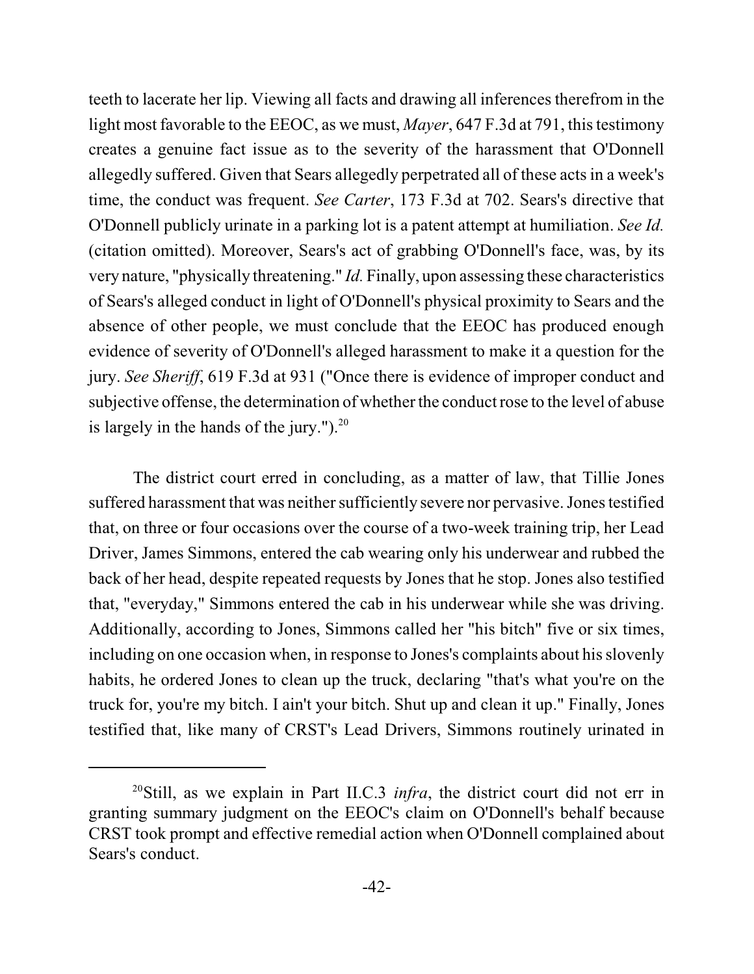teeth to lacerate her lip. Viewing all facts and drawing all inferences therefrom in the light most favorable to the EEOC, as we must, *Mayer*, 647 F.3d at 791, this testimony creates a genuine fact issue as to the severity of the harassment that O'Donnell allegedly suffered. Given that Sears allegedly perpetrated all of these acts in a week's time, the conduct was frequent. *See Carter*, 173 F.3d at 702. Sears's directive that O'Donnell publicly urinate in a parking lot is a patent attempt at humiliation. *See Id.* (citation omitted). Moreover, Sears's act of grabbing O'Donnell's face, was, by its very nature, "physically threatening." *Id.* Finally, upon assessing these characteristics of Sears's alleged conduct in light of O'Donnell's physical proximity to Sears and the absence of other people, we must conclude that the EEOC has produced enough evidence of severity of O'Donnell's alleged harassment to make it a question for the jury. *See Sheriff*, 619 F.3d at 931 ("Once there is evidence of improper conduct and subjective offense, the determination of whether the conduct rose to the level of abuse is largely in the hands of the jury." $)^{20}$ 

The district court erred in concluding, as a matter of law, that Tillie Jones suffered harassment that was neither sufficiently severe nor pervasive. Jones testified that, on three or four occasions over the course of a two-week training trip, her Lead Driver, James Simmons, entered the cab wearing only his underwear and rubbed the back of her head, despite repeated requests by Jones that he stop. Jones also testified that, "everyday," Simmons entered the cab in his underwear while she was driving. Additionally, according to Jones, Simmons called her "his bitch" five or six times, including on one occasion when, in response to Jones's complaints about his slovenly habits, he ordered Jones to clean up the truck, declaring "that's what you're on the truck for, you're my bitch. I ain't your bitch. Shut up and clean it up." Finally, Jones testified that, like many of CRST's Lead Drivers, Simmons routinely urinated in

<sup>&</sup>lt;sup>20</sup>Still, as we explain in Part II.C.3 *infra*, the district court did not err in granting summary judgment on the EEOC's claim on O'Donnell's behalf because CRST took prompt and effective remedial action when O'Donnell complained about Sears's conduct.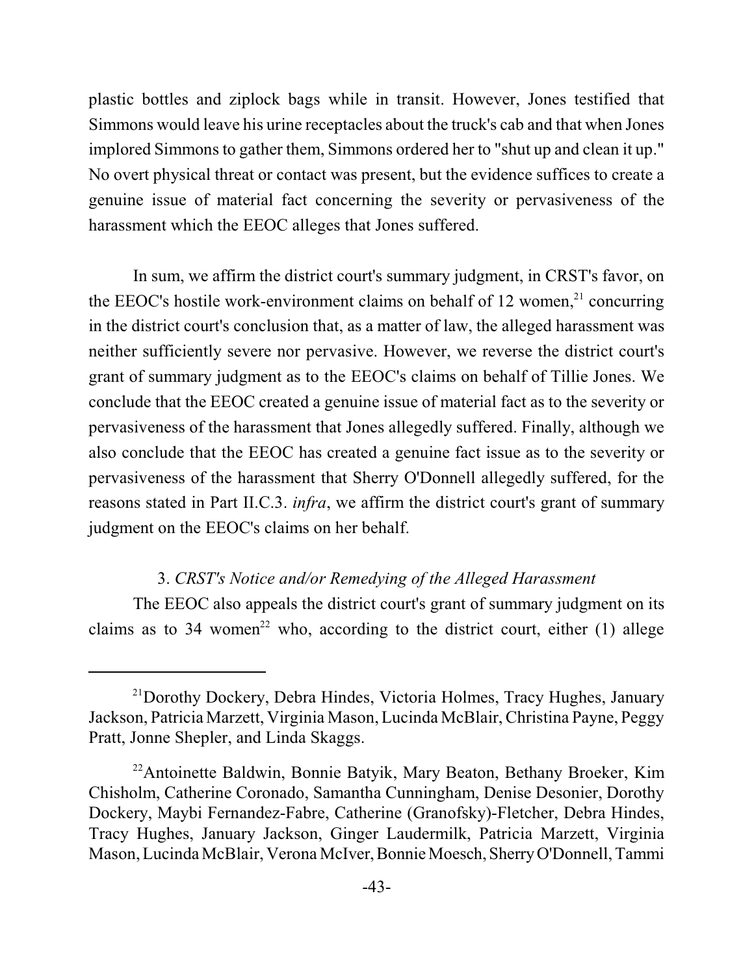plastic bottles and ziplock bags while in transit. However, Jones testified that Simmons would leave his urine receptacles about the truck's cab and that when Jones implored Simmons to gather them, Simmons ordered her to "shut up and clean it up." No overt physical threat or contact was present, but the evidence suffices to create a genuine issue of material fact concerning the severity or pervasiveness of the harassment which the EEOC alleges that Jones suffered.

In sum, we affirm the district court's summary judgment, in CRST's favor, on the EEOC's hostile work-environment claims on behalf of 12 women, $21$  concurring in the district court's conclusion that, as a matter of law, the alleged harassment was neither sufficiently severe nor pervasive. However, we reverse the district court's grant of summary judgment as to the EEOC's claims on behalf of Tillie Jones. We conclude that the EEOC created a genuine issue of material fact as to the severity or pervasiveness of the harassment that Jones allegedly suffered. Finally, although we also conclude that the EEOC has created a genuine fact issue as to the severity or pervasiveness of the harassment that Sherry O'Donnell allegedly suffered, for the reasons stated in Part II.C.3. *infra*, we affirm the district court's grant of summary judgment on the EEOC's claims on her behalf.

### 3. *CRST's Notice and/or Remedying of the Alleged Harassment*

The EEOC also appeals the district court's grant of summary judgment on its claims as to 34 women<sup>22</sup> who, according to the district court, either (1) allege

 $^{21}$ Dorothy Dockery, Debra Hindes, Victoria Holmes, Tracy Hughes, January Jackson, Patricia Marzett, Virginia Mason, Lucinda McBlair, Christina Payne, Peggy Pratt, Jonne Shepler, and Linda Skaggs.

<sup>&</sup>lt;sup>22</sup> Antoinette Baldwin, Bonnie Batyik, Mary Beaton, Bethany Broeker, Kim Chisholm, Catherine Coronado, Samantha Cunningham, Denise Desonier, Dorothy Dockery, Maybi Fernandez-Fabre, Catherine (Granofsky)-Fletcher, Debra Hindes, Tracy Hughes, January Jackson, Ginger Laudermilk, Patricia Marzett, Virginia Mason, Lucinda McBlair, Verona McIver, Bonnie Moesch, Sherry O'Donnell, Tammi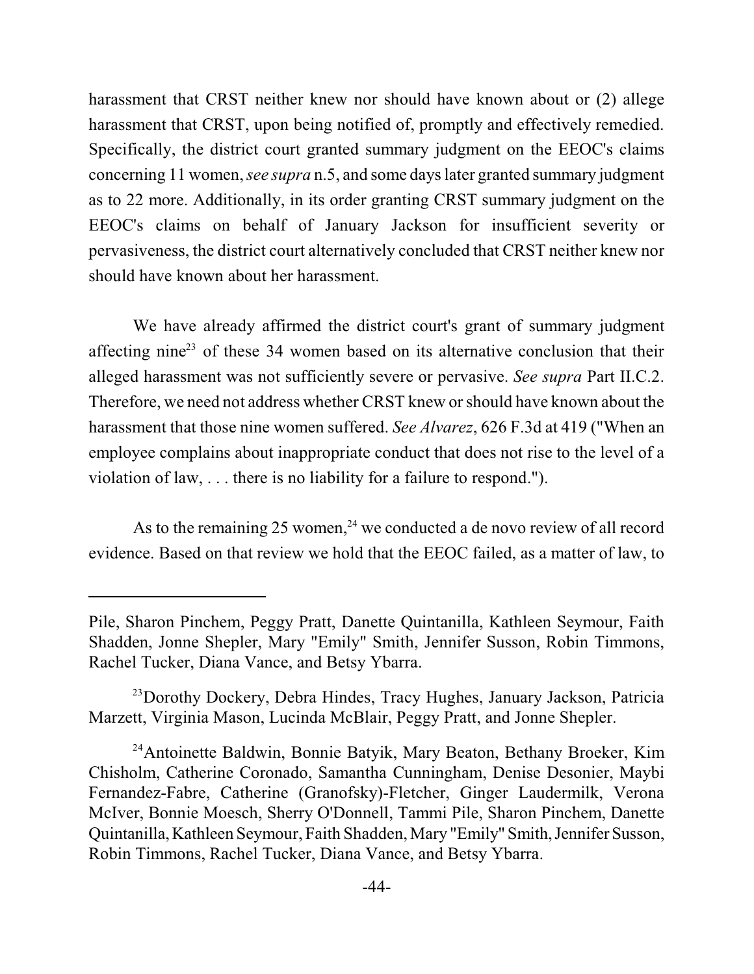harassment that CRST neither knew nor should have known about or (2) allege harassment that CRST, upon being notified of, promptly and effectively remedied. Specifically, the district court granted summary judgment on the EEOC's claims concerning 11 women, *see supra* n.5, and some days later granted summary judgment as to 22 more. Additionally, in its order granting CRST summary judgment on the EEOC's claims on behalf of January Jackson for insufficient severity or pervasiveness, the district court alternatively concluded that CRST neither knew nor should have known about her harassment.

We have already affirmed the district court's grant of summary judgment affecting nine<sup>23</sup> of these 34 women based on its alternative conclusion that their alleged harassment was not sufficiently severe or pervasive. *See supra* Part II.C.2. Therefore, we need not address whether CRST knew orshould have known about the harassment that those nine women suffered. *See Alvarez*, 626 F.3d at 419 ("When an employee complains about inappropriate conduct that does not rise to the level of a violation of law, . . . there is no liability for a failure to respond.").

As to the remaining 25 women,  $24$  we conducted a de novo review of all record evidence. Based on that review we hold that the EEOC failed, as a matter of law, to

Pile, Sharon Pinchem, Peggy Pratt, Danette Quintanilla, Kathleen Seymour, Faith Shadden, Jonne Shepler, Mary "Emily" Smith, Jennifer Susson, Robin Timmons, Rachel Tucker, Diana Vance, and Betsy Ybarra.

<sup>&</sup>lt;sup>23</sup> Dorothy Dockery, Debra Hindes, Tracy Hughes, January Jackson, Patricia Marzett, Virginia Mason, Lucinda McBlair, Peggy Pratt, and Jonne Shepler.

<sup>&</sup>lt;sup>24</sup> Antoinette Baldwin, Bonnie Batyik, Mary Beaton, Bethany Broeker, Kim Chisholm, Catherine Coronado, Samantha Cunningham, Denise Desonier, Maybi Fernandez-Fabre, Catherine (Granofsky)-Fletcher, Ginger Laudermilk, Verona McIver, Bonnie Moesch, Sherry O'Donnell, Tammi Pile, Sharon Pinchem, Danette Quintanilla,Kathleen Seymour, Faith Shadden, Mary "Emily" Smith,Jennifer Susson, Robin Timmons, Rachel Tucker, Diana Vance, and Betsy Ybarra.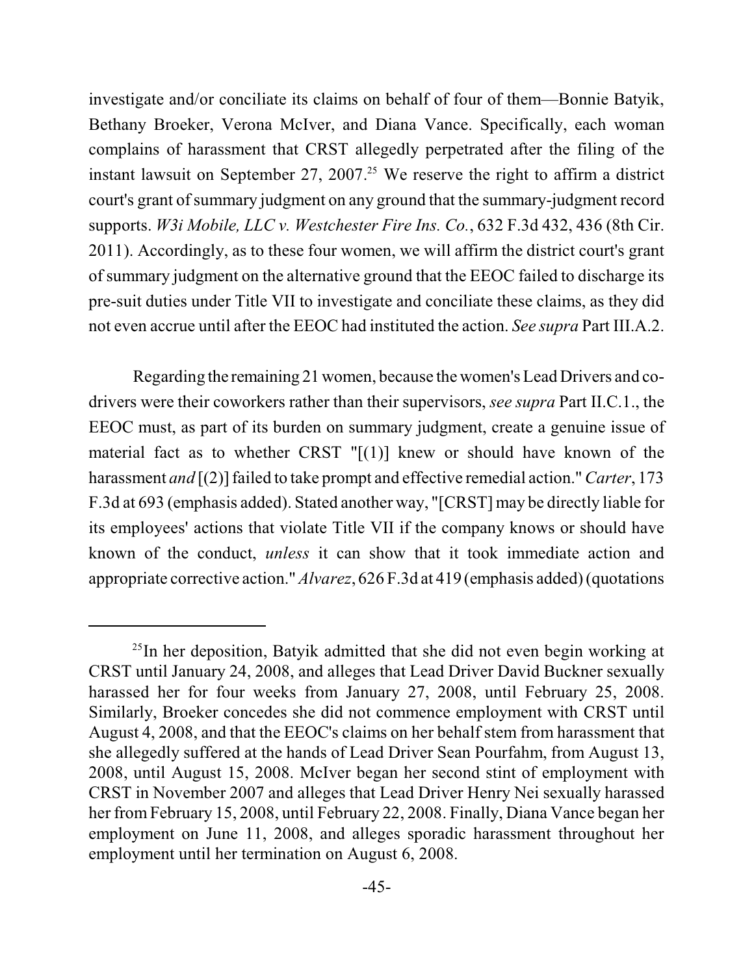investigate and/or conciliate its claims on behalf of four of them—Bonnie Batyik, Bethany Broeker, Verona McIver, and Diana Vance. Specifically, each woman complains of harassment that CRST allegedly perpetrated after the filing of the instant lawsuit on September 27, 2007.<sup>25</sup> We reserve the right to affirm a district court's grant of summary judgment on any ground that the summary-judgment record supports. *W3i Mobile, LLC v. Westchester Fire Ins. Co.*, 632 F.3d 432, 436 (8th Cir. 2011). Accordingly, as to these four women, we will affirm the district court's grant of summary judgment on the alternative ground that the EEOC failed to discharge its pre-suit duties under Title VII to investigate and conciliate these claims, as they did not even accrue until after the EEOC had instituted the action. *See supra* Part III.A.2.

Regarding the remaining 21 women, because the women's Lead Drivers and codrivers were their coworkers rather than their supervisors, *see supra* Part II.C.1., the EEOC must, as part of its burden on summary judgment, create a genuine issue of material fact as to whether CRST  $"[(1)]$  knew or should have known of the harassment *and* [(2)] failed to take prompt and effective remedial action."*Carter*, 173 F.3d at 693 (emphasis added). Stated another way, "[CRST] may be directly liable for its employees' actions that violate Title VII if the company knows or should have known of the conduct, *unless* it can show that it took immediate action and appropriate corrective action."*Alvarez*, 626 F.3d at 419 (emphasis added)(quotations

 $^{25}$ In her deposition, Batyik admitted that she did not even begin working at CRST until January 24, 2008, and alleges that Lead Driver David Buckner sexually harassed her for four weeks from January 27, 2008, until February 25, 2008. Similarly, Broeker concedes she did not commence employment with CRST until August 4, 2008, and that the EEOC's claims on her behalf stem from harassment that she allegedly suffered at the hands of Lead Driver Sean Pourfahm, from August 13, 2008, until August 15, 2008. McIver began her second stint of employment with CRST in November 2007 and alleges that Lead Driver Henry Nei sexually harassed her from February 15, 2008, until February 22, 2008. Finally, Diana Vance began her employment on June 11, 2008, and alleges sporadic harassment throughout her employment until her termination on August 6, 2008.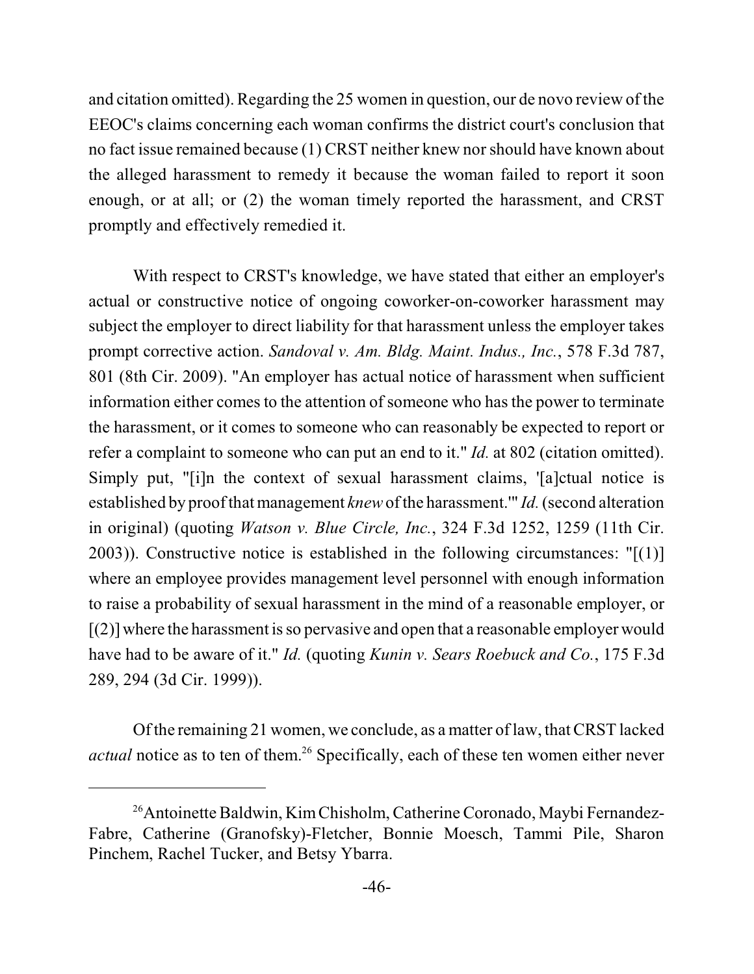and citation omitted). Regarding the 25 women in question, our de novo review of the EEOC's claims concerning each woman confirms the district court's conclusion that no fact issue remained because (1) CRST neither knew nor should have known about the alleged harassment to remedy it because the woman failed to report it soon enough, or at all; or (2) the woman timely reported the harassment, and CRST promptly and effectively remedied it.

With respect to CRST's knowledge, we have stated that either an employer's actual or constructive notice of ongoing coworker-on-coworker harassment may subject the employer to direct liability for that harassment unless the employer takes prompt corrective action. *Sandoval v. Am. Bldg. Maint. Indus., Inc.*, 578 F.3d 787, 801 (8th Cir. 2009). "An employer has actual notice of harassment when sufficient information either comes to the attention of someone who has the power to terminate the harassment, or it comes to someone who can reasonably be expected to report or refer a complaint to someone who can put an end to it." *Id.* at 802 (citation omitted). Simply put, "[i]n the context of sexual harassment claims, '[a]ctual notice is established by proof that management *knew* of the harassment." *Id.* (second alteration in original) (quoting *Watson v. Blue Circle, Inc.*, 324 F.3d 1252, 1259 (11th Cir. 2003)). Constructive notice is established in the following circumstances:  $"[(1)]$ where an employee provides management level personnel with enough information to raise a probability of sexual harassment in the mind of a reasonable employer, or  $[(2)]$  where the harassment is so pervasive and open that a reasonable employer would have had to be aware of it." *Id.* (quoting *Kunin v. Sears Roebuck and Co.*, 175 F.3d 289, 294 (3d Cir. 1999)).

Of the remaining 21 women, we conclude, as a matter of law, thatCRST lacked *actual* notice as to ten of them.<sup>26</sup> Specifically, each of these ten women either never

<sup>&</sup>lt;sup>26</sup> Antoinette Baldwin, Kim Chisholm, Catherine Coronado, Maybi Fernandez-Fabre, Catherine (Granofsky)-Fletcher, Bonnie Moesch, Tammi Pile, Sharon Pinchem, Rachel Tucker, and Betsy Ybarra.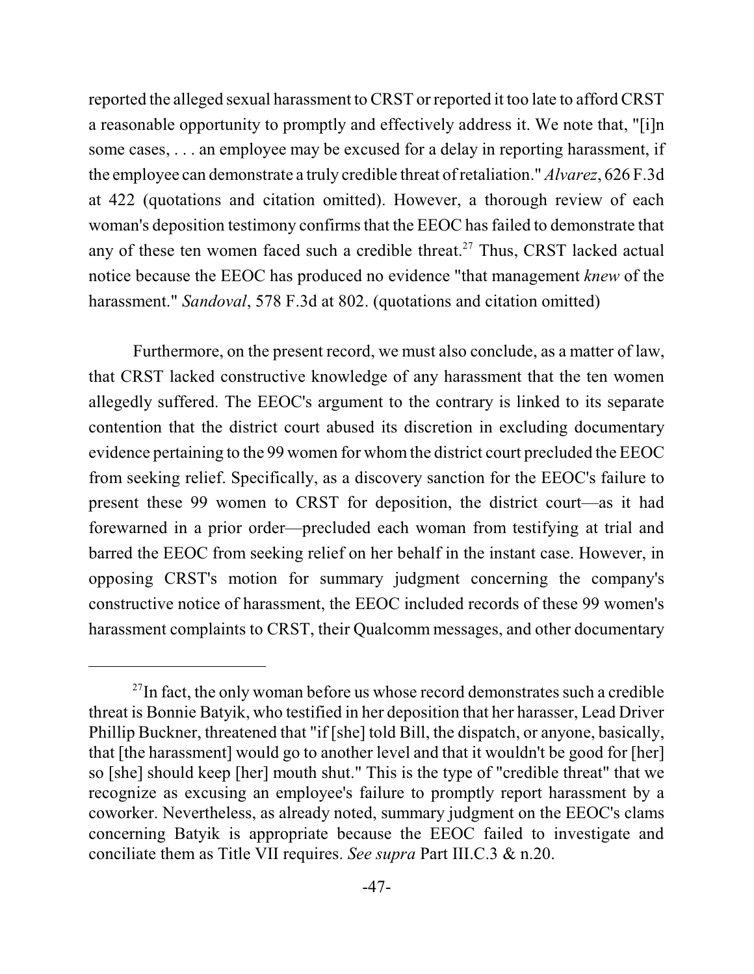reported the alleged sexual harassment to CRST or reported it too late to afford CRST a reasonable opportunity to promptly and effectively address it. We note that, "[i]n some cases, . . . an employee may be excused for a delay in reporting harassment, if the employee can demonstrate a truly credible threat ofretaliation." *Alvarez*, 626 F.3d at 422 (quotations and citation omitted). However, a thorough review of each woman's deposition testimony confirms that the EEOC has failed to demonstrate that any of these ten women faced such a credible threat.<sup>27</sup> Thus, CRST lacked actual notice because the EEOC has produced no evidence "that management *knew* of the harassment." *Sandoval*, 578 F.3d at 802. (quotations and citation omitted)

Furthermore, on the present record, we must also conclude, as a matter of law, that CRST lacked constructive knowledge of any harassment that the ten women allegedly suffered. The EEOC's argument to the contrary is linked to its separate contention that the district court abused its discretion in excluding documentary evidence pertaining to the 99 women for whom the district court precluded the EEOC from seeking relief. Specifically, as a discovery sanction for the EEOC's failure to present these 99 women to CRST for deposition, the district court—as it had forewarned in a prior order—precluded each woman from testifying at trial and barred the EEOC from seeking relief on her behalf in the instant case. However, in opposing CRST's motion for summary judgment concerning the company's constructive notice of harassment, the EEOC included records of these 99 women's harassment complaints to CRST, their Qualcomm messages, and other documentary

 $27$ In fact, the only woman before us whose record demonstrates such a credible threat is Bonnie Batyik, who testified in her deposition that her harasser, Lead Driver Phillip Buckner, threatened that "if [she] told Bill, the dispatch, or anyone, basically, that [the harassment] would go to another level and that it wouldn't be good for [her] so [she] should keep [her] mouth shut." This is the type of "credible threat" that we recognize as excusing an employee's failure to promptly report harassment by a coworker. Nevertheless, as already noted, summary judgment on the EEOC's clams concerning Batyik is appropriate because the EEOC failed to investigate and conciliate them as Title VII requires. *See supra* Part III.C.3 & n.20.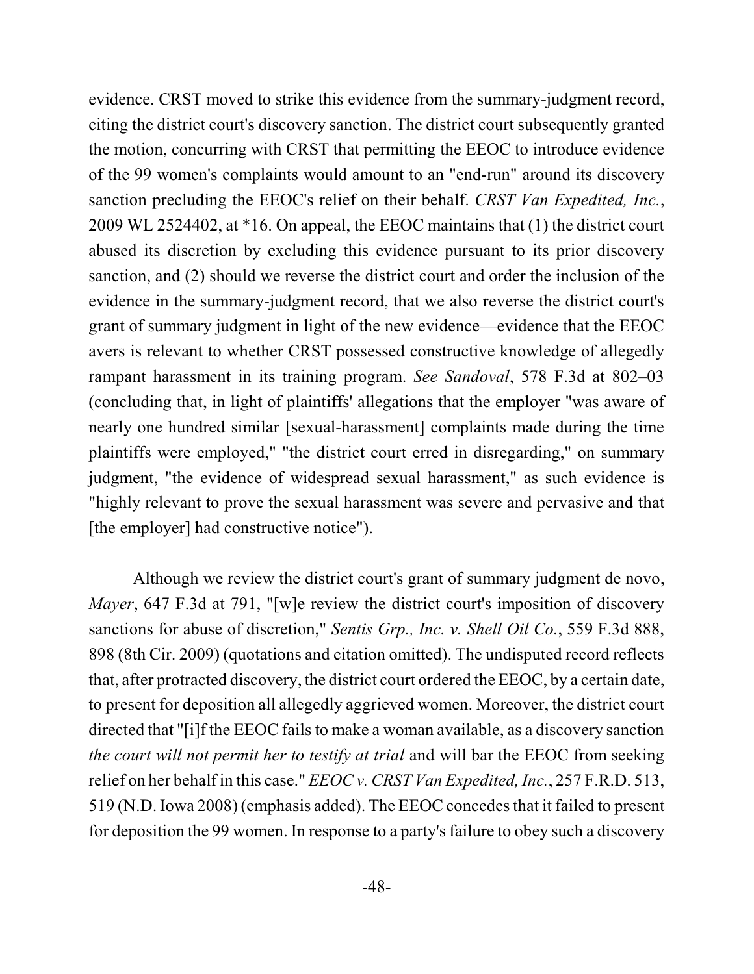evidence. CRST moved to strike this evidence from the summary-judgment record, citing the district court's discovery sanction. The district court subsequently granted the motion, concurring with CRST that permitting the EEOC to introduce evidence of the 99 women's complaints would amount to an "end-run" around its discovery sanction precluding the EEOC's relief on their behalf. *CRST Van Expedited, Inc.*, 2009 WL 2524402, at \*16. On appeal, the EEOC maintains that (1) the district court abused its discretion by excluding this evidence pursuant to its prior discovery sanction, and (2) should we reverse the district court and order the inclusion of the evidence in the summary-judgment record, that we also reverse the district court's grant of summary judgment in light of the new evidence—evidence that the EEOC avers is relevant to whether CRST possessed constructive knowledge of allegedly rampant harassment in its training program. *See Sandoval*, 578 F.3d at 802–03 (concluding that, in light of plaintiffs' allegations that the employer "was aware of nearly one hundred similar [sexual-harassment] complaints made during the time plaintiffs were employed," "the district court erred in disregarding," on summary judgment, "the evidence of widespread sexual harassment," as such evidence is "highly relevant to prove the sexual harassment was severe and pervasive and that [the employer] had constructive notice").

Although we review the district court's grant of summary judgment de novo, *Mayer*, 647 F.3d at 791, "[w]e review the district court's imposition of discovery sanctions for abuse of discretion," *Sentis Grp., Inc. v. Shell Oil Co.*, 559 F.3d 888, 898 (8th Cir. 2009) (quotations and citation omitted). The undisputed record reflects that, after protracted discovery, the district court ordered the EEOC, by a certain date, to present for deposition all allegedly aggrieved women. Moreover, the district court directed that "[i]f the EEOC fails to make a woman available, as a discovery sanction *the court will not permit her to testify at trial* and will bar the EEOC from seeking relief on her behalf in this case." *EEOC v. CRST Van Expedited, Inc.*, 257 F.R.D. 513, 519 (N.D. Iowa 2008) (emphasis added). The EEOC concedesthat it failed to present for deposition the 99 women. In response to a party's failure to obey such a discovery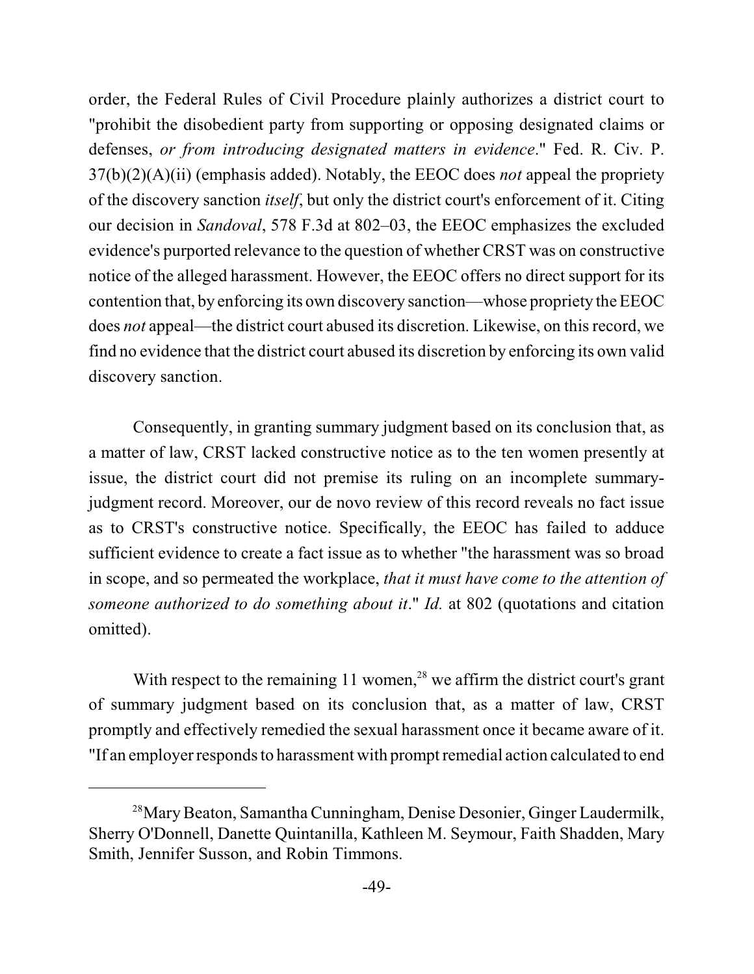order, the Federal Rules of Civil Procedure plainly authorizes a district court to "prohibit the disobedient party from supporting or opposing designated claims or defenses, *or from introducing designated matters in evidence*." Fed. R. Civ. P. 37(b)(2)(A)(ii) (emphasis added). Notably, the EEOC does *not* appeal the propriety of the discovery sanction *itself*, but only the district court's enforcement of it. Citing our decision in *Sandoval*, 578 F.3d at 802–03, the EEOC emphasizes the excluded evidence's purported relevance to the question of whether CRST was on constructive notice of the alleged harassment. However, the EEOC offers no direct support for its contention that, by enforcing its own discovery sanction—whose propriety the EEOC does *not* appeal—the district court abused its discretion. Likewise, on thisrecord, we find no evidence that the district court abused its discretion by enforcing its own valid discovery sanction.

Consequently, in granting summary judgment based on its conclusion that, as a matter of law, CRST lacked constructive notice as to the ten women presently at issue, the district court did not premise its ruling on an incomplete summaryjudgment record. Moreover, our de novo review of this record reveals no fact issue as to CRST's constructive notice. Specifically, the EEOC has failed to adduce sufficient evidence to create a fact issue as to whether "the harassment was so broad in scope, and so permeated the workplace, *that it must have come to the attention of someone authorized to do something about it*." *Id.* at 802 (quotations and citation omitted).

With respect to the remaining  $11$  women,<sup>28</sup> we affirm the district court's grant of summary judgment based on its conclusion that, as a matter of law, CRST promptly and effectively remedied the sexual harassment once it became aware of it. "If an employer responds to harassment with promptremedial action calculated to end

<sup>&</sup>lt;sup>28</sup> Mary Beaton, Samantha Cunningham, Denise Desonier, Ginger Laudermilk, Sherry O'Donnell, Danette Quintanilla, Kathleen M. Seymour, Faith Shadden, Mary Smith, Jennifer Susson, and Robin Timmons.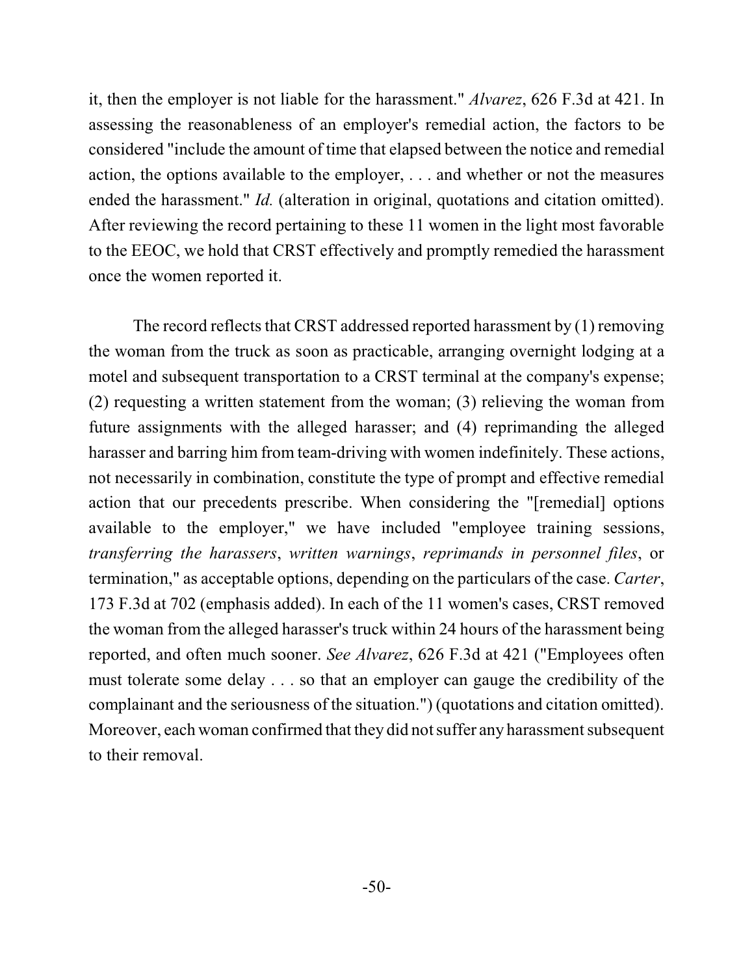it, then the employer is not liable for the harassment." *Alvarez*, 626 F.3d at 421. In assessing the reasonableness of an employer's remedial action, the factors to be considered "include the amount of time that elapsed between the notice and remedial action, the options available to the employer, . . . and whether or not the measures ended the harassment." *Id.* (alteration in original, quotations and citation omitted). After reviewing the record pertaining to these 11 women in the light most favorable to the EEOC, we hold that CRST effectively and promptly remedied the harassment once the women reported it.

The record reflects that CRST addressed reported harassment by (1) removing the woman from the truck as soon as practicable, arranging overnight lodging at a motel and subsequent transportation to a CRST terminal at the company's expense; (2) requesting a written statement from the woman; (3) relieving the woman from future assignments with the alleged harasser; and (4) reprimanding the alleged harasser and barring him from team-driving with women indefinitely. These actions, not necessarily in combination, constitute the type of prompt and effective remedial action that our precedents prescribe. When considering the "[remedial] options available to the employer," we have included "employee training sessions, *transferring the harassers*, *written warnings*, *reprimands in personnel files*, or termination," as acceptable options, depending on the particulars of the case. *Carter*, 173 F.3d at 702 (emphasis added). In each of the 11 women's cases, CRST removed the woman from the alleged harasser's truck within 24 hours of the harassment being reported, and often much sooner. *See Alvarez*, 626 F.3d at 421 ("Employees often must tolerate some delay . . . so that an employer can gauge the credibility of the complainant and the seriousness of the situation.") (quotations and citation omitted). Moreover, each woman confirmed that they did not suffer any harassment subsequent to their removal.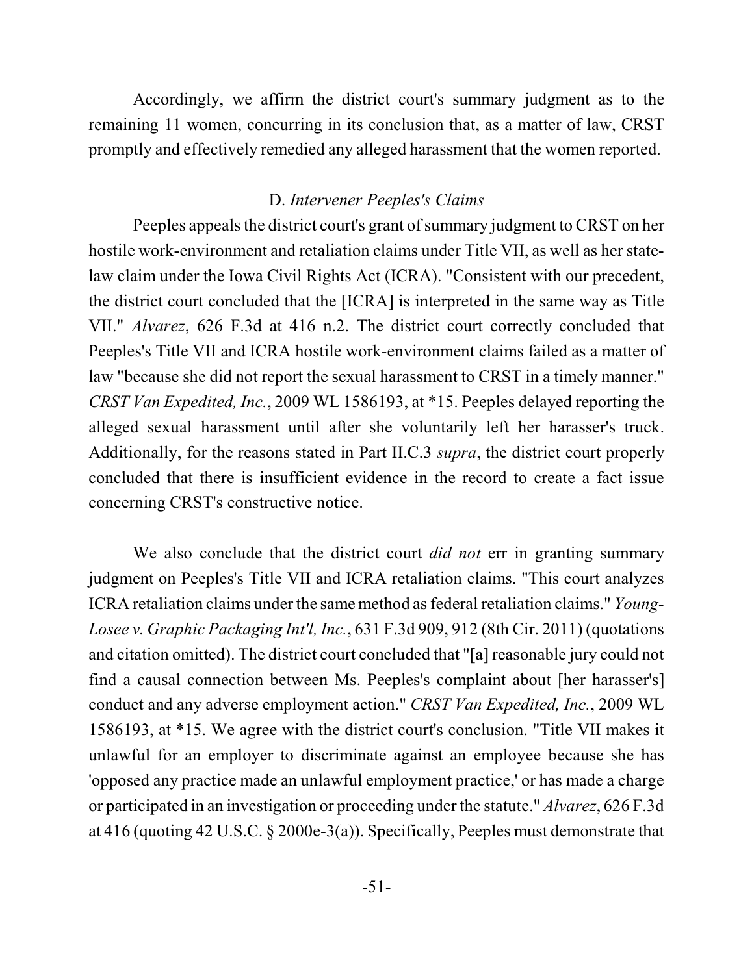Accordingly, we affirm the district court's summary judgment as to the remaining 11 women, concurring in its conclusion that, as a matter of law, CRST promptly and effectively remedied any alleged harassment that the women reported.

### D. *Intervener Peeples's Claims*

Peeples appeals the district court's grant of summary judgment to CRST on her hostile work-environment and retaliation claims under Title VII, as well as her statelaw claim under the Iowa Civil Rights Act (ICRA). "Consistent with our precedent, the district court concluded that the [ICRA] is interpreted in the same way as Title VII." *Alvarez*, 626 F.3d at 416 n.2. The district court correctly concluded that Peeples's Title VII and ICRA hostile work-environment claims failed as a matter of law "because she did not report the sexual harassment to CRST in a timely manner." *CRST Van Expedited, Inc.*, 2009 WL 1586193, at \*15. Peeples delayed reporting the alleged sexual harassment until after she voluntarily left her harasser's truck. Additionally, for the reasons stated in Part II.C.3 *supra*, the district court properly concluded that there is insufficient evidence in the record to create a fact issue concerning CRST's constructive notice.

We also conclude that the district court *did not* err in granting summary judgment on Peeples's Title VII and ICRA retaliation claims. "This court analyzes ICRA retaliation claims under the same method as federal retaliation claims." *Young*-*Losee v. Graphic Packaging Int'l, Inc.*, 631 F.3d 909, 912 (8th Cir. 2011) (quotations and citation omitted). The district court concluded that "[a] reasonable jury could not find a causal connection between Ms. Peeples's complaint about [her harasser's] conduct and any adverse employment action." *CRST Van Expedited, Inc.*, 2009 WL 1586193, at \*15. We agree with the district court's conclusion. "Title VII makes it unlawful for an employer to discriminate against an employee because she has 'opposed any practice made an unlawful employment practice,' or has made a charge or participated in an investigation or proceeding under the statute." *Alvarez*, 626 F.3d at 416 (quoting 42 U.S.C. § 2000e-3(a)). Specifically, Peeples must demonstrate that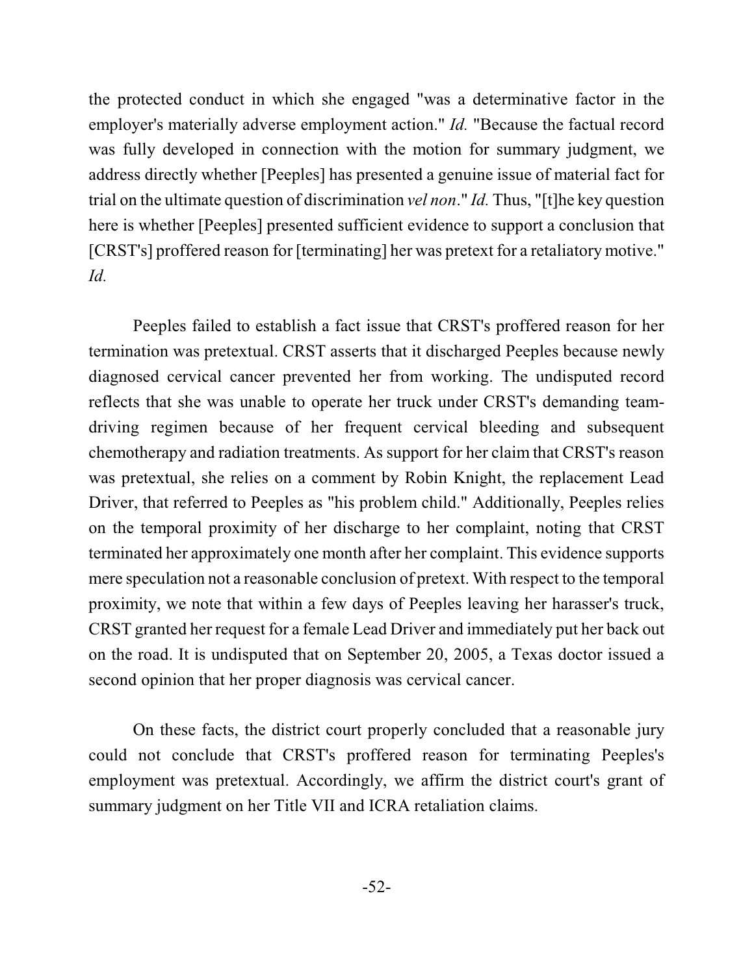the protected conduct in which she engaged "was a determinative factor in the employer's materially adverse employment action." *Id.* "Because the factual record was fully developed in connection with the motion for summary judgment, we address directly whether [Peeples] has presented a genuine issue of material fact for trial on the ultimate question of discrimination *vel non*." *Id.* Thus, "[t]he key question here is whether [Peeples] presented sufficient evidence to support a conclusion that [CRST's] proffered reason for [terminating] her was pretext for a retaliatory motive." *Id.*

Peeples failed to establish a fact issue that CRST's proffered reason for her termination was pretextual. CRST asserts that it discharged Peeples because newly diagnosed cervical cancer prevented her from working. The undisputed record reflects that she was unable to operate her truck under CRST's demanding teamdriving regimen because of her frequent cervical bleeding and subsequent chemotherapy and radiation treatments. As support for her claim that CRST's reason was pretextual, she relies on a comment by Robin Knight, the replacement Lead Driver, that referred to Peeples as "his problem child." Additionally, Peeples relies on the temporal proximity of her discharge to her complaint, noting that CRST terminated her approximately one month after her complaint. This evidence supports mere speculation not a reasonable conclusion of pretext. With respect to the temporal proximity, we note that within a few days of Peeples leaving her harasser's truck, CRST granted her request for a female Lead Driver and immediately put her back out on the road. It is undisputed that on September 20, 2005, a Texas doctor issued a second opinion that her proper diagnosis was cervical cancer.

On these facts, the district court properly concluded that a reasonable jury could not conclude that CRST's proffered reason for terminating Peeples's employment was pretextual. Accordingly, we affirm the district court's grant of summary judgment on her Title VII and ICRA retaliation claims.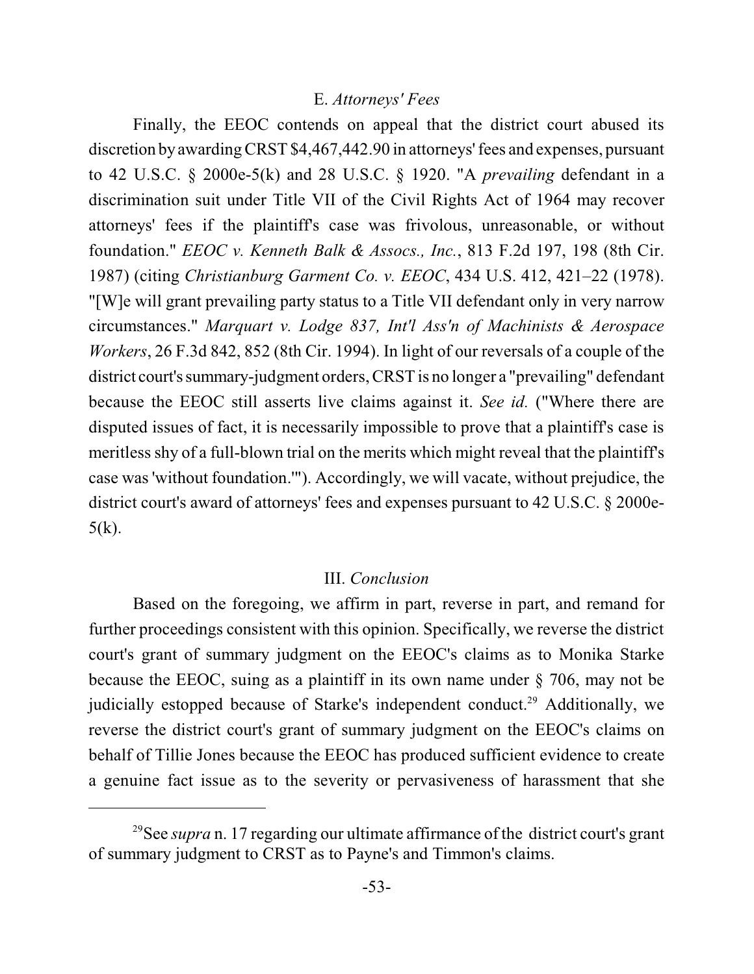#### E. *Attorneys' Fees*

Finally, the EEOC contends on appeal that the district court abused its discretion byawarding CRST \$4,467,442.90 in attorneys' fees and expenses, pursuant to 42 U.S.C. § 2000e-5(k) and 28 U.S.C. § 1920. "A *prevailing* defendant in a discrimination suit under Title VII of the Civil Rights Act of 1964 may recover attorneys' fees if the plaintiff's case was frivolous, unreasonable, or without foundation." *EEOC v. Kenneth Balk & Assocs., Inc.*, 813 F.2d 197, 198 (8th Cir. 1987) (citing *Christianburg Garment Co. v. EEOC*, 434 U.S. 412, 421–22 (1978). "[W]e will grant prevailing party status to a Title VII defendant only in very narrow circumstances." *Marquart v. Lodge 837, Int'l Ass'n of Machinists & Aerospace Workers*, 26 F.3d 842, 852 (8th Cir. 1994). In light of our reversals of a couple of the district court's summary-judgment orders, CRST is no longer a "prevailing" defendant because the EEOC still asserts live claims against it. *See id.* ("Where there are disputed issues of fact, it is necessarily impossible to prove that a plaintiff's case is meritless shy of a full-blown trial on the merits which might reveal that the plaintiff's case was 'without foundation.'"). Accordingly, we will vacate, without prejudice, the district court's award of attorneys' fees and expenses pursuant to 42 U.S.C. § 2000e- $5(k)$ .

#### III. *Conclusion*

Based on the foregoing, we affirm in part, reverse in part, and remand for further proceedings consistent with this opinion. Specifically, we reverse the district court's grant of summary judgment on the EEOC's claims as to Monika Starke because the EEOC, suing as a plaintiff in its own name under § 706, may not be judicially estopped because of Starke's independent conduct.<sup>29</sup> Additionally, we reverse the district court's grant of summary judgment on the EEOC's claims on behalf of Tillie Jones because the EEOC has produced sufficient evidence to create a genuine fact issue as to the severity or pervasiveness of harassment that she

<sup>&</sup>lt;sup>29</sup>See *supra* n. 17 regarding our ultimate affirmance of the district court's grant of summary judgment to CRST as to Payne's and Timmon's claims.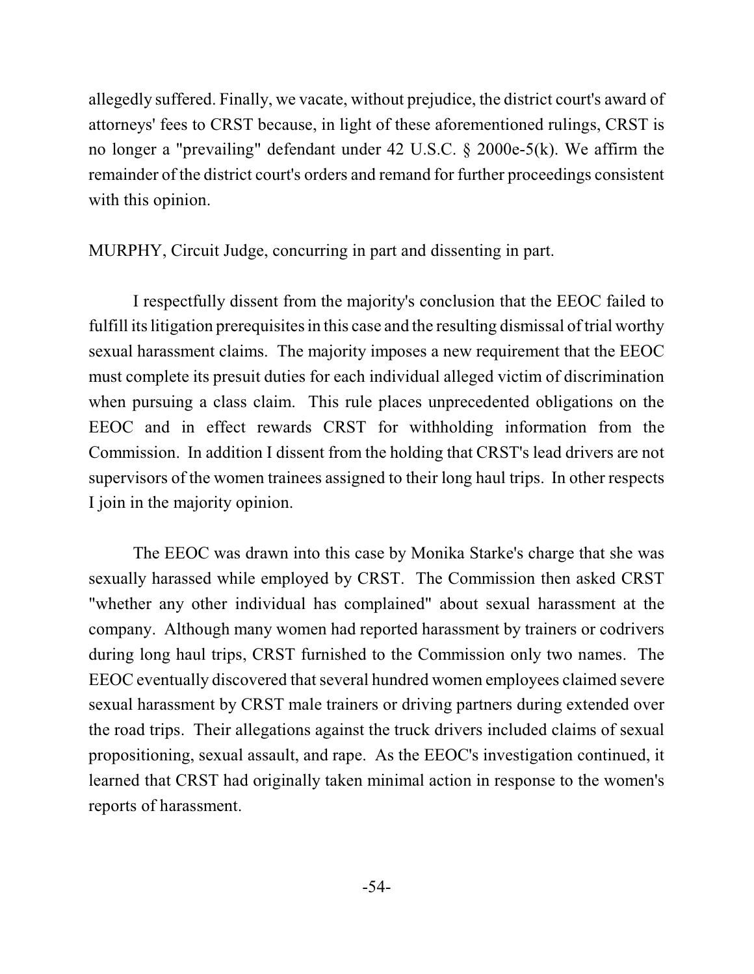allegedly suffered. Finally, we vacate, without prejudice, the district court's award of attorneys' fees to CRST because, in light of these aforementioned rulings, CRST is no longer a "prevailing" defendant under 42 U.S.C. § 2000e-5(k). We affirm the remainder of the district court's orders and remand for further proceedings consistent with this opinion.

MURPHY, Circuit Judge, concurring in part and dissenting in part.

I respectfully dissent from the majority's conclusion that the EEOC failed to fulfill its litigation prerequisites in this case and the resulting dismissal of trial worthy sexual harassment claims. The majority imposes a new requirement that the EEOC must complete its presuit duties for each individual alleged victim of discrimination when pursuing a class claim. This rule places unprecedented obligations on the EEOC and in effect rewards CRST for withholding information from the Commission. In addition I dissent from the holding that CRST's lead drivers are not supervisors of the women trainees assigned to their long haul trips. In other respects I join in the majority opinion.

The EEOC was drawn into this case by Monika Starke's charge that she was sexually harassed while employed by CRST. The Commission then asked CRST "whether any other individual has complained" about sexual harassment at the company. Although many women had reported harassment by trainers or codrivers during long haul trips, CRST furnished to the Commission only two names. The EEOC eventually discovered that several hundred women employees claimed severe sexual harassment by CRST male trainers or driving partners during extended over the road trips. Their allegations against the truck drivers included claims of sexual propositioning, sexual assault, and rape. As the EEOC's investigation continued, it learned that CRST had originally taken minimal action in response to the women's reports of harassment.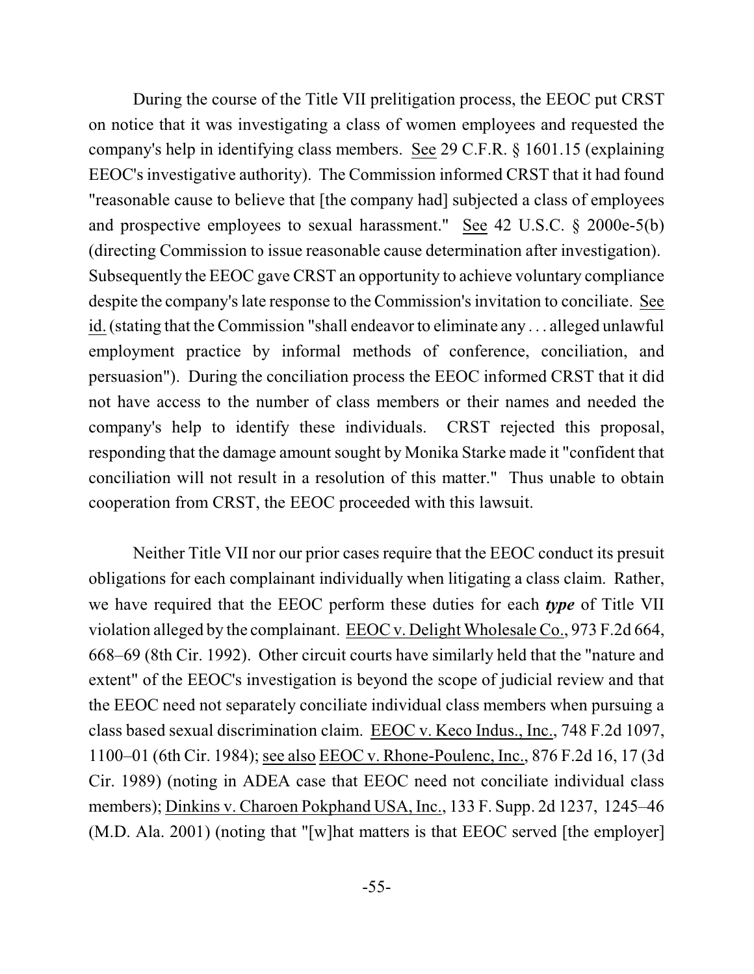During the course of the Title VII prelitigation process, the EEOC put CRST on notice that it was investigating a class of women employees and requested the company's help in identifying class members. See 29 C.F.R. § 1601.15 (explaining EEOC's investigative authority). The Commission informed CRST that it had found "reasonable cause to believe that [the company had] subjected a class of employees and prospective employees to sexual harassment." See 42 U.S.C. § 2000e-5(b) (directing Commission to issue reasonable cause determination after investigation). Subsequently the EEOC gave CRST an opportunity to achieve voluntary compliance despite the company's late response to the Commission's invitation to conciliate. See id. (stating that the Commission "shall endeavor to eliminate any . . . alleged unlawful employment practice by informal methods of conference, conciliation, and persuasion"). During the conciliation process the EEOC informed CRST that it did not have access to the number of class members or their names and needed the company's help to identify these individuals. CRST rejected this proposal, responding that the damage amount sought by Monika Starke made it "confident that conciliation will not result in a resolution of this matter." Thus unable to obtain cooperation from CRST, the EEOC proceeded with this lawsuit.

Neither Title VII nor our prior cases require that the EEOC conduct its presuit obligations for each complainant individually when litigating a class claim. Rather, we have required that the EEOC perform these duties for each *type* of Title VII violation alleged by the complainant. EEOC v. Delight Wholesale Co., 973 F.2d 664, 668–69 (8th Cir. 1992). Other circuit courts have similarly held that the "nature and extent" of the EEOC's investigation is beyond the scope of judicial review and that the EEOC need not separately conciliate individual class members when pursuing a class based sexual discrimination claim. EEOC v. Keco Indus., Inc., 748 F.2d 1097, 1100–01 (6th Cir. 1984); see also EEOC v. Rhone-Poulenc, Inc., 876 F.2d 16, 17 (3d Cir. 1989) (noting in ADEA case that EEOC need not conciliate individual class members); Dinkins v. Charoen Pokphand USA, Inc., 133 F. Supp. 2d 1237, 1245–46 (M.D. Ala. 2001) (noting that "[w]hat matters is that EEOC served [the employer]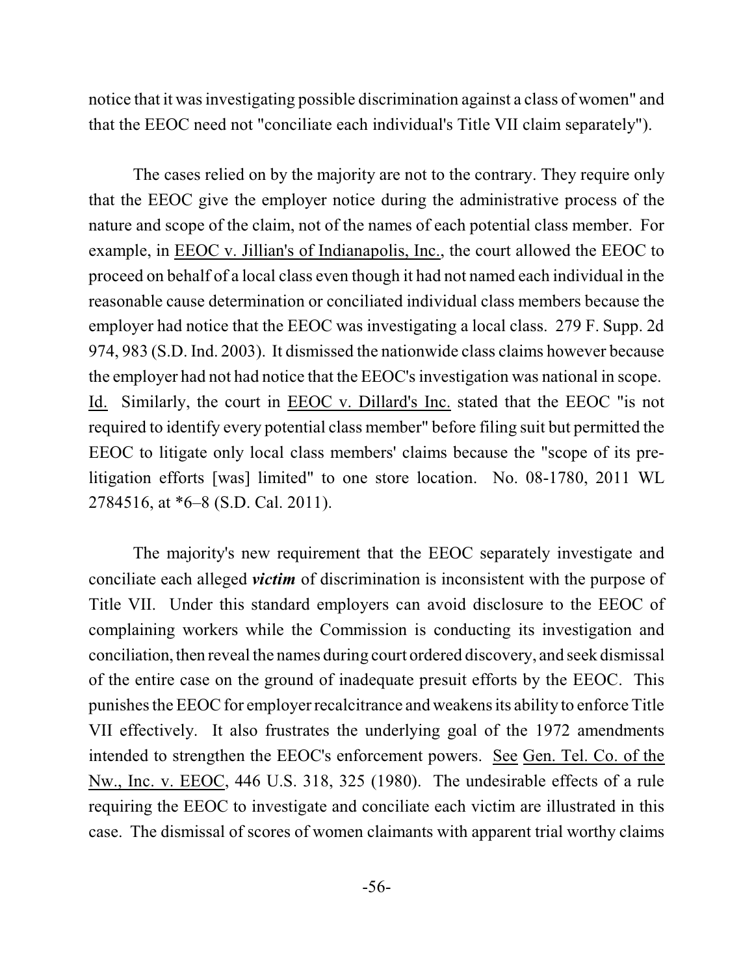notice that it was investigating possible discrimination against a class of women" and that the EEOC need not "conciliate each individual's Title VII claim separately").

The cases relied on by the majority are not to the contrary. They require only that the EEOC give the employer notice during the administrative process of the nature and scope of the claim, not of the names of each potential class member. For example, in EEOC v. Jillian's of Indianapolis, Inc., the court allowed the EEOC to proceed on behalf of a local class even though it had not named each individual in the reasonable cause determination or conciliated individual class members because the employer had notice that the EEOC was investigating a local class. 279 F. Supp. 2d 974, 983 (S.D. Ind. 2003). It dismissed the nationwide class claims however because the employer had not had notice that the EEOC's investigation was national in scope. Id. Similarly, the court in EEOC v. Dillard's Inc. stated that the EEOC "is not required to identify every potential class member" before filing suit but permitted the EEOC to litigate only local class members' claims because the "scope of its prelitigation efforts [was] limited" to one store location. No. 08-1780, 2011 WL 2784516, at \*6–8 (S.D. Cal. 2011).

The majority's new requirement that the EEOC separately investigate and conciliate each alleged *victim* of discrimination is inconsistent with the purpose of Title VII. Under this standard employers can avoid disclosure to the EEOC of complaining workers while the Commission is conducting its investigation and conciliation,then reveal the names during court ordered discovery, and seek dismissal of the entire case on the ground of inadequate presuit efforts by the EEOC. This punishesthe EEOC for employer recalcitrance and weakens its ability to enforce Title VII effectively. It also frustrates the underlying goal of the 1972 amendments intended to strengthen the EEOC's enforcement powers. See Gen. Tel. Co. of the Nw., Inc. v. EEOC, 446 U.S. 318, 325 (1980). The undesirable effects of a rule requiring the EEOC to investigate and conciliate each victim are illustrated in this case. The dismissal of scores of women claimants with apparent trial worthy claims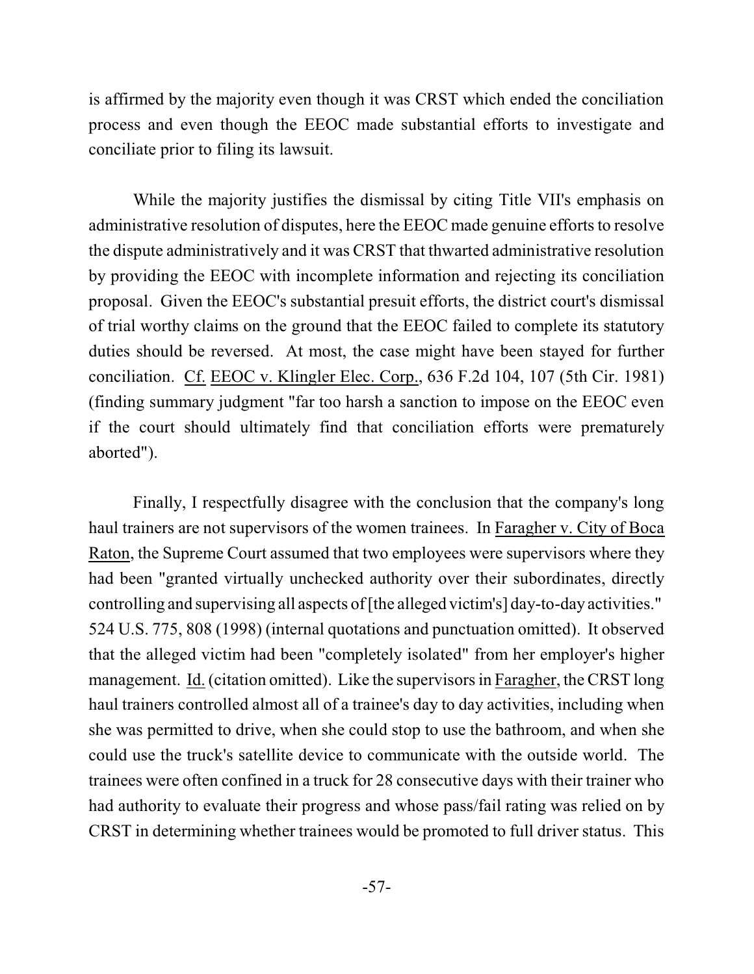is affirmed by the majority even though it was CRST which ended the conciliation process and even though the EEOC made substantial efforts to investigate and conciliate prior to filing its lawsuit.

While the majority justifies the dismissal by citing Title VII's emphasis on administrative resolution of disputes, here the EEOC made genuine efforts to resolve the dispute administratively and it was CRST that thwarted administrative resolution by providing the EEOC with incomplete information and rejecting its conciliation proposal. Given the EEOC's substantial presuit efforts, the district court's dismissal of trial worthy claims on the ground that the EEOC failed to complete its statutory duties should be reversed. At most, the case might have been stayed for further conciliation. Cf. EEOC v. Klingler Elec. Corp., 636 F.2d 104, 107 (5th Cir. 1981) (finding summary judgment "far too harsh a sanction to impose on the EEOC even if the court should ultimately find that conciliation efforts were prematurely aborted").

Finally, I respectfully disagree with the conclusion that the company's long haul trainers are not supervisors of the women trainees. In Faragher v. City of Boca Raton, the Supreme Court assumed that two employees were supervisors where they had been "granted virtually unchecked authority over their subordinates, directly controlling and supervising all aspects of[the alleged victim's] day-to-day activities." 524 U.S. 775, 808 (1998) (internal quotations and punctuation omitted). It observed that the alleged victim had been "completely isolated" from her employer's higher management. Id. (citation omitted). Like the supervisors in Faragher, the CRST long haul trainers controlled almost all of a trainee's day to day activities, including when she was permitted to drive, when she could stop to use the bathroom, and when she could use the truck's satellite device to communicate with the outside world. The trainees were often confined in a truck for 28 consecutive days with their trainer who had authority to evaluate their progress and whose pass/fail rating was relied on by CRST in determining whether trainees would be promoted to full driver status. This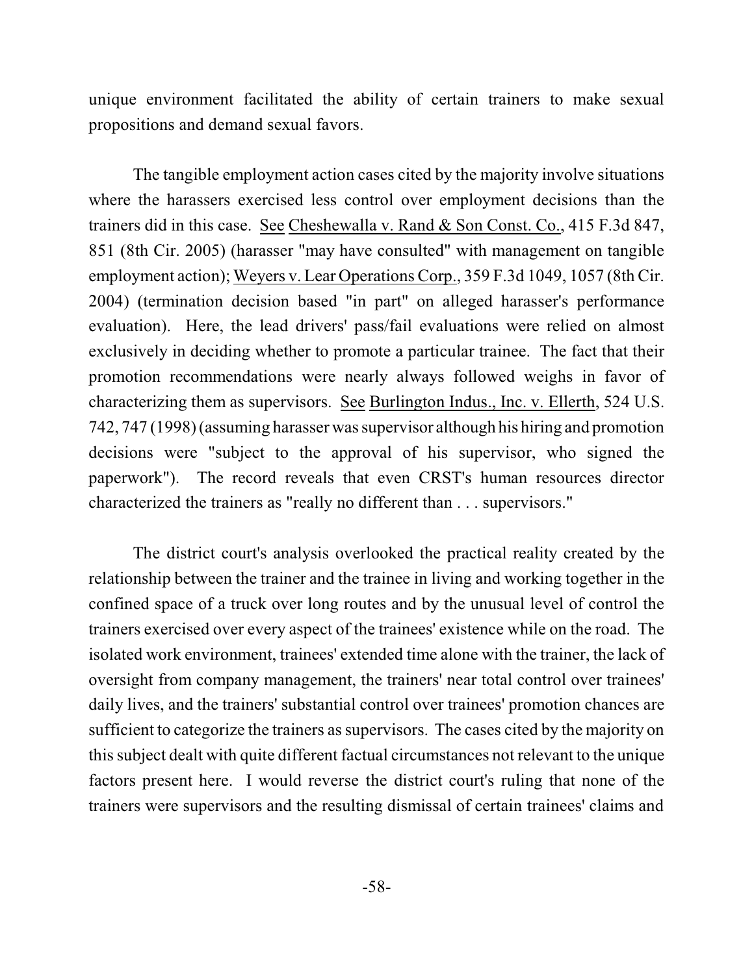unique environment facilitated the ability of certain trainers to make sexual propositions and demand sexual favors.

The tangible employment action cases cited by the majority involve situations where the harassers exercised less control over employment decisions than the trainers did in this case. See Cheshewalla v. Rand & Son Const. Co., 415 F.3d 847, 851 (8th Cir. 2005) (harasser "may have consulted" with management on tangible employment action); Weyers v. Lear Operations Corp., 359 F.3d 1049, 1057 (8th Cir. 2004) (termination decision based "in part" on alleged harasser's performance evaluation). Here, the lead drivers' pass/fail evaluations were relied on almost exclusively in deciding whether to promote a particular trainee. The fact that their promotion recommendations were nearly always followed weighs in favor of characterizing them as supervisors. See Burlington Indus., Inc. v. Ellerth, 524 U.S. 742, 747 (1998)(assuming harasser wassupervisor although his hiring and promotion decisions were "subject to the approval of his supervisor, who signed the paperwork"). The record reveals that even CRST's human resources director characterized the trainers as "really no different than . . . supervisors."

The district court's analysis overlooked the practical reality created by the relationship between the trainer and the trainee in living and working together in the confined space of a truck over long routes and by the unusual level of control the trainers exercised over every aspect of the trainees' existence while on the road. The isolated work environment, trainees' extended time alone with the trainer, the lack of oversight from company management, the trainers' near total control over trainees' daily lives, and the trainers' substantial control over trainees' promotion chances are sufficient to categorize the trainers as supervisors. The cases cited by the majority on thissubject dealt with quite different factual circumstances not relevant to the unique factors present here. I would reverse the district court's ruling that none of the trainers were supervisors and the resulting dismissal of certain trainees' claims and